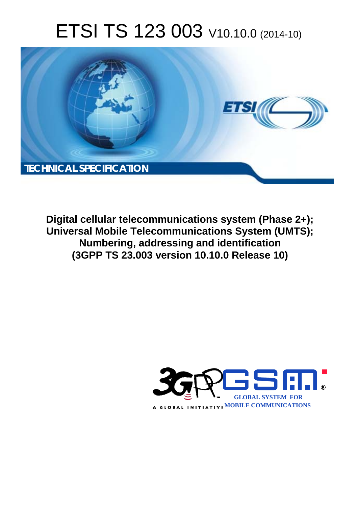# ETSI TS 123 003 V10.10.0 (2014-10)



**Digital cellular telecommunications system (Phase 2+); Universal Mobile Telecommunications System (UMTS); Numbering, addressing and identification (3GPP TS 23.003 version 10.10.0 Release 10)** 

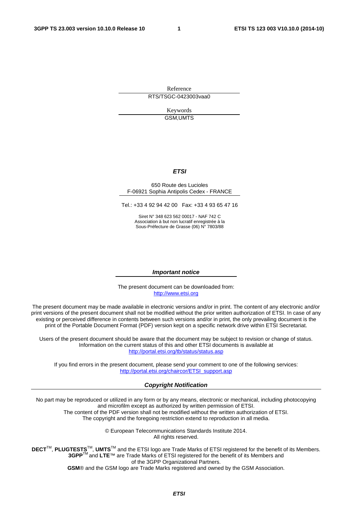Reference RTS/TSGC-0423003vaa0

> Keywords GSM,UMTS

#### *ETSI*

#### 650 Route des Lucioles F-06921 Sophia Antipolis Cedex - FRANCE

Tel.: +33 4 92 94 42 00 Fax: +33 4 93 65 47 16

Siret N° 348 623 562 00017 - NAF 742 C Association à but non lucratif enregistrée à la Sous-Préfecture de Grasse (06) N° 7803/88

#### *Important notice*

The present document can be downloaded from: [http://www.etsi.org](http://www.etsi.org/)

The present document may be made available in electronic versions and/or in print. The content of any electronic and/or print versions of the present document shall not be modified without the prior written authorization of ETSI. In case of any existing or perceived difference in contents between such versions and/or in print, the only prevailing document is the print of the Portable Document Format (PDF) version kept on a specific network drive within ETSI Secretariat.

Users of the present document should be aware that the document may be subject to revision or change of status. Information on the current status of this and other ETSI documents is available at <http://portal.etsi.org/tb/status/status.asp>

If you find errors in the present document, please send your comment to one of the following services: [http://portal.etsi.org/chaircor/ETSI\\_support.asp](http://portal.etsi.org/chaircor/ETSI_support.asp)

#### *Copyright Notification*

No part may be reproduced or utilized in any form or by any means, electronic or mechanical, including photocopying and microfilm except as authorized by written permission of ETSI.

The content of the PDF version shall not be modified without the written authorization of ETSI. The copyright and the foregoing restriction extend to reproduction in all media.

> © European Telecommunications Standards Institute 2014. All rights reserved.

**DECT**TM, **PLUGTESTS**TM, **UMTS**TM and the ETSI logo are Trade Marks of ETSI registered for the benefit of its Members. **3GPP**TM and **LTE**™ are Trade Marks of ETSI registered for the benefit of its Members and of the 3GPP Organizational Partners.

**GSM**® and the GSM logo are Trade Marks registered and owned by the GSM Association.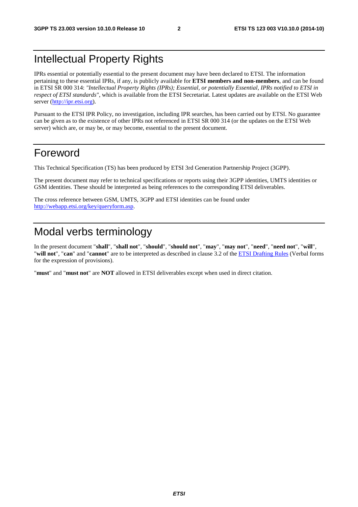# Intellectual Property Rights

IPRs essential or potentially essential to the present document may have been declared to ETSI. The information pertaining to these essential IPRs, if any, is publicly available for **ETSI members and non-members**, and can be found in ETSI SR 000 314: *"Intellectual Property Rights (IPRs); Essential, or potentially Essential, IPRs notified to ETSI in respect of ETSI standards"*, which is available from the ETSI Secretariat. Latest updates are available on the ETSI Web server [\(http://ipr.etsi.org](http://webapp.etsi.org/IPR/home.asp)).

Pursuant to the ETSI IPR Policy, no investigation, including IPR searches, has been carried out by ETSI. No guarantee can be given as to the existence of other IPRs not referenced in ETSI SR 000 314 (or the updates on the ETSI Web server) which are, or may be, or may become, essential to the present document.

# Foreword

This Technical Specification (TS) has been produced by ETSI 3rd Generation Partnership Project (3GPP).

The present document may refer to technical specifications or reports using their 3GPP identities, UMTS identities or GSM identities. These should be interpreted as being references to the corresponding ETSI deliverables.

The cross reference between GSM, UMTS, 3GPP and ETSI identities can be found under [http://webapp.etsi.org/key/queryform.asp.](http://webapp.etsi.org/key/queryform.asp)

# Modal verbs terminology

In the present document "**shall**", "**shall not**", "**should**", "**should not**", "**may**", "**may not**", "**need**", "**need not**", "**will**", "**will not**", "**can**" and "**cannot**" are to be interpreted as described in clause 3.2 of the [ETSI Drafting Rules](http://portal.etsi.org/Help/editHelp!/Howtostart/ETSIDraftingRules.aspx) (Verbal forms for the expression of provisions).

"**must**" and "**must not**" are **NOT** allowed in ETSI deliverables except when used in direct citation.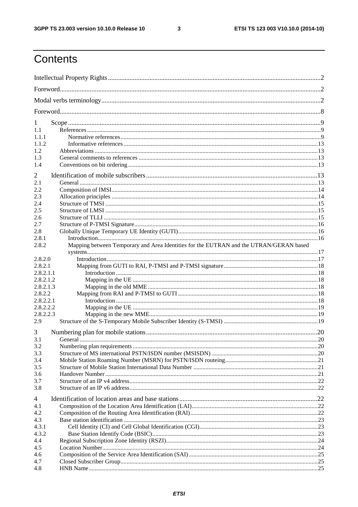$\mathbf{3}$ 

# Contents

| 1<br>1.1<br>1.1.1<br>1.1.2<br>1.2<br>1.3<br>1.4<br>2<br>2.1<br>2.2<br>2.3<br>2.4<br>2.5<br>2.6<br>2.7<br>2.8<br>2.8.1<br>Mapping between Temporary and Area Identities for the EUTRAN and the UTRAN/GERAN based<br>2.8.2.0<br>2.8.2.1<br>2.8.2.1.1<br>2.8.2.1.2<br>2.8.2.1.3<br>2.8.2.2<br>2.8.2.2.1<br>2.8.2.2.2<br>2.8.2.2.3<br>2.9<br>3<br>3.1<br>3.2<br>3.3<br>3.4<br>3.5<br>3.6<br>3.7<br>3.8<br>4<br>4.1<br>4.2<br>4.3<br>4.3.1<br>4.3.2<br>4.4<br>4.5<br>4.6<br>4.7 |       |  |
|----------------------------------------------------------------------------------------------------------------------------------------------------------------------------------------------------------------------------------------------------------------------------------------------------------------------------------------------------------------------------------------------------------------------------------------------------------------------------|-------|--|
|                                                                                                                                                                                                                                                                                                                                                                                                                                                                            |       |  |
|                                                                                                                                                                                                                                                                                                                                                                                                                                                                            |       |  |
|                                                                                                                                                                                                                                                                                                                                                                                                                                                                            |       |  |
|                                                                                                                                                                                                                                                                                                                                                                                                                                                                            |       |  |
|                                                                                                                                                                                                                                                                                                                                                                                                                                                                            |       |  |
|                                                                                                                                                                                                                                                                                                                                                                                                                                                                            |       |  |
|                                                                                                                                                                                                                                                                                                                                                                                                                                                                            |       |  |
|                                                                                                                                                                                                                                                                                                                                                                                                                                                                            |       |  |
|                                                                                                                                                                                                                                                                                                                                                                                                                                                                            |       |  |
|                                                                                                                                                                                                                                                                                                                                                                                                                                                                            |       |  |
|                                                                                                                                                                                                                                                                                                                                                                                                                                                                            |       |  |
|                                                                                                                                                                                                                                                                                                                                                                                                                                                                            |       |  |
|                                                                                                                                                                                                                                                                                                                                                                                                                                                                            |       |  |
|                                                                                                                                                                                                                                                                                                                                                                                                                                                                            |       |  |
|                                                                                                                                                                                                                                                                                                                                                                                                                                                                            |       |  |
|                                                                                                                                                                                                                                                                                                                                                                                                                                                                            |       |  |
|                                                                                                                                                                                                                                                                                                                                                                                                                                                                            |       |  |
|                                                                                                                                                                                                                                                                                                                                                                                                                                                                            |       |  |
|                                                                                                                                                                                                                                                                                                                                                                                                                                                                            |       |  |
|                                                                                                                                                                                                                                                                                                                                                                                                                                                                            | 2.8.2 |  |
|                                                                                                                                                                                                                                                                                                                                                                                                                                                                            |       |  |
|                                                                                                                                                                                                                                                                                                                                                                                                                                                                            |       |  |
|                                                                                                                                                                                                                                                                                                                                                                                                                                                                            |       |  |
|                                                                                                                                                                                                                                                                                                                                                                                                                                                                            |       |  |
|                                                                                                                                                                                                                                                                                                                                                                                                                                                                            |       |  |
|                                                                                                                                                                                                                                                                                                                                                                                                                                                                            |       |  |
|                                                                                                                                                                                                                                                                                                                                                                                                                                                                            |       |  |
|                                                                                                                                                                                                                                                                                                                                                                                                                                                                            |       |  |
|                                                                                                                                                                                                                                                                                                                                                                                                                                                                            |       |  |
|                                                                                                                                                                                                                                                                                                                                                                                                                                                                            |       |  |
|                                                                                                                                                                                                                                                                                                                                                                                                                                                                            |       |  |
|                                                                                                                                                                                                                                                                                                                                                                                                                                                                            |       |  |
|                                                                                                                                                                                                                                                                                                                                                                                                                                                                            |       |  |
|                                                                                                                                                                                                                                                                                                                                                                                                                                                                            |       |  |
|                                                                                                                                                                                                                                                                                                                                                                                                                                                                            |       |  |
|                                                                                                                                                                                                                                                                                                                                                                                                                                                                            |       |  |
|                                                                                                                                                                                                                                                                                                                                                                                                                                                                            |       |  |
|                                                                                                                                                                                                                                                                                                                                                                                                                                                                            |       |  |
|                                                                                                                                                                                                                                                                                                                                                                                                                                                                            |       |  |
|                                                                                                                                                                                                                                                                                                                                                                                                                                                                            |       |  |
|                                                                                                                                                                                                                                                                                                                                                                                                                                                                            |       |  |
|                                                                                                                                                                                                                                                                                                                                                                                                                                                                            |       |  |
|                                                                                                                                                                                                                                                                                                                                                                                                                                                                            |       |  |
|                                                                                                                                                                                                                                                                                                                                                                                                                                                                            |       |  |
|                                                                                                                                                                                                                                                                                                                                                                                                                                                                            |       |  |
|                                                                                                                                                                                                                                                                                                                                                                                                                                                                            |       |  |
|                                                                                                                                                                                                                                                                                                                                                                                                                                                                            |       |  |
|                                                                                                                                                                                                                                                                                                                                                                                                                                                                            |       |  |
|                                                                                                                                                                                                                                                                                                                                                                                                                                                                            |       |  |
|                                                                                                                                                                                                                                                                                                                                                                                                                                                                            | 4.8   |  |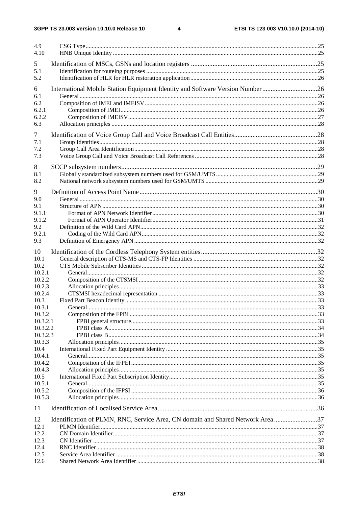$\overline{\mathbf{4}}$ 

| 4.9<br>4.10        |                                                                                 |  |
|--------------------|---------------------------------------------------------------------------------|--|
|                    |                                                                                 |  |
| 5<br>5.1           |                                                                                 |  |
| 5.2                |                                                                                 |  |
|                    |                                                                                 |  |
| 6                  | International Mobile Station Equipment Identity and Software Version Number 26  |  |
| 6.1                |                                                                                 |  |
| 6.2                |                                                                                 |  |
| 6.2.1              |                                                                                 |  |
| 6.2.2              |                                                                                 |  |
| 6.3                |                                                                                 |  |
| 7                  |                                                                                 |  |
| 7.1                |                                                                                 |  |
| 7.2                |                                                                                 |  |
| 7.3                |                                                                                 |  |
| 8                  |                                                                                 |  |
| 8.1                |                                                                                 |  |
| 8.2                |                                                                                 |  |
|                    |                                                                                 |  |
| 9                  |                                                                                 |  |
| 9.0                |                                                                                 |  |
| 9.1                |                                                                                 |  |
| 9.1.1              |                                                                                 |  |
| 9.1.2              |                                                                                 |  |
| 9.2                |                                                                                 |  |
| 9.2.1<br>9.3       |                                                                                 |  |
|                    |                                                                                 |  |
| 10                 |                                                                                 |  |
| 10.1               |                                                                                 |  |
| 10.2               |                                                                                 |  |
| 10.2.1             |                                                                                 |  |
| 10.2.2             |                                                                                 |  |
| 10.2.3             |                                                                                 |  |
| 10.2.4             |                                                                                 |  |
| 10.3               |                                                                                 |  |
| 10.3.1             |                                                                                 |  |
| 10.3.2<br>10.3.2.1 |                                                                                 |  |
| 10.3.2.2           |                                                                                 |  |
| 10.3.2.3           |                                                                                 |  |
| 10.3.3             |                                                                                 |  |
| 10.4               |                                                                                 |  |
| 10.4.1             |                                                                                 |  |
| 10.4.2             |                                                                                 |  |
| 10.4.3             |                                                                                 |  |
| 10.5               |                                                                                 |  |
| 10.5.1             |                                                                                 |  |
| 10.5.2             |                                                                                 |  |
| 10.5.3             |                                                                                 |  |
| 11                 |                                                                                 |  |
| 12                 | Identification of PLMN, RNC, Service Area, CN domain and Shared Network Area 37 |  |
| 12.1               |                                                                                 |  |
| 12.2               |                                                                                 |  |
| 12.3               |                                                                                 |  |
| 12.4               |                                                                                 |  |
| 12.5               |                                                                                 |  |
| 12.6               |                                                                                 |  |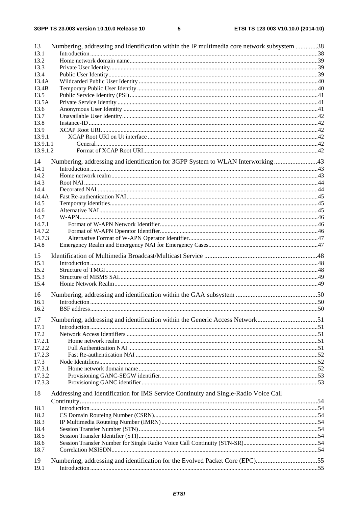$5\phantom{a}$ 

| 13       | Numbering, addressing and identification within the IP multimedia core network subsystem 38 |  |
|----------|---------------------------------------------------------------------------------------------|--|
| 13.1     |                                                                                             |  |
| 13.2     |                                                                                             |  |
| 13.3     |                                                                                             |  |
| 13.4     |                                                                                             |  |
| 13.4A    |                                                                                             |  |
| 13.4B    |                                                                                             |  |
| 13.5     |                                                                                             |  |
| 13.5A    |                                                                                             |  |
| 13.6     |                                                                                             |  |
| 13.7     |                                                                                             |  |
| 13.8     |                                                                                             |  |
| 13.9     |                                                                                             |  |
| 13.9.1   |                                                                                             |  |
| 13.9.1.1 |                                                                                             |  |
| 13.9.1.2 |                                                                                             |  |
|          |                                                                                             |  |
| 14       | Numbering, addressing and identification for 3GPP System to WLAN Interworking 43            |  |
| 14.1     |                                                                                             |  |
| 14.2     |                                                                                             |  |
| 14.3     |                                                                                             |  |
| 14.4     |                                                                                             |  |
| 14.4A    |                                                                                             |  |
| 14.5     |                                                                                             |  |
| 14.6     |                                                                                             |  |
| 14.7     |                                                                                             |  |
| 14.7.1   |                                                                                             |  |
| 14.7.2   |                                                                                             |  |
| 14.7.3   |                                                                                             |  |
| 14.8     |                                                                                             |  |
| 15       |                                                                                             |  |
| 15.1     |                                                                                             |  |
| 15.2     |                                                                                             |  |
| 15.3     |                                                                                             |  |
| 15.4     |                                                                                             |  |
|          |                                                                                             |  |
| 16       |                                                                                             |  |
| 16.1     |                                                                                             |  |
| 16.2     |                                                                                             |  |
|          |                                                                                             |  |
| 17       | Numbering, addressing and identification within the Generic Access Network51                |  |
| 17.1     |                                                                                             |  |
| 17.2     |                                                                                             |  |
| 17.2.1   |                                                                                             |  |
| 17.2.2   |                                                                                             |  |
| 17.2.3   |                                                                                             |  |
| 17.3     |                                                                                             |  |
| 17.3.1   |                                                                                             |  |
| 17.3.2   |                                                                                             |  |
| 17.3.3   |                                                                                             |  |
| 18       | Addressing and Identification for IMS Service Continuity and Single-Radio Voice Call        |  |
|          |                                                                                             |  |
|          |                                                                                             |  |
| 18.1     |                                                                                             |  |
| 18.2     |                                                                                             |  |
| 18.3     |                                                                                             |  |
| 18.4     |                                                                                             |  |
| 18.5     |                                                                                             |  |
| 18.6     |                                                                                             |  |
| 18.7     |                                                                                             |  |
| 19       | Numbering, addressing and identification for the Evolved Packet Core (EPC)55                |  |
| 19.1     |                                                                                             |  |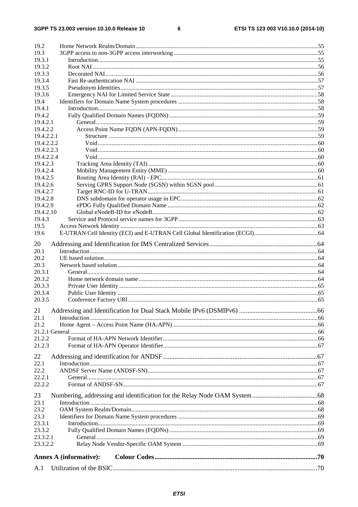$\bf 6$ 

| 19.2                 |                               |  |
|----------------------|-------------------------------|--|
| 19.3                 |                               |  |
| 19.3.1               |                               |  |
| 19.3.2<br>19.3.3     |                               |  |
| 19.3.4               |                               |  |
| 19.3.5               |                               |  |
| 19.3.6               |                               |  |
| 19.4                 |                               |  |
| 19.4.1               |                               |  |
| 19.4.2               |                               |  |
| 19.4.2.1             |                               |  |
| 19.4.2.2             |                               |  |
| 19.4.2.2.1           |                               |  |
| 19.4.2.2.2           |                               |  |
| 19.4.2.2.3           |                               |  |
| 19.4.2.2.4           |                               |  |
| 19.4.2.3             |                               |  |
| 19.4.2.4             |                               |  |
| 19.4.2.5             |                               |  |
| 19.4.2.6<br>19.4.2.7 |                               |  |
| 19.4.2.8             |                               |  |
| 19.4.2.9             |                               |  |
| 19.4.2.10            |                               |  |
| 19.4.3               |                               |  |
| 19.5                 |                               |  |
| 19.6                 |                               |  |
| 20                   |                               |  |
| 20.1                 |                               |  |
| 20.2                 |                               |  |
| 20.3                 |                               |  |
| 20.3.1               |                               |  |
| 20.3.2               |                               |  |
| 20.3.3               |                               |  |
| 20.3.4               |                               |  |
| 20.3.5               |                               |  |
|                      |                               |  |
| 21.1                 |                               |  |
| 21.2                 |                               |  |
|                      |                               |  |
| 21.2.2<br>21.2.3     |                               |  |
|                      |                               |  |
| 22                   |                               |  |
| 22.1                 |                               |  |
| 22.2                 |                               |  |
| 22.2.1               |                               |  |
| 22.2.2               |                               |  |
| 23                   |                               |  |
| 23.1                 |                               |  |
| 23.2                 |                               |  |
| 23.3                 |                               |  |
| 23.3.1               |                               |  |
| 23.3.2               |                               |  |
| 23.3.2.1             |                               |  |
| 23.3.2.2             |                               |  |
|                      | <b>Annex A (informative):</b> |  |
|                      |                               |  |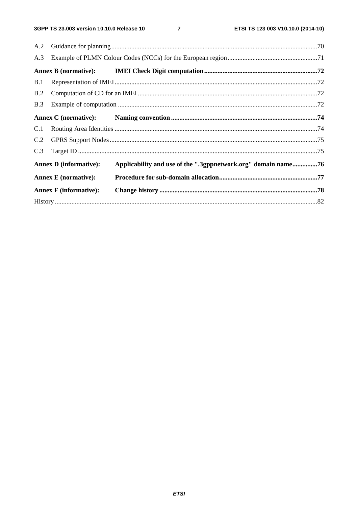$\overline{7}$ 

|     | <b>Annex F</b> (informative): |                                                               |  |
|-----|-------------------------------|---------------------------------------------------------------|--|
|     | <b>Annex E</b> (normative):   |                                                               |  |
|     | <b>Annex D</b> (informative): | Applicability and use of the ".3gppnetwork.org" domain name76 |  |
| C.3 |                               |                                                               |  |
| C.2 |                               |                                                               |  |
| C.1 |                               |                                                               |  |
|     |                               |                                                               |  |
| B.3 |                               |                                                               |  |
| B.2 |                               |                                                               |  |
| B.1 |                               |                                                               |  |
|     |                               |                                                               |  |
| A.3 |                               |                                                               |  |
| A.2 |                               |                                                               |  |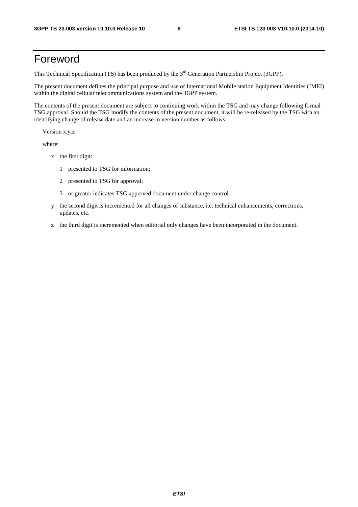# Foreword

This Technical Specification (TS) has been produced by the 3<sup>rd</sup> Generation Partnership Project (3GPP).

The present document defines the principal purpose and use of International Mobile station Equipment Identities (IMEI) within the digital cellular telecommunications system and the 3GPP system.

The contents of the present document are subject to continuing work within the TSG and may change following formal TSG approval. Should the TSG modify the contents of the present document, it will be re-released by the TSG with an identifying change of release date and an increase in version number as follows:

Version x.y.z

where:

- x the first digit:
	- 1 presented to TSG for information;
	- 2 presented to TSG for approval;
	- 3 or greater indicates TSG approved document under change control.
- y the second digit is incremented for all changes of substance, i.e. technical enhancements, corrections, updates, etc.
- z the third digit is incremented when editorial only changes have been incorporated in the document.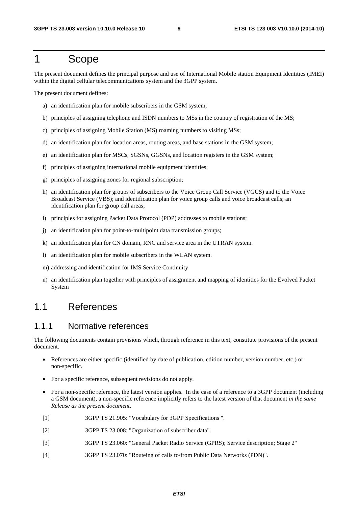# 1 Scope

The present document defines the principal purpose and use of International Mobile station Equipment Identities (IMEI) within the digital cellular telecommunications system and the 3GPP system.

The present document defines:

- a) an identification plan for mobile subscribers in the GSM system;
- b) principles of assigning telephone and ISDN numbers to MSs in the country of registration of the MS;
- c) principles of assigning Mobile Station (MS) roaming numbers to visiting MSs;
- d) an identification plan for location areas, routing areas, and base stations in the GSM system;
- e) an identification plan for MSCs, SGSNs, GGSNs, and location registers in the GSM system;
- f) principles of assigning international mobile equipment identities;
- g) principles of assigning zones for regional subscription;
- h) an identification plan for groups of subscribers to the Voice Group Call Service (VGCS) and to the Voice Broadcast Service (VBS); and identification plan for voice group calls and voice broadcast calls; an identification plan for group call areas;
- i) principles for assigning Packet Data Protocol (PDP) addresses to mobile stations;
- j) an identification plan for point-to-multipoint data transmission groups;
- k) an identification plan for CN domain, RNC and service area in the UTRAN system.
- l) an identification plan for mobile subscribers in the WLAN system.
- m) addressing and identification for IMS Service Continuity
- n) an identification plan together with principles of assignment and mapping of identities for the Evolved Packet System

#### 1.1 References

#### 1.1.1 Normative references

The following documents contain provisions which, through reference in this text, constitute provisions of the present document.

- References are either specific (identified by date of publication, edition number, version number, etc.) or non-specific.
- For a specific reference, subsequent revisions do not apply.
- For a non-specific reference, the latest version applies. In the case of a reference to a 3GPP document (including a GSM document), a non-specific reference implicitly refers to the latest version of that document *in the same Release as the present document*.
- [1] 3GPP TS 21.905: "Vocabulary for 3GPP Specifications ".
- [2] 3GPP TS 23.008: "Organization of subscriber data".
- [3] 3GPP TS 23.060: "General Packet Radio Service (GPRS); Service description; Stage 2"
- [4] 3GPP TS 23.070: "Routeing of calls to/from Public Data Networks (PDN)".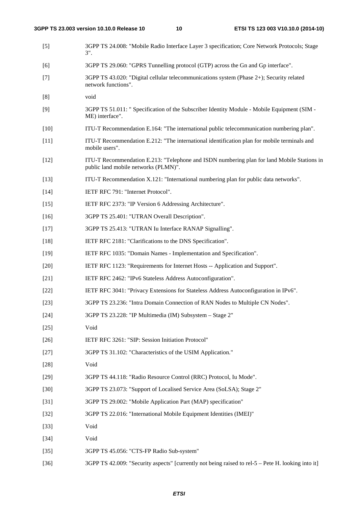| $[5]$  | 3GPP TS 24.008: "Mobile Radio Interface Layer 3 specification; Core Network Protocols; Stage<br>$3$ ".                             |
|--------|------------------------------------------------------------------------------------------------------------------------------------|
| [6]    | 3GPP TS 29.060: "GPRS Tunnelling protocol (GTP) across the Gn and Gp interface".                                                   |
| $[7]$  | 3GPP TS 43.020: "Digital cellular telecommunications system (Phase 2+); Security related<br>network functions".                    |
| [8]    | void                                                                                                                               |
| [9]    | 3GPP TS 51.011: " Specification of the Subscriber Identity Module - Mobile Equipment (SIM -<br>ME) interface".                     |
| $[10]$ | ITU-T Recommendation E.164: "The international public telecommunication numbering plan".                                           |
| $[11]$ | ITU-T Recommendation E.212: "The international identification plan for mobile terminals and<br>mobile users".                      |
| $[12]$ | ITU-T Recommendation E.213: "Telephone and ISDN numbering plan for land Mobile Stations in<br>public land mobile networks (PLMN)". |
| $[13]$ | ITU-T Recommendation X.121: "International numbering plan for public data networks".                                               |
| $[14]$ | IETF RFC 791: "Internet Protocol".                                                                                                 |
| $[15]$ | IETF RFC 2373: "IP Version 6 Addressing Architecture".                                                                             |
| $[16]$ | 3GPP TS 25.401: "UTRAN Overall Description".                                                                                       |
| $[17]$ | 3GPP TS 25.413: "UTRAN Iu Interface RANAP Signalling".                                                                             |
| $[18]$ | IETF RFC 2181: "Clarifications to the DNS Specification".                                                                          |
| $[19]$ | IETF RFC 1035: "Domain Names - Implementation and Specification".                                                                  |
| $[20]$ | IETF RFC 1123: "Requirements for Internet Hosts -- Application and Support".                                                       |
| $[21]$ | IETF RFC 2462: "IPv6 Stateless Address Autoconfiguration".                                                                         |
| $[22]$ | IETF RFC 3041: "Privacy Extensions for Stateless Address Autoconfiguration in IPv6".                                               |
| $[23]$ | 3GPP TS 23.236: "Intra Domain Connection of RAN Nodes to Multiple CN Nodes".                                                       |
| $[24]$ | 3GPP TS 23.228: "IP Multimedia (IM) Subsystem - Stage 2"                                                                           |
| $[25]$ | Void                                                                                                                               |
| $[26]$ | IETF RFC 3261: "SIP: Session Initiation Protocol"                                                                                  |
| $[27]$ | 3GPP TS 31.102: "Characteristics of the USIM Application."                                                                         |
| $[28]$ | Void                                                                                                                               |
| $[29]$ | 3GPP TS 44.118: "Radio Resource Control (RRC) Protocol, Iu Mode".                                                                  |
| $[30]$ | 3GPP TS 23.073: "Support of Localised Service Area (SoLSA); Stage 2"                                                               |
| $[31]$ | 3GPP TS 29.002: "Mobile Application Part (MAP) specification"                                                                      |
| $[32]$ | 3GPP TS 22.016: "International Mobile Equipment Identities (IMEI)"                                                                 |
| $[33]$ | Void                                                                                                                               |
| $[34]$ | Void                                                                                                                               |
| $[35]$ | 3GPP TS 45.056: "CTS-FP Radio Sub-system"                                                                                          |
| $[36]$ | 3GPP TS 42.009: "Security aspects" [currently not being raised to rel-5 – Pete H. looking into it]                                 |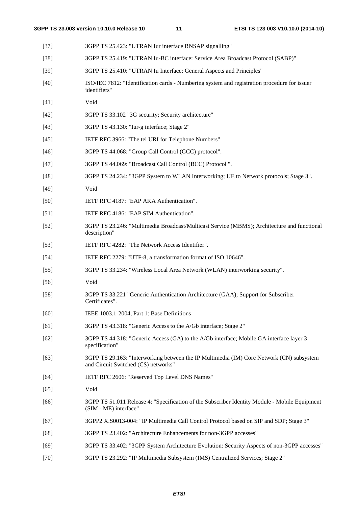| $[37]$ | 3GPP TS 25.423: "UTRAN Iur interface RNSAP signalling"                                                                          |
|--------|---------------------------------------------------------------------------------------------------------------------------------|
| $[38]$ | 3GPP TS 25.419: "UTRAN Iu-BC interface: Service Area Broadcast Protocol (SABP)"                                                 |
| $[39]$ | 3GPP TS 25.410: "UTRAN Iu Interface: General Aspects and Principles"                                                            |
| $[40]$ | ISO/IEC 7812: "Identification cards - Numbering system and registration procedure for issuer<br>identifiers"                    |
| $[41]$ | Void                                                                                                                            |
| $[42]$ | 3GPP TS 33.102 "3G security; Security architecture"                                                                             |
| $[43]$ | 3GPP TS 43.130: "Iur-g interface; Stage 2"                                                                                      |
| $[45]$ | IETF RFC 3966: "The tel URI for Telephone Numbers"                                                                              |
| $[46]$ | 3GPP TS 44.068: "Group Call Control (GCC) protocol".                                                                            |
| $[47]$ | 3GPP TS 44.069: "Broadcast Call Control (BCC) Protocol".                                                                        |
| $[48]$ | 3GPP TS 24.234: "3GPP System to WLAN Interworking; UE to Network protocols; Stage 3".                                           |
| $[49]$ | Void                                                                                                                            |
| $[50]$ | IETF RFC 4187: "EAP AKA Authentication".                                                                                        |
| $[51]$ | IETF RFC 4186: "EAP SIM Authentication".                                                                                        |
| $[52]$ | 3GPP TS 23.246: "Multimedia Broadcast/Multicast Service (MBMS); Architecture and functional<br>description"                     |
| $[53]$ | IETF RFC 4282: "The Network Access Identifier".                                                                                 |
| $[54]$ | IETF RFC 2279: "UTF-8, a transformation format of ISO 10646".                                                                   |
| $[55]$ | 3GPP TS 33.234: "Wireless Local Area Network (WLAN) interworking security".                                                     |
| $[56]$ | Void                                                                                                                            |
| $[58]$ | 3GPP TS 33.221 "Generic Authentication Architecture (GAA); Support for Subscriber<br>Certificates".                             |
| [60]   | IEEE 1003.1-2004, Part 1: Base Definitions                                                                                      |
| [61]   | 3GPP TS 43.318: "Generic Access to the A/Gb interface; Stage 2"                                                                 |
| $[62]$ | 3GPP TS 44.318: "Generic Access (GA) to the A/Gb interface; Mobile GA interface layer 3<br>specification"                       |
| $[63]$ | 3GPP TS 29.163: "Interworking between the IP Multimedia (IM) Core Network (CN) subsystem<br>and Circuit Switched (CS) networks" |
| $[64]$ | IETF RFC 2606: "Reserved Top Level DNS Names"                                                                                   |
| $[65]$ | Void                                                                                                                            |
| [66]   | 3GPP TS 51.011 Release 4: "Specification of the Subscriber Identity Module - Mobile Equipment<br>(SIM - ME) interface"          |
| $[67]$ | 3GPP2 X.S0013-004: "IP Multimedia Call Control Protocol based on SIP and SDP; Stage 3"                                          |
| $[68]$ | 3GPP TS 23.402: "Architecture Enhancements for non-3GPP accesses"                                                               |
| $[69]$ | 3GPP TS 33.402: "3GPP System Architecture Evolution: Security Aspects of non-3GPP accesses"                                     |

[70] 3GPP TS 23.292: "IP Multimedia Subsystem (IMS) Centralized Services; Stage 2"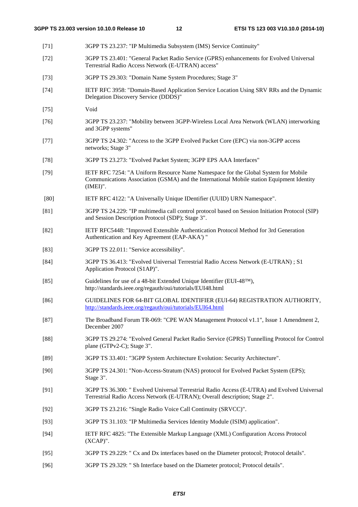- [71] 3GPP TS 23.237: "IP Multimedia Subsystem (IMS) Service Continuity" [72] 3GPP TS 23.401: "General Packet Radio Service (GPRS) enhancements for Evolved Universal Terrestrial Radio Access Network (E-UTRAN) access" [73] 3GPP TS 29.303: "Domain Name System Procedures; Stage 3" [74] IETF RFC 3958: "Domain-Based Application Service Location Using SRV RRs and the Dynamic Delegation Discovery Service (DDDS)" [75] Void [76] 3GPP TS 23.237: "Mobility between 3GPP-Wireless Local Area Network (WLAN) interworking and 3GPP systems" [77] 3GPP TS 24.302: "Access to the 3GPP Evolved Packet Core (EPC) via non-3GPP access networks; Stage 3" [78] 3GPP TS 23.273: "Evolved Packet System; 3GPP EPS AAA Interfaces" [79] IETF RFC 7254: "A Uniform Resource Name Namespace for the Global System for Mobile Communications Association (GSMA) and the International Mobile station Equipment Identity (IMEI)". [80] IETF RFC 4122: "A Universally Unique IDentifier (UUID) URN Namespace". [81] 3GPP TS 24.229: "IP multimedia call control protocol based on Session Initiation Protocol (SIP) and Session Description Protocol (SDP); Stage 3". [82] IETF RFC5448: "Improved Extensible Authentication Protocol Method for 3rd Generation Authentication and Key Agreement (EAP-AKA') " [83] 3GPP TS 22.011: "Service accessibility". [84] 3GPP TS 36.413: "Evolved Universal Terrestrial Radio Access Network (E-UTRAN) ; S1 Application Protocol (S1AP)". [85] Guidelines for use of a 48-bit Extended Unique Identifier (EUI-48<sup>TM</sup>), http://standards.ieee.org/regauth/oui/tutorials/EUI48.html [86] GUIDELINES FOR 64-BIT GLOBAL IDENTIFIER (EUI-64) REGISTRATION AUTHORITY, <http://standards.ieee.org/regauth/oui/tutorials/EUI64.html> [87] The Broadband Forum TR-069: "CPE WAN Management Protocol v1.1", Issue 1 Amendment 2, December 2007 [88] 3GPP TS 29.274: "Evolved General Packet Radio Service (GPRS) Tunnelling Protocol for Control plane (GTPv2-C); Stage 3". [89] 3GPP TS 33.401: "3GPP System Architecture Evolution: Security Architecture". [90] 3GPP TS 24.301: "Non-Access-Stratum (NAS) protocol for Evolved Packet System (EPS); Stage 3". [91] 3GPP TS 36.300: " Evolved Universal Terrestrial Radio Access (E-UTRA) and Evolved Universal Terrestrial Radio Access Network (E-UTRAN); Overall description; Stage 2". [92] 3GPP TS 23.216: "Single Radio Voice Call Continuity (SRVCC)". [93] 3GPP TS 31.103: "IP Multimedia Services Identity Module (ISIM) application". [94] IETF RFC 4825: "The Extensible Markup Language (XML) Configuration Access Protocol (XCAP)". [95] 3GPP TS 29.229: " Cx and Dx interfaces based on the Diameter protocol; Protocol details".
- [96] 3GPP TS 29.329: " Sh Interface based on the Diameter protocol; Protocol details".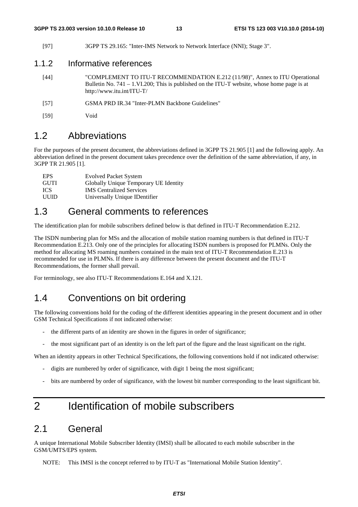[97] 3GPP TS 29.165: "Inter-IMS Network to Network Interface (NNI); Stage 3".

#### 1.1.2 Informative references

- [44] "COMPLEMENT TO ITU-T RECOMMENDATION E.212 (11/98)", Annex to ITU Operational Bulletin No. 741 – 1.VI.200; This is published on the ITU-T website, whose home page is at http://www.itu.int/ITU-T/
- [57] GSMA PRD IR.34 "Inter-PLMN Backbone Guidelines"
- [59] Void

#### 1.2 Abbreviations

For the purposes of the present document, the abbreviations defined in 3GPP TS 21.905 [1] and the following apply. An abbreviation defined in the present document takes precedence over the definition of the same abbreviation, if any, in 3GPP TR 21.905 [1].

| <b>EPS</b>  | <b>Evolved Packet System</b>          |
|-------------|---------------------------------------|
| <b>GUTI</b> | Globally Unique Temporary UE Identity |
| ICS.        | <b>IMS</b> Centralized Services       |
| UUID        | Universally Unique IDentifier         |

### 1.3 General comments to references

The identification plan for mobile subscribers defined below is that defined in ITU-T Recommendation E.212.

The ISDN numbering plan for MSs and the allocation of mobile station roaming numbers is that defined in ITU-T Recommendation E.213. Only one of the principles for allocating ISDN numbers is proposed for PLMNs. Only the method for allocating MS roaming numbers contained in the main text of ITU-T Recommendation E.213 is recommended for use in PLMNs. If there is any difference between the present document and the ITU-T Recommendations, the former shall prevail.

For terminology, see also ITU-T Recommendations E.164 and X.121.

#### 1.4 Conventions on bit ordering

The following conventions hold for the coding of the different identities appearing in the present document and in other GSM Technical Specifications if not indicated otherwise:

- the different parts of an identity are shown in the figures in order of significance;
- the most significant part of an identity is on the left part of the figure and the least significant on the right.

When an identity appears in other Technical Specifications, the following conventions hold if not indicated otherwise:

- digits are numbered by order of significance, with digit 1 being the most significant;
- bits are numbered by order of significance, with the lowest bit number corresponding to the least significant bit.

# 2 Identification of mobile subscribers

#### 2.1 General

A unique International Mobile Subscriber Identity (IMSI) shall be allocated to each mobile subscriber in the GSM/UMTS/EPS system.

NOTE: This IMSI is the concept referred to by ITU-T as "International Mobile Station Identity".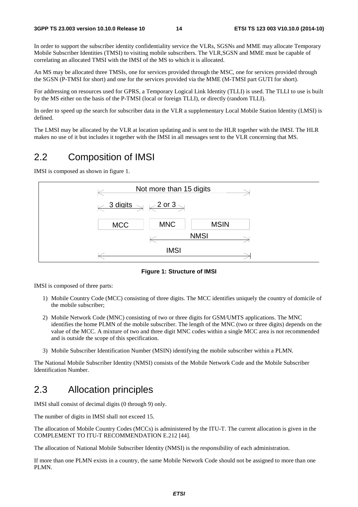In order to support the subscriber identity confidentiality service the VLRs, SGSNs and MME may allocate Temporary Mobile Subscriber Identities (TMSI) to visiting mobile subscribers. The VLR,SGSN and MME must be capable of correlating an allocated TMSI with the IMSI of the MS to which it is allocated.

An MS may be allocated three TMSIs, one for services provided through the MSC, one for services provided through the SGSN (P-TMSI for short) and one for the services provided via the MME (M-TMSI part GUTI for short).

For addressing on resources used for GPRS, a Temporary Logical Link Identity (TLLI) is used. The TLLI to use is built by the MS either on the basis of the P-TMSI (local or foreign TLLI), or directly (random TLLI).

In order to speed up the search for subscriber data in the VLR a supplementary Local Mobile Station Identity (LMSI) is defined.

The LMSI may be allocated by the VLR at location updating and is sent to the HLR together with the IMSI. The HLR makes no use of it but includes it together with the IMSI in all messages sent to the VLR concerning that MS.

### 2.2 Composition of IMSI

IMSI is composed as shown in figure 1.

| Not more than 15 digits                                               |  |
|-----------------------------------------------------------------------|--|
| $\leftarrow$ 3 digits $\rightarrow$ $\leftarrow$ 2 or 3 $\rightarrow$ |  |
| <b>MNC</b><br><b>MSIN</b><br><b>MCC</b>                               |  |
| NMSI                                                                  |  |
| <b>IMSI</b>                                                           |  |

**Figure 1: Structure of IMSI** 

IMSI is composed of three parts:

- 1) Mobile Country Code (MCC) consisting of three digits. The MCC identifies uniquely the country of domicile of the mobile subscriber;
- 2) Mobile Network Code (MNC) consisting of two or three digits for GSM/UMTS applications. The MNC identifies the home PLMN of the mobile subscriber. The length of the MNC (two or three digits) depends on the value of the MCC. A mixture of two and three digit MNC codes within a single MCC area is not recommended and is outside the scope of this specification.
- 3) Mobile Subscriber Identification Number (MSIN) identifying the mobile subscriber within a PLMN.

The National Mobile Subscriber Identity (NMSI) consists of the Mobile Network Code and the Mobile Subscriber Identification Number.

### 2.3 Allocation principles

IMSI shall consist of decimal digits (0 through 9) only.

The number of digits in IMSI shall not exceed 15.

The allocation of Mobile Country Codes (MCCs) is administered by the ITU-T. The current allocation is given in the COMPLEMENT TO ITU-T RECOMMENDATION E.212 [44].

The allocation of National Mobile Subscriber Identity (NMSI) is the responsibility of each administration.

If more than one PLMN exists in a country, the same Mobile Network Code should not be assigned to more than one PLMN.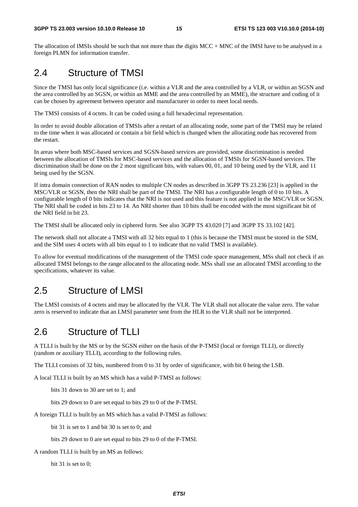The allocation of IMSIs should be such that not more than the digits MCC + MNC of the IMSI have to be analysed in a foreign PLMN for information transfer.

### 2.4 Structure of TMSI

Since the TMSI has only local significance (i.e. within a VLR and the area controlled by a VLR, or within an SGSN and the area controlled by an SGSN, or within an MME and the area controlled by an MME), the structure and coding of it can be chosen by agreement between operator and manufacturer in order to meet local needs.

The TMSI consists of 4 octets. It can be coded using a full hexadecimal representation.

In order to avoid double allocation of TMSIs after a restart of an allocating node, some part of the TMSI may be related to the time when it was allocated or contain a bit field which is changed when the allocating node has recovered from the restart.

In areas where both MSC-based services and SGSN-based services are provided, some discrimination is needed between the allocation of TMSIs for MSC-based services and the allocation of TMSIs for SGSN-based services. The discrimination shall be done on the 2 most significant bits, with values 00, 01, and 10 being used by the VLR, and 11 being used by the SGSN.

If intra domain connection of RAN nodes to multiple CN nodes as described in 3GPP TS 23.236 [23] is applied in the MSC/VLR or SGSN, then the NRI shall be part of the TMSI. The NRI has a configurable length of 0 to 10 bits. A configurable length of 0 bits indicates that the NRI is not used and this feature is not applied in the MSC/VLR or SGSN. The NRI shall be coded in bits 23 to 14. An NRI shorter than 10 bits shall be encoded with the most significant bit of the NRI field in bit 23.

The TMSI shall be allocated only in ciphered form. See also 3GPP TS 43.020 [7] and 3GPP TS 33.102 [42].

The network shall not allocate a TMSI with all 32 bits equal to 1 (this is because the TMSI must be stored in the SIM, and the SIM uses 4 octets with all bits equal to 1 to indicate that no valid TMSI is available).

To allow for eventual modifications of the management of the TMSI code space management, MSs shall not check if an allocated TMSI belongs to the range allocated to the allocating node. MSs shall use an allocated TMSI according to the specifications, whatever its value.

### 2.5 Structure of LMSI

The LMSI consists of 4 octets and may be allocated by the VLR. The VLR shall not allocate the value zero. The value zero is reserved to indicate that an LMSI parameter sent from the HLR to the VLR shall not be interpreted.

### 2.6 Structure of TLLI

A TLLI is built by the MS or by the SGSN either on the basis of the P-TMSI (local or foreign TLLI), or directly (random or auxiliary TLLI), according to the following rules.

The TLLI consists of 32 bits, numbered from 0 to 31 by order of significance, with bit 0 being the LSB.

A local TLLI is built by an MS which has a valid P-TMSI as follows:

bits 31 down to 30 are set to 1; and

bits 29 down to 0 are set equal to bits 29 to 0 of the P-TMSI.

A foreign TLLI is built by an MS which has a valid P-TMSI as follows:

bit 31 is set to 1 and bit 30 is set to 0; and

bits 29 down to 0 are set equal to bits 29 to 0 of the P-TMSI.

A random TLLI is built by an MS as follows:

bit 31 is set to 0;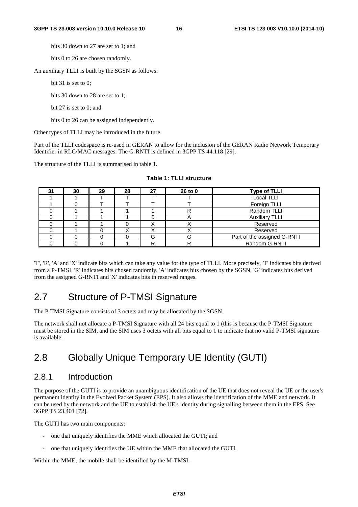bits 30 down to 27 are set to 1; and

bits 0 to 26 are chosen randomly.

An auxiliary TLLI is built by the SGSN as follows:

bit 31 is set to 0:

bits 30 down to 28 are set to 1;

bit 27 is set to 0; and

bits 0 to 26 can be assigned independently.

Other types of TLLI may be introduced in the future.

Part of the TLLI codespace is re-used in GERAN to allow for the inclusion of the GERAN Radio Network Temporary Identifier in RLC/MAC messages. The G-RNTI is defined in 3GPP TS 44.118 [29].

The structure of the TLLI is summarised in table 1.

| 31 | 30 | 29 | 28 | 27 | 26 to 0 | <b>Type of TLLI</b>         |
|----|----|----|----|----|---------|-----------------------------|
|    |    |    |    |    |         | Local TLLI                  |
|    |    |    |    |    |         | Foreign TLLI                |
|    |    |    |    |    |         | Random TLLI                 |
|    |    |    |    |    |         | <b>Auxiliary TLLI</b>       |
|    |    |    |    |    |         | Reserved                    |
|    |    |    |    |    |         | Reserved                    |
|    |    |    |    | G  | G       | Part of the assigned G-RNTI |
|    |    |    |    | רו | R       | Random G-RNTI               |

| Table 1: TLLI structure |  |
|-------------------------|--|
|-------------------------|--|

'T', 'R', 'A' and 'X' indicate bits which can take any value for the type of TLLI. More precisely, 'T' indicates bits derived from a P-TMSI, 'R' indicates bits chosen randomly, 'A' indicates bits chosen by the SGSN, 'G' indicates bits derived from the assigned G-RNTI and 'X' indicates bits in reserved ranges.

#### 2.7 Structure of P-TMSI Signature

The P-TMSI Signature consists of 3 octets and may be allocated by the SGSN.

The network shall not allocate a P-TMSI Signature with all 24 bits equal to 1 (this is because the P-TMSI Signature must be stored in the SIM, and the SIM uses 3 octets with all bits equal to 1 to indicate that no valid P-TMSI signature is available.

# 2.8 Globally Unique Temporary UE Identity (GUTI)

#### 2.8.1 Introduction

The purpose of the GUTI is to provide an unambiguous identification of the UE that does not reveal the UE or the user's permanent identity in the Evolved Packet System (EPS). It also allows the identification of the MME and network. It can be used by the network and the UE to establish the UE's identity during signalling between them in the EPS. See 3GPP TS 23.401 [72].

The GUTI has two main components:

- one that uniquely identifies the MME which allocated the GUTI; and
- one that uniquely identifies the UE within the MME that allocated the GUTI.

Within the MME, the mobile shall be identified by the M-TMSI.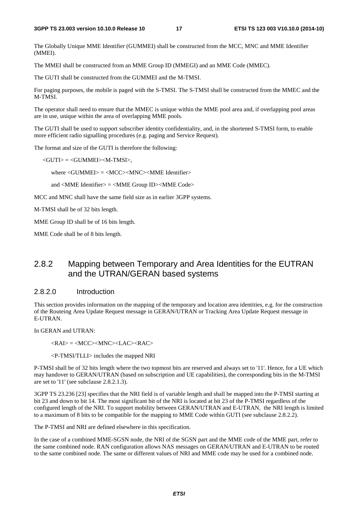The Globally Unique MME Identifier (GUMMEI) shall be constructed from the MCC, MNC and MME Identifier (MMEI).

The MMEI shall be constructed from an MME Group ID (MMEGI) and an MME Code (MMEC).

The GUTI shall be constructed from the GUMMEI and the M-TMSI.

For paging purposes, the mobile is paged with the S-TMSI. The S-TMSI shall be constructed from the MMEC and the M-TMSI.

The operator shall need to ensure that the MMEC is unique within the MME pool area and, if overlapping pool areas are in use, unique within the area of overlapping MME pools.

The GUTI shall be used to support subscriber identity confidentiality, and, in the shortened S-TMSI form, to enable more efficient radio signalling procedures (e.g. paging and Service Request).

The format and size of the GUTI is therefore the following:

<GUTI> = <GUMMEI><M-TMSI>,

where <GUMMEI> = <MCC><MNC><MME Identifier>

and <MME Identifier> = <MME Group ID><MME Code>

MCC and MNC shall have the same field size as in earlier 3GPP systems.

M-TMSI shall be of 32 bits length.

MME Group ID shall be of 16 bits length.

MME Code shall be of 8 bits length.

#### 2.8.2 Mapping between Temporary and Area Identities for the EUTRAN and the UTRAN/GERAN based systems

#### 2.8.2.0 Introduction

This section provides information on the mapping of the temporary and location area identities, e.g. for the construction of the Routeing Area Update Request message in GERAN/UTRAN or Tracking Area Update Request message in E-UTRAN.

In GERAN and UTRAN:

 $\langle RAI \rangle = \langle MCC \rangle \langle MNC \rangle \langle LAC \rangle \langle RAC \rangle$ 

<P-TMSI/TLLI> includes the mapped NRI

P-TMSI shall be of 32 bits length where the two topmost bits are reserved and always set to '11'. Hence, for a UE which may handover to GERAN/UTRAN (based on subscription and UE capabilities), the corresponding bits in the M-TMSI are set to '11' (see subclause 2.8.2.1.3).

3GPP TS 23.236 [23] specifies that the NRI field is of variable length and shall be mapped into the P-TMSI starting at bit 23 and down to bit 14. The most significant bit of the NRI is located at bit 23 of the P-TMSI regardless of the configured length of the NRI. To support mobility between GERAN/UTRAN and E-UTRAN, the NRI length is limited to a maximum of 8 bits to be compatible for the mapping to MME Code within GUTI (see subclause 2.8.2.2).

The P-TMSI and NRI are defined elsewhere in this specification.

In the case of a combined MME-SGSN node, the NRI of the SGSN part and the MME code of the MME part, refer to the same combined node. RAN configuration allows NAS messages on GERAN/UTRAN and E-UTRAN to be routed to the same combined node. The same or different values of NRI and MME code may be used for a combined node.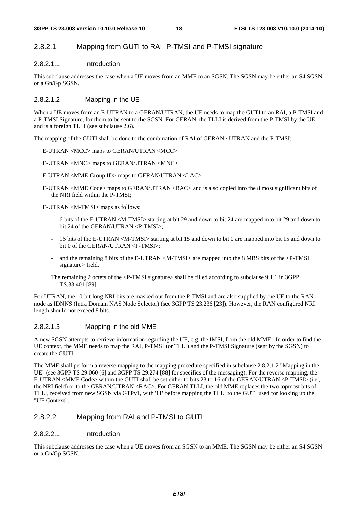#### 2.8.2.1 Mapping from GUTI to RAI, P-TMSI and P-TMSI signature

#### 2.8.2.1.1 Introduction

This subclause addresses the case when a UE moves from an MME to an SGSN. The SGSN may be either an S4 SGSN or a Gn/Gp SGSN.

#### 2.8.2.1.2 Mapping in the UE

When a UE moves from an E-UTRAN to a GERAN/UTRAN, the UE needs to map the GUTI to an RAI, a P-TMSI and a P-TMSI Signature, for them to be sent to the SGSN. For GERAN, the TLLI is derived from the P-TMSI by the UE and is a foreign TLLI (see subclause 2.6).

The mapping of the GUTI shall be done to the combination of RAI of GERAN / UTRAN and the P-TMSI:

E-UTRAN <MCC> maps to GERAN/UTRAN <MCC>

E-UTRAN <MNC> maps to GERAN/UTRAN <MNC>

E-UTRAN <MME Group ID> maps to GERAN/UTRAN <LAC>

E-UTRAN <MME Code> maps to GERAN/UTRAN <RAC> and is also copied into the 8 most significant bits of the NRI field within the P-TMSI;

E-UTRAN <M-TMSI> maps as follows:

- 6 bits of the E-UTRAN <M-TMSI> starting at bit 29 and down to bit 24 are mapped into bit 29 and down to bit 24 of the GERAN/UTRAN <P-TMSI>;
- 16 bits of the E-UTRAN <M-TMSI> starting at bit 15 and down to bit 0 are mapped into bit 15 and down to bit 0 of the GERAN/UTRAN <P-TMSI>;
- and the remaining 8 bits of the E-UTRAN <M-TMSI> are mapped into the 8 MBS bits of the <P-TMSI signature> field.
- The remaining 2 octets of the <P-TMSI signature> shall be filled according to subclause 9.1.1 in 3GPP TS.33.401 [89].

For UTRAN, the 10-bit long NRI bits are masked out from the P-TMSI and are also supplied by the UE to the RAN node as IDNNS (Intra Domain NAS Node Selector) (see 3GPP TS 23.236 [23]). However, the RAN configured NRI length should not exceed 8 bits.

#### 2.8.2.1.3 Mapping in the old MME

A new SGSN attempts to retrieve information regarding the UE, e.g. the IMSI, from the old MME. In order to find the UE context, the MME needs to map the RAI, P-TMSI (or TLLI) and the P-TMSI Signature (sent by the SGSN) to create the GUTI.

The MME shall perform a reverse mapping to the mapping procedure specified in subclause 2.8.2.1.2 "Mapping in the UE" (see 3GPP TS 29.060 [6] and 3GPP TS 29.274 [88] for specifics of the messaging). For the reverse mapping, the E-UTRAN <MME Code> within the GUTI shall be set either to bits 23 to 16 of the GERAN/UTRAN <P-TMSI> (i.e., the NRI field) or to the GERAN/UTRAN <RAC>. For GERAN TLLI, the old MME replaces the two topmost bits of TLLI, received from new SGSN via GTPv1, with '11' before mapping the TLLI to the GUTI used for looking up the "UE Context".

#### 2.8.2.2 Mapping from RAI and P-TMSI to GUTI

#### 2.8.2.2.1 Introduction

This subclause addresses the case when a UE moves from an SGSN to an MME. The SGSN may be either an S4 SGSN or a Gn/Gp SGSN.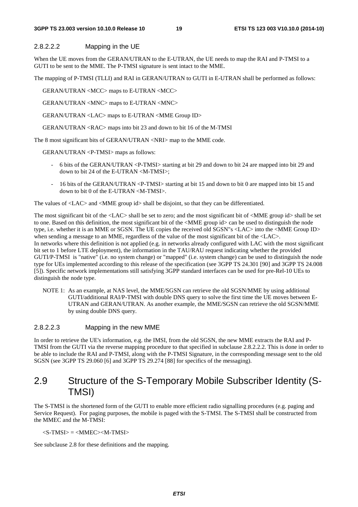#### **3GPP TS 23.003 version 10.10.0 Release 10 19 ETSI TS 123 003 V10.10.0 (2014-10)**

#### 2.8.2.2.2 Mapping in the UE

When the UE moves from the GERAN/UTRAN to the E-UTRAN, the UE needs to map the RAI and P-TMSI to a GUTI to be sent to the MME. The P-TMSI signature is sent intact to the MME.

The mapping of P-TMSI (TLLI) and RAI in GERAN/UTRAN to GUTI in E-UTRAN shall be performed as follows:

GERAN/UTRAN <MCC> maps to E-UTRAN <MCC>

GERAN/UTRAN <MNC> maps to E-UTRAN <MNC>

GERAN/UTRAN <LAC> maps to E-UTRAN <MME Group ID>

GERAN/UTRAN <RAC> maps into bit 23 and down to bit 16 of the M-TMSI

The 8 most significant bits of GERAN/UTRAN <NRI> map to the MME code.

GERAN/UTRAN <P-TMSI> maps as follows:

- 6 bits of the GERAN/UTRAN <P-TMSI> starting at bit 29 and down to bit 24 are mapped into bit 29 and down to bit 24 of the E-UTRAN <M-TMSI>;
- 16 bits of the GERAN/UTRAN <P-TMSI> starting at bit 15 and down to bit 0 are mapped into bit 15 and down to bit 0 of the E-UTRAN <M-TMSI>.

The values of <LAC> and <MME group id> shall be disjoint, so that they can be differentiated.

The most significant bit of the <LAC> shall be set to zero; and the most significant bit of <MME group id> shall be set to one. Based on this definition, the most significant bit of the <MME group id> can be used to distinguish the node type, i.e. whether it is an MME or SGSN. The UE copies the received old SGSN"s <LAC> into the <MME Group ID> when sending a message to an MME, regardless of the value of the most significant bit of the  $\langle$ LAC $>$ . In networks where this definition is not applied (e.g. in networks already configured with LAC with the most significant bit set to 1 before LTE deployment), the information in the TAU/RAU request indicating whether the provided GUTI/P-TMSI is "native" (i.e. no system change) or "mapped" (i.e. system change) can be used to distinguish the node type for UEs implemented according to this release of the specification (see 3GPP TS 24.301 [90] and 3GPP TS 24.008 [5]). Specific network implementations still satisfying 3GPP standard interfaces can be used for pre-Rel-10 UEs to distinguish the node type.

NOTE 1: As an example, at NAS level, the MME/SGSN can retrieve the old SGSN/MME by using additional GUTI/additional RAI/P-TMSI with double DNS query to solve the first time the UE moves between E-UTRAN and GERAN/UTRAN. As another example, the MME/SGSN can retrieve the old SGSN/MME by using double DNS query.

#### 2.8.2.2.3 Mapping in the new MME

In order to retrieve the UE's information, e.g. the IMSI, from the old SGSN, the new MME extracts the RAI and P-TMSI from the GUTI via the reverse mapping procedure to that specified in subclause 2.8.2.2.2. This is done in order to be able to include the RAI and P-TMSI, along with the P-TMSI Signature, in the corresponding message sent to the old SGSN (see 3GPP TS 29.060 [6] and 3GPP TS 29.274 [88] for specifics of the messaging).

# 2.9 Structure of the S-Temporary Mobile Subscriber Identity (S-TMSI)

The S-TMSI is the shortened form of the GUTI to enable more efficient radio signalling procedures (e.g. paging and Service Request). For paging purposes, the mobile is paged with the S-TMSI. The S-TMSI shall be constructed from the MMEC and the M-TMSI:

 $\langle$ S-TMSI $\rangle$  =  $\langle$ MMEC $\rangle$  $\langle$ M-TMSI $\rangle$ 

See subclause 2.8 for these definitions and the mapping.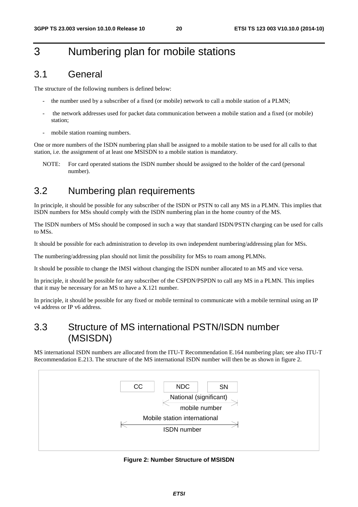# 3 Numbering plan for mobile stations

# 3.1 General

The structure of the following numbers is defined below:

- the number used by a subscriber of a fixed (or mobile) network to call a mobile station of a PLMN;
- the network addresses used for packet data communication between a mobile station and a fixed (or mobile) station;
- mobile station roaming numbers.

One or more numbers of the ISDN numbering plan shall be assigned to a mobile station to be used for all calls to that station, i.e. the assignment of at least one MSISDN to a mobile station is mandatory.

NOTE: For card operated stations the ISDN number should be assigned to the holder of the card (personal number).

# 3.2 Numbering plan requirements

In principle, it should be possible for any subscriber of the ISDN or PSTN to call any MS in a PLMN. This implies that ISDN numbers for MSs should comply with the ISDN numbering plan in the home country of the MS.

The ISDN numbers of MSs should be composed in such a way that standard ISDN/PSTN charging can be used for calls to MSs.

It should be possible for each administration to develop its own independent numbering/addressing plan for MSs.

The numbering/addressing plan should not limit the possibility for MSs to roam among PLMNs.

It should be possible to change the IMSI without changing the ISDN number allocated to an MS and vice versa.

In principle, it should be possible for any subscriber of the CSPDN/PSPDN to call any MS in a PLMN. This implies that it may be necessary for an MS to have a X.121 number.

In principle, it should be possible for any fixed or mobile terminal to communicate with a mobile terminal using an IP v4 address or IP v6 address.

# 3.3 Structure of MS international PSTN/ISDN number (MSISDN)

MS international ISDN numbers are allocated from the ITU-T Recommendation E.164 numbering plan; see also ITU-T Recommendation E.213. The structure of the MS international ISDN number will then be as shown in figure 2.



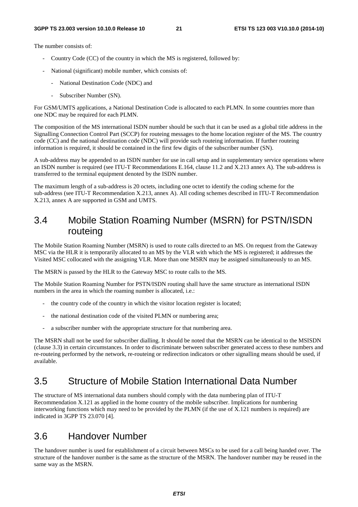The number consists of:

- Country Code (CC) of the country in which the MS is registered, followed by:
- National (significant) mobile number, which consists of:
	- National Destination Code (NDC) and
	- Subscriber Number (SN).

For GSM/UMTS applications, a National Destination Code is allocated to each PLMN. In some countries more than one NDC may be required for each PLMN.

The composition of the MS international ISDN number should be such that it can be used as a global title address in the Signalling Connection Control Part (SCCP) for routeing messages to the home location register of the MS. The country code (CC) and the national destination code (NDC) will provide such routeing information. If further routeing information is required, it should be contained in the first few digits of the subscriber number (SN).

A sub-address may be appended to an ISDN number for use in call setup and in supplementary service operations where an ISDN number is required (see ITU-T Recommendations E.164, clause 11.2 and X.213 annex A). The sub-address is transferred to the terminal equipment denoted by the ISDN number.

The maximum length of a sub-address is 20 octets, including one octet to identify the coding scheme for the sub-address (see ITU-T Recommendation X.213, annex A). All coding schemes described in ITU-T Recommendation X.213, annex A are supported in GSM and UMTS.

# 3.4 Mobile Station Roaming Number (MSRN) for PSTN/ISDN routeing

The Mobile Station Roaming Number (MSRN) is used to route calls directed to an MS. On request from the Gateway MSC via the HLR it is temporarily allocated to an MS by the VLR with which the MS is registered; it addresses the Visited MSC collocated with the assigning VLR. More than one MSRN may be assigned simultaneously to an MS.

The MSRN is passed by the HLR to the Gateway MSC to route calls to the MS.

The Mobile Station Roaming Number for PSTN/ISDN routing shall have the same structure as international ISDN numbers in the area in which the roaming number is allocated, i.e.:

- the country code of the country in which the visitor location register is located;
- the national destination code of the visited PLMN or numbering area;
- a subscriber number with the appropriate structure for that numbering area.

The MSRN shall not be used for subscriber dialling. It should be noted that the MSRN can be identical to the MSISDN (clause 3.3) in certain circumstances. In order to discriminate between subscriber generated access to these numbers and re-routeing performed by the network, re-routeing or redirection indicators or other signalling means should be used, if available.

#### 3.5 Structure of Mobile Station International Data Number

The structure of MS international data numbers should comply with the data numbering plan of ITU-T Recommendation X.121 as applied in the home country of the mobile subscriber. Implications for numbering interworking functions which may need to be provided by the PLMN (if the use of X.121 numbers is required) are indicated in 3GPP TS 23.070 [4].

# 3.6 Handover Number

The handover number is used for establishment of a circuit between MSCs to be used for a call being handed over. The structure of the handover number is the same as the structure of the MSRN. The handover number may be reused in the same way as the MSRN.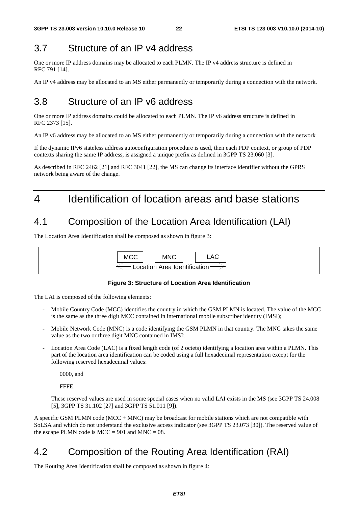## 3.7 Structure of an IP v4 address

One or more IP address domains may be allocated to each PLMN. The IP v4 address structure is defined in RFC 791 [14].

An IP v4 address may be allocated to an MS either permanently or temporarily during a connection with the network.

# 3.8 Structure of an IP v6 address

One or more IP address domains could be allocated to each PLMN. The IP v6 address structure is defined in RFC 2373 [15].

An IP v6 address may be allocated to an MS either permanently or temporarily during a connection with the network

If the dynamic IPv6 stateless address autoconfiguration procedure is used, then each PDP context, or group of PDP contexts sharing the same IP address, is assigned a unique prefix as defined in 3GPP TS 23.060 [3].

As described in RFC 2462 [21] and RFC 3041 [22], the MS can change its interface identifier without the GPRS network being aware of the change.

# 4 Identification of location areas and base stations

### 4.1 Composition of the Location Area Identification (LAI)

The Location Area Identification shall be composed as shown in figure 3:



#### **Figure 3: Structure of Location Area Identification**

The LAI is composed of the following elements:

- Mobile Country Code (MCC) identifies the country in which the GSM PLMN is located. The value of the MCC is the same as the three digit MCC contained in international mobile subscriber identity (IMSI);
- Mobile Network Code (MNC) is a code identifying the GSM PLMN in that country. The MNC takes the same value as the two or three digit MNC contained in IMSI;
- Location Area Code (LAC) is a fixed length code (of 2 octets) identifying a location area within a PLMN. This part of the location area identification can be coded using a full hexadecimal representation except for the following reserved hexadecimal values:

0000, and

FFFE.

 These reserved values are used in some special cases when no valid LAI exists in the MS (see 3GPP TS 24.008 [5], 3GPP TS 31.102 [27] and 3GPP TS 51.011 [9]).

A specific GSM PLMN code (MCC + MNC) may be broadcast for mobile stations which are not compatible with SoLSA and which do not understand the exclusive access indicator (see 3GPP TS 23.073 [30]). The reserved value of the escape PLMN code is  $MCC = 901$  and  $MNC = 08$ .

### 4.2 Composition of the Routing Area Identification (RAI)

The Routing Area Identification shall be composed as shown in figure 4: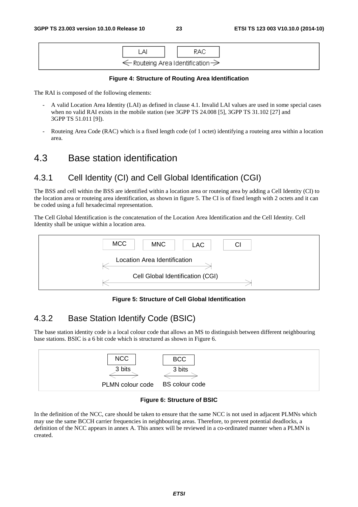

#### **Figure 4: Structure of Routing Area Identification**

The RAI is composed of the following elements:

- A valid Location Area Identity (LAI) as defined in clause 4.1. Invalid LAI values are used in some special cases when no valid RAI exists in the mobile station (see 3GPP TS 24.008 [5], 3GPP TS 31.102 [27] and 3GPP TS 51.011 [9]).
- Routeing Area Code (RAC) which is a fixed length code (of 1 octet) identifying a routeing area within a location area.

#### 4.3 Base station identification

#### 4.3.1 Cell Identity (CI) and Cell Global Identification (CGI)

The BSS and cell within the BSS are identified within a location area or routeing area by adding a Cell Identity (CI) to the location area or routeing area identification, as shown in figure 5. The CI is of fixed length with 2 octets and it can be coded using a full hexadecimal representation.

The Cell Global Identification is the concatenation of the Location Area Identification and the Cell Identity. Cell Identity shall be unique within a location area.



#### **Figure 5: Structure of Cell Global Identification**

#### 4.3.2 Base Station Identify Code (BSIC)

The base station identity code is a local colour code that allows an MS to distinguish between different neighbouring base stations. BSIC is a 6 bit code which is structured as shown in Figure 6.



#### **Figure 6: Structure of BSIC**

In the definition of the NCC, care should be taken to ensure that the same NCC is not used in adjacent PLMNs which may use the same BCCH carrier frequencies in neighbouring areas. Therefore, to prevent potential deadlocks, a definition of the NCC appears in annex A. This annex will be reviewed in a co-ordinated manner when a PLMN is created.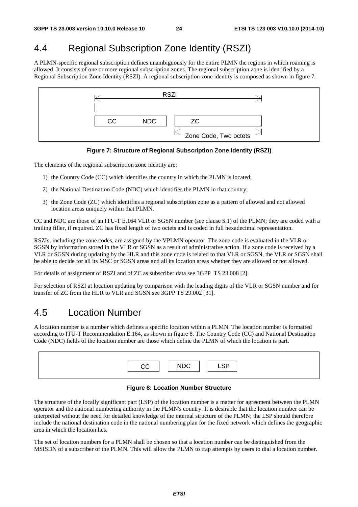# 4.4 Regional Subscription Zone Identity (RSZI)

A PLMN-specific regional subscription defines unambiguously for the entire PLMN the regions in which roaming is allowed. It consists of one or more regional subscription zones. The regional subscription zone is identified by a Regional Subscription Zone Identity (RSZI). A regional subscription zone identity is composed as shown in figure 7.



**Figure 7: Structure of Regional Subscription Zone Identity (RSZI)** 

The elements of the regional subscription zone identity are:

- 1) the Country Code (CC) which identifies the country in which the PLMN is located;
- 2) the National Destination Code (NDC) which identifies the PLMN in that country;
- 3) the Zone Code (ZC) which identifies a regional subscription zone as a pattern of allowed and not allowed location areas uniquely within that PLMN.

CC and NDC are those of an ITU-T E.164 VLR or SGSN number (see clause 5.1) of the PLMN; they are coded with a trailing filler, if required. ZC has fixed length of two octets and is coded in full hexadecimal representation.

RSZIs, including the zone codes, are assigned by the VPLMN operator. The zone code is evaluated in the VLR or SGSN by information stored in the VLR or SGSN as a result of administrative action. If a zone code is received by a VLR or SGSN during updating by the HLR and this zone code is related to that VLR or SGSN, the VLR or SGSN shall be able to decide for all its MSC or SGSN areas and all its location areas whether they are allowed or not allowed.

For details of assignment of RSZI and of ZC as subscriber data see 3GPP TS 23.008 [2].

For selection of RSZI at location updating by comparison with the leading digits of the VLR or SGSN number and for transfer of ZC from the HLR to VLR and SGSN see 3GPP TS 29.002 [31].

#### 4.5 Location Number

A location number is a number which defines a specific location within a PLMN. The location number is formatted according to ITU-T Recommendation E.164, as shown in figure 8. The Country Code (CC) and National Destination Code (NDC) fields of the location number are those which define the PLMN of which the location is part.

|  | <b>QD</b> |
|--|-----------|
|  |           |

#### **Figure 8: Location Number Structure**

The structure of the locally significant part (LSP) of the location number is a matter for agreement between the PLMN operator and the national numbering authority in the PLMN's country. It is desirable that the location number can be interpreted without the need for detailed knowledge of the internal structure of the PLMN; the LSP should therefore include the national destination code in the national numbering plan for the fixed network which defines the geographic area in which the location lies.

The set of location numbers for a PLMN shall be chosen so that a location number can be distinguished from the MSISDN of a subscriber of the PLMN. This will allow the PLMN to trap attempts by users to dial a location number.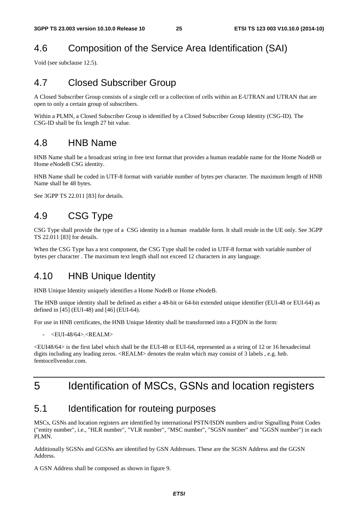# 4.6 Composition of the Service Area Identification (SAI)

Void (see subclause 12.5).

# 4.7 Closed Subscriber Group

A Closed Subscriber Group consists of a single cell or a collection of cells within an E-UTRAN and UTRAN that are open to only a certain group of subscribers.

Within a PLMN, a Closed Subscriber Group is identified by a Closed Subscriber Group Identity (CSG-ID). The CSG-ID shall be fix length 27 bit value.

### 4.8 HNB Name

HNB Name shall be a broadcast string in free text format that provides a human readable name for the Home NodeB or Home eNodeB CSG identity.

HNB Name shall be coded in UTF-8 format with variable number of bytes per character. The maximum length of HNB Name shall be 48 bytes.

See 3GPP TS 22.011 [83] for details.

# 4.9 CSG Type

CSG Type shall provide the type of a CSG identity in a human readable form. It shall reside in the UE only. See 3GPP TS 22.011 [83] for details.

When the CSG Type has a text component, the CSG Type shall be coded in UTF-8 format with variable number of bytes per character . The maximum text length shall not exceed 12 characters in any language.

### 4.10 HNB Unique Identity

HNB Unique Identity uniquely identifies a Home NodeB or Home eNodeB.

The HNB unique identity shall be defined as either a 48-bit or 64-bit extended unique identifier (EUI-48 or EUI-64) as defined in [45] (EUI-48) and [46] (EUI-64).

For use in HNB certificates, the HNB Unique Identity shall be transformed into a FQDN in the form:

 $\leq$ EUI-48/64> $\leq$ REALM $>$ 

<EUI48/64> is the first label which shall be the EUI-48 or EUI-64, represented as a string of 12 or 16 hexadecimal digits including any leading zeros. <REALM> denotes the realm which may consist of 3 labels , e.g. hnb. femtocellvendor.com

# 5 Identification of MSCs, GSNs and location registers

### 5.1 Identification for routeing purposes

MSCs, GSNs and location registers are identified by international PSTN/ISDN numbers and/or Signalling Point Codes ("entity number", i.e., "HLR number", "VLR number", "MSC number", "SGSN number" and "GGSN number") in each PLMN.

Additionally SGSNs and GGSNs are identified by GSN Addresses. These are the SGSN Address and the GGSN Address.

A GSN Address shall be composed as shown in figure 9.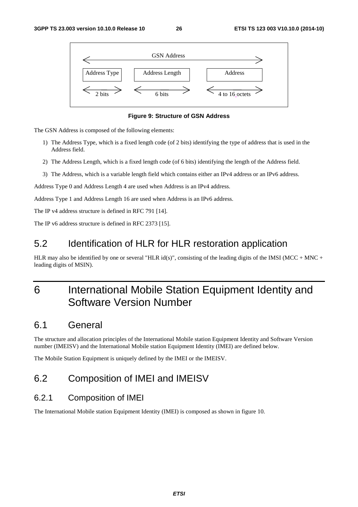

**Figure 9: Structure of GSN Address** 

The GSN Address is composed of the following elements:

- 1) The Address Type, which is a fixed length code (of 2 bits) identifying the type of address that is used in the Address field.
- 2) The Address Length, which is a fixed length code (of 6 bits) identifying the length of the Address field.
- 3) The Address, which is a variable length field which contains either an IPv4 address or an IPv6 address.

Address Type 0 and Address Length 4 are used when Address is an IPv4 address.

Address Type 1 and Address Length 16 are used when Address is an IPv6 address.

The IP v4 address structure is defined in RFC 791 [14].

The IP v6 address structure is defined in RFC 2373 [15].

# 5.2 Identification of HLR for HLR restoration application

HLR may also be identified by one or several "HLR id(s)", consisting of the leading digits of the IMSI (MCC + MNC + leading digits of MSIN).

# 6 International Mobile Station Equipment Identity and Software Version Number

### 6.1 General

The structure and allocation principles of the International Mobile station Equipment Identity and Software Version number (IMEISV) and the International Mobile station Equipment Identity (IMEI) are defined below.

The Mobile Station Equipment is uniquely defined by the IMEI or the IMEISV.

# 6.2 Composition of IMEI and IMEISV

#### 6.2.1 Composition of IMEI

The International Mobile station Equipment Identity (IMEI) is composed as shown in figure 10.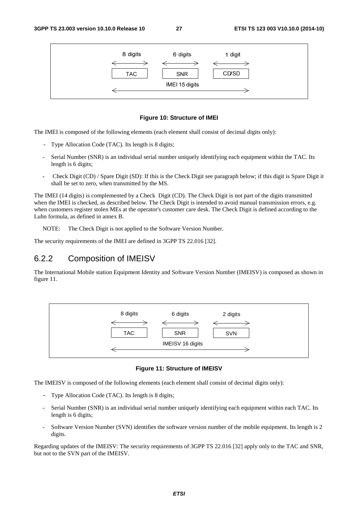

#### **Figure 10: Structure of IMEI**

The IMEI is composed of the following elements (each element shall consist of decimal digits only):

- Type Allocation Code (TAC). Its length is 8 digits;
- Serial Number (SNR) is an individual serial number uniquely identifying each equipment within the TAC. Its length is 6 digits;
- Check Digit (CD) / Spare Digit (SD): If this is the Check Digit see paragraph below; if this digit is Spare Digit it shall be set to zero, when transmitted by the MS.

The IMEI (14 digits) is complemented by a Check Digit (CD). The Check Digit is not part of the digits transmitted when the IMEI is checked, as described below. The Check Digit is intended to avoid manual transmission errors, e.g. when customers register stolen MEs at the operator's customer care desk. The Check Digit is defined according to the Luhn formula, as defined in annex B.

NOTE: The Check Digit is not applied to the Software Version Number.

The security requirements of the IMEI are defined in 3GPP TS 22.016 [32].

#### 6.2.2 Composition of IMEISV

The International Mobile station Equipment Identity and Software Version Number (IMEISV) is composed as shown in figure 11.



**Figure 11: Structure of IMEISV** 

The IMEISV is composed of the following elements (each element shall consist of decimal digits only):

- Type Allocation Code (TAC). Its length is 8 digits;
- Serial Number (SNR) is an individual serial number uniquely identifying each equipment within each TAC. Its length is 6 digits;
- Software Version Number (SVN) identifies the software version number of the mobile equipment. Its length is 2 digits.

Regarding updates of the IMEISV: The security requirements of 3GPP TS 22.016 [32] apply only to the TAC and SNR, but not to the SVN part of the IMEISV.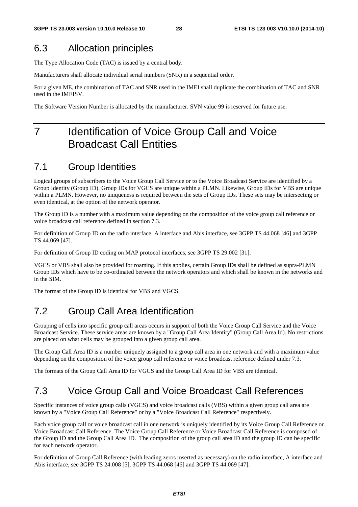# 6.3 Allocation principles

The Type Allocation Code (TAC) is issued by a central body.

Manufacturers shall allocate individual serial numbers (SNR) in a sequential order.

For a given ME, the combination of TAC and SNR used in the IMEI shall duplicate the combination of TAC and SNR used in the IMEISV.

The Software Version Number is allocated by the manufacturer. SVN value 99 is reserved for future use.

# 7 Identification of Voice Group Call and Voice Broadcast Call Entities

# 7.1 Group Identities

Logical groups of subscribers to the Voice Group Call Service or to the Voice Broadcast Service are identified by a Group Identity (Group ID). Group IDs for VGCS are unique within a PLMN. Likewise, Group IDs for VBS are unique within a PLMN. However, no uniqueness is required between the sets of Group IDs. These sets may be intersecting or even identical, at the option of the network operator.

The Group ID is a number with a maximum value depending on the composition of the voice group call reference or voice broadcast call reference defined in section 7.3.

For definition of Group ID on the radio interface, A interface and Abis interface, see 3GPP TS 44.068 [46] and 3GPP TS 44.069 [47].

For definition of Group ID coding on MAP protocol interfaces, see 3GPP TS 29.002 [31].

VGCS or VBS shall also be provided for roaming. If this applies, certain Group IDs shall be defined as supra-PLMN Group IDs which have to be co-ordinated between the network operators and which shall be known in the networks and in the SIM.

The format of the Group ID is identical for VBS and VGCS.

# 7.2 Group Call Area Identification

Grouping of cells into specific group call areas occurs in support of both the Voice Group Call Service and the Voice Broadcast Service. These service areas are known by a "Group Call Area Identity" (Group Call Area Id). No restrictions are placed on what cells may be grouped into a given group call area.

The Group Call Area ID is a number uniquely assigned to a group call area in one network and with a maximum value depending on the composition of the voice group call reference or voice broadcast reference defined under 7.3.

The formats of the Group Call Area ID for VGCS and the Group Call Area ID for VBS are identical.

### 7.3 Voice Group Call and Voice Broadcast Call References

Specific instances of voice group calls (VGCS) and voice broadcast calls (VBS) within a given group call area are known by a "Voice Group Call Reference" or by a "Voice Broadcast Call Reference" respectively.

Each voice group call or voice broadcast call in one network is uniquely identified by its Voice Group Call Reference or Voice Broadcast Call Reference. The Voice Group Call Reference or Voice Broadcast Call Reference is composed of the Group ID and the Group Call Area ID. The composition of the group call area ID and the group ID can be specific for each network operator.

For definition of Group Call Reference (with leading zeros inserted as necessary) on the radio interface, A interface and Abis interface, see 3GPP TS 24.008 [5], 3GPP TS 44.068 [46] and 3GPP TS 44.069 [47].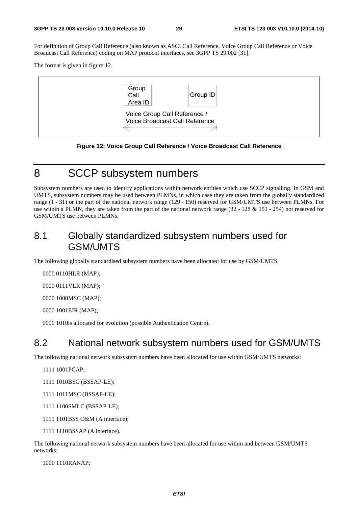For definition of Group Call Reference (also known as ASCI Call Reference, Voice Group Call Reference or Voice Broadcast Call Reference) coding on MAP protocol interfaces, see 3GPP TS 29.002 [31].

The format is given in figure 12.



**Figure 12: Voice Group Call Reference / Voice Broadcast Call Reference** 

## 8 SCCP subsystem numbers

Subsystem numbers are used to identify applications within network entities which use SCCP signalling. In GSM and UMTS, subsystem numbers may be used between PLMNs, in which case they are taken from the globally standardized range (1 - 31) or the part of the national network range (129 - 150) reserved for GSM/UMTS use between PLMNs. For use within a PLMN, they are taken from the part of the national network range (32 - 128 & 151 - 254) not reserved for GSM/UMTS use between PLMNs.

#### 8.1 Globally standardized subsystem numbers used for GSM/UMTS

The following globally standardised subsystem numbers have been allocated for use by GSM/UMTS:

0000 0110 HLR (MAP);

0000 0111 VLR (MAP);

0000 1000 MSC (MAP);

0000 1001 EIR (MAP);

0000 1010 is allocated for evolution (possible Authentication Centre).

### 8.2 National network subsystem numbers used for GSM/UMTS

The following national network subsystem numbers have been allocated for use within GSM/UMTS networks:

1111 1001 PCAP;

- 1111 1010BSC (BSSAP-LE);
- 1111 1011 MSC (BSSAP-LE);
- 1111 1100 SMLC (BSSAP-LE);
- 1111 1101BSS O&M (A interface);
- 1111 1110BSSAP (A interface).

The following national network subsystem numbers have been allocated for use within and between GSM/UMTS networks:

1000 1110 RANAP;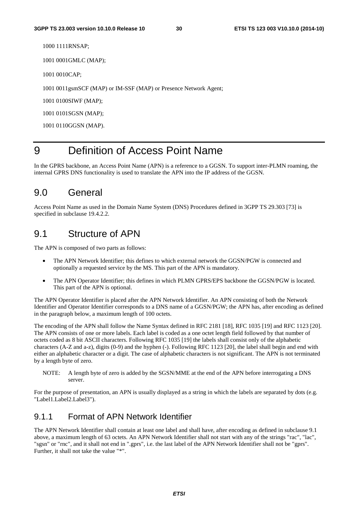1000 1111 RNSAP;

1001 0001 GMLC (MAP);

1001 0010 CAP;

1001 0011 gsmSCF (MAP) or IM-SSF (MAP) or Presence Network Agent;

1001 0100 SIWF (MAP);

1001 0101 SGSN (MAP);

1001 0110 GGSN (MAP).

# 9 Definition of Access Point Name

In the GPRS backbone, an Access Point Name (APN) is a reference to a GGSN. To support inter-PLMN roaming, the internal GPRS DNS functionality is used to translate the APN into the IP address of the GGSN.

#### 9.0 General

Access Point Name as used in the Domain Name System (DNS) Procedures defined in 3GPP TS 29.303 [73] is specified in subclause 19.4.2.2.

#### 9.1 Structure of APN

The APN is composed of two parts as follows:

- The APN Network Identifier: this defines to which external network the GGSN/PGW is connected and optionally a requested service by the MS. This part of the APN is mandatory.
- The APN Operator Identifier; this defines in which PLMN GPRS/EPS backbone the GGSN/PGW is located. This part of the APN is optional.

The APN Operator Identifier is placed after the APN Network Identifier. An APN consisting of both the Network Identifier and Operator Identifier corresponds to a DNS name of a GGSN/PGW; the APN has, after encoding as defined in the paragraph below, a maximum length of 100 octets.

The encoding of the APN shall follow the Name Syntax defined in RFC 2181 [18], RFC 1035 [19] and RFC 1123 [20]. The APN consists of one or more labels. Each label is coded as a one octet length field followed by that number of octets coded as 8 bit ASCII characters. Following RFC 1035 [19] the labels shall consist only of the alphabetic characters (A-Z and a-z), digits (0-9) and the hyphen (-). Following RFC 1123 [20], the label shall begin and end with either an alphabetic character or a digit. The case of alphabetic characters is not significant. The APN is not terminated by a length byte of zero.

NOTE: A length byte of zero is added by the SGSN/MME at the end of the APN before interrogating a DNS server.

For the purpose of presentation, an APN is usually displayed as a string in which the labels are separated by dots (e.g. "Label1.Label2.Label3").

#### 9.1.1 Format of APN Network Identifier

The APN Network Identifier shall contain at least one label and shall have, after encoding as defined in subclause 9.1 above, a maximum length of 63 octets. An APN Network Identifier shall not start with any of the strings "rac", "lac", "sgsn" or "rnc", and it shall not end in ".gprs", i.e. the last label of the APN Network Identifier shall not be "gprs". Further, it shall not take the value "\*".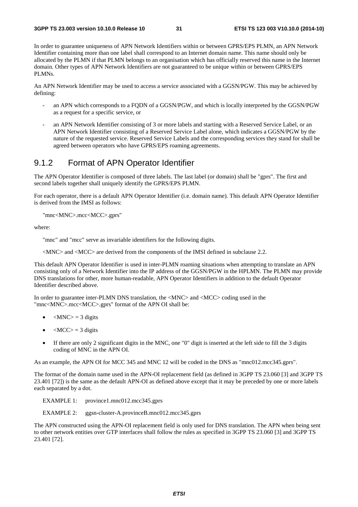In order to guarantee uniqueness of APN Network Identifiers within or between GPRS/EPS PLMN, an APN Network Identifier containing more than one label shall correspond to an Internet domain name. This name should only be allocated by the PLMN if that PLMN belongs to an organisation which has officially reserved this name in the Internet domain. Other types of APN Network Identifiers are not guaranteed to be unique within or between GPRS/EPS PLMNs.

An APN Network Identifier may be used to access a service associated with a GGSN/PGW. This may be achieved by defining:

- an APN which corresponds to a FQDN of a GGSN/PGW, and which is locally interpreted by the GGSN/PGW as a request for a specific service, or
- an APN Network Identifier consisting of 3 or more labels and starting with a Reserved Service Label, or an APN Network Identifier consisting of a Reserved Service Label alone, which indicates a GGSN/PGW by the nature of the requested service. Reserved Service Labels and the corresponding services they stand for shall be agreed between operators who have GPRS/EPS roaming agreements.

#### 9.1.2 Format of APN Operator Identifier

The APN Operator Identifier is composed of three labels. The last label (or domain) shall be "gprs". The first and second labels together shall uniquely identify the GPRS/EPS PLMN.

For each operator, there is a default APN Operator Identifier (i.e. domain name). This default APN Operator Identifier is derived from the IMSI as follows:

"mnc<MNC>.mcc<MCC>.gprs"

where:

"mnc" and "mcc" serve as invariable identifiers for the following digits.

<MNC> and <MCC> are derived from the components of the IMSI defined in subclause 2.2.

This default APN Operator Identifier is used in inter-PLMN roaming situations when attempting to translate an APN consisting only of a Network Identifier into the IP address of the GGSN/PGW in the HPLMN. The PLMN may provide DNS translations for other, more human-readable, APN Operator Identifiers in addition to the default Operator Identifier described above.

In order to guarantee inter-PLMN DNS translation, the <MNC> and <MCC> coding used in the "mnc<MNC>.mcc<MCC>.gprs" format of the APN OI shall be:

- $|MNC\rangle = 3$  digits
- $\langle MCC \rangle = 3$  digits
- If there are only 2 significant digits in the MNC, one "0" digit is inserted at the left side to fill the 3 digits coding of MNC in the APN OI.

As an example, the APN OI for MCC 345 and MNC 12 will be coded in the DNS as "mnc012.mcc345.gprs".

The format of the domain name used in the APN-OI replacement field (as defined in 3GPP TS 23.060 [3] and 3GPP TS 23.401 [72]) is the same as the default APN-OI as defined above except that it may be preceded by one or more labels each separated by a dot.

EXAMPLE 1: province1.mnc012.mcc345.gprs

EXAMPLE 2: ggsn-cluster-A.provinceB.mnc012.mcc345.gprs

The APN constructed using the APN-OI replacement field is only used for DNS translation. The APN when being sent to other network entities over GTP interfaces shall follow the rules as specified in 3GPP TS 23.060 [3] and 3GPP TS 23.401 [72].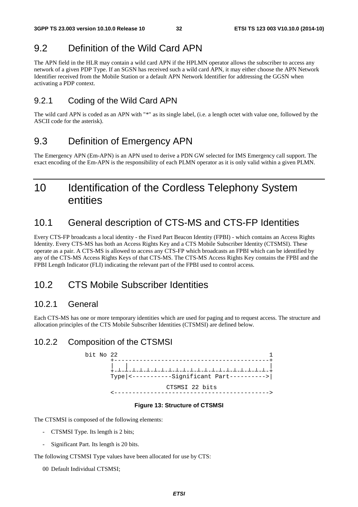### 9.2 Definition of the Wild Card APN

The APN field in the HLR may contain a wild card APN if the HPLMN operator allows the subscriber to access any network of a given PDP Type. If an SGSN has received such a wild card APN, it may either choose the APN Network Identifier received from the Mobile Station or a default APN Network Identifier for addressing the GGSN when activating a PDP context.

#### 9.2.1 Coding of the Wild Card APN

The wild card APN is coded as an APN with "\*" as its single label, (i.e. a length octet with value one, followed by the ASCII code for the asterisk).

### 9.3 Definition of Emergency APN

The Emergency APN (Em-APN) is an APN used to derive a PDN GW selected for IMS Emergency call support. The exact encoding of the Em-APN is the responsibility of each PLMN operator as it is only valid within a given PLMN.

# 10 Identification of the Cordless Telephony System entities

### 10.1 General description of CTS-MS and CTS-FP Identities

Every CTS-FP broadcasts a local identity - the Fixed Part Beacon Identity (FPBI) - which contains an Access Rights Identity. Every CTS-MS has both an Access Rights Key and a CTS Mobile Subscriber Identity (CTSMSI). These operate as a pair. A CTS-MS is allowed to access any CTS-FP which broadcasts an FPBI which can be identified by any of the CTS-MS Access Rights Keys of that CTS-MS. The CTS-MS Access Rights Key contains the FPBI and the FPBI Length Indicator (FLI) indicating the relevant part of the FPBI used to control access.

# 10.2 CTS Mobile Subscriber Identities

#### 10.2.1 General

Each CTS-MS has one or more temporary identities which are used for paging and to request access. The structure and allocation principles of the CTS Mobile Subscriber Identities (CTSMSI) are defined below.

#### 10.2.2 Composition of the CTSMSI



#### **Figure 13: Structure of CTSMSI**

The CTSMSI is composed of the following elements:

- CTSMSI Type. Its length is 2 bits;
- Significant Part. Its length is 20 bits.

The following CTSMSI Type values have been allocated for use by CTS:

00 Default Individual CTSMSI;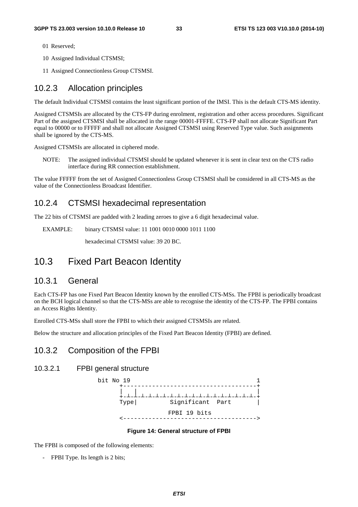- 01 Reserved;
- 10 Assigned Individual CTSMSI;
- 11 Assigned Connectionless Group CTSMSI.

#### 10.2.3 Allocation principles

The default Individual CTSMSI contains the least significant portion of the IMSI. This is the default CTS-MS identity.

Assigned CTSMSIs are allocated by the CTS-FP during enrolment, registration and other access procedures. Significant Part of the assigned CTSMSI shall be allocated in the range 00001-FFFFE. CTS-FP shall not allocate Significant Part equal to 00000 or to FFFFF and shall not allocate Assigned CTSMSI using Reserved Type value. Such assignments shall be ignored by the CTS-MS.

Assigned CTSMSIs are allocated in ciphered mode.

NOTE: The assigned individual CTSMSI should be updated whenever it is sent in clear text on the CTS radio interface during RR connection establishment.

The value FFFFF from the set of Assigned Connectionless Group CTSMSI shall be considered in all CTS-MS as the value of the Connectionless Broadcast Identifier.

#### 10.2.4 CTSMSI hexadecimal representation

The 22 bits of CTSMSI are padded with 2 leading zeroes to give a 6 digit hexadecimal value.

EXAMPLE: binary CTSMSI value: 11 1001 0010 0000 1011 1100

hexadecimal CTSMSI value: 39 20 BC.

### 10.3 Fixed Part Beacon Identity

#### 10.3.1 General

Each CTS-FP has one Fixed Part Beacon Identity known by the enrolled CTS-MSs. The FPBI is periodically broadcast on the BCH logical channel so that the CTS-MSs are able to recognise the identity of the CTS-FP. The FPBI contains an Access Rights Identity.

Enrolled CTS-MSs shall store the FPBI to which their assigned CTSMSIs are related.

Below the structure and allocation principles of the Fixed Part Beacon Identity (FPBI) are defined.

#### 10.3.2 Composition of the FPBI

#### 10.3.2.1 FPBI general structure



#### **Figure 14: General structure of FPBI**

The FPBI is composed of the following elements:

- FPBI Type. Its length is 2 bits;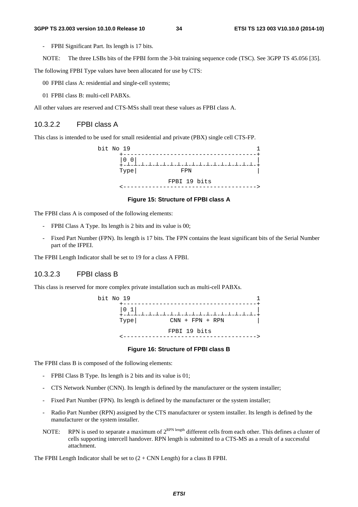- FPBI Significant Part. Its length is 17 bits.
- NOTE: The three LSBs bits of the FPBI form the 3-bit training sequence code (TSC). See 3GPP TS 45.056 [35].

The following FPBI Type values have been allocated for use by CTS:

- 00 FPBI class A: residential and single-cell systems;
- 01 FPBI class B: multi-cell PABXs.

All other values are reserved and CTS-MSs shall treat these values as FPBI class A.

#### 10.3.2.2 FPBI class A

This class is intended to be used for small residential and private (PBX) single cell CTS-FP.



#### **Figure 15: Structure of FPBI class A**

The FPBI class A is composed of the following elements:

- FPBI Class A Type. Its length is 2 bits and its value is 00;
- Fixed Part Number (FPN). Its length is 17 bits. The FPN contains the least significant bits of the Serial Number part of the IFPEI.

The FPBI Length Indicator shall be set to 19 for a class A FPBI.

#### 10.3.2.3 FPBI class B

This class is reserved for more complex private installation such as multi-cell PABXs.



#### **Figure 16: Structure of FPBI class B**

The FPBI class B is composed of the following elements:

- FPBI Class B Type. Its length is 2 bits and its value is 01;
- CTS Network Number (CNN). Its length is defined by the manufacturer or the system installer;
- Fixed Part Number (FPN). Its length is defined by the manufacturer or the system installer;
- Radio Part Number (RPN) assigned by the CTS manufacturer or system installer. Its length is defined by the manufacturer or the system installer.
- NOTE: RPN is used to separate a maximum of  $2^{RPN \text{ length}}$  different cells from each other. This defines a cluster of cells supporting intercell handover. RPN length is submitted to a CTS-MS as a result of a successful attachment.

The FPBI Length Indicator shall be set to  $(2 + CNN$  Length) for a class B FPBI.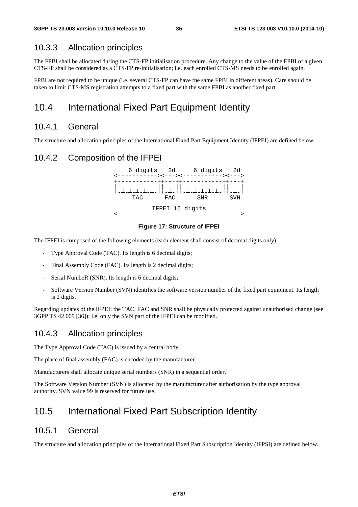#### 10.3.3 Allocation principles

The FPBI shall be allocated during the CTS-FP initialisation procedure. Any change to the value of the FPBI of a given CTS-FP shall be considered as a CTS-FP re-initialisation; i.e. each enrolled CTS-MS needs to be enrolled again.

FPBI are not required to be unique (i.e. several CTS-FP can have the same FPBI in different areas). Care should be taken to limit CTS-MS registration attempts to a fixed part with the same FPBI as another fixed part.

# 10.4 International Fixed Part Equipment Identity

#### 10.4.1 General

The structure and allocation principles of the International Fixed Part Equipment Identity (IFPEI) are defined below.

#### 10.4.2 Composition of the IFPEI



#### **Figure 17: Structure of IFPEI**

The IFPEI is composed of the following elements (each element shall consist of decimal digits only):

- Type Approval Code (TAC). Its length is 6 decimal digits;
- Final Assembly Code (FAC). Its length is 2 decimal digits;
- Serial NumbeR (SNR). Its length is 6 decimal digits;
- Software Version Number (SVN) identifies the software version number of the fixed part equipment. Its length is 2 digits.

Regarding updates of the IFPEI: the TAC, FAC and SNR shall be physically protected against unauthorised change (see 3GPP TS 42.009 [36]); i.e. only the SVN part of the IFPEI can be modified.

#### 10.4.3 Allocation principles

The Type Approval Code (TAC) is issued by a central body.

The place of final assembly (FAC) is encoded by the manufacturer.

Manufacturers shall allocate unique serial numbers (SNR) in a sequential order.

The Software Version Number (SVN) is allocated by the manufacturer after authorisation by the type approval authority. SVN value 99 is reserved for future use.

### 10.5 International Fixed Part Subscription Identity

#### 10.5.1 General

The structure and allocation principles of the International Fixed Part Subscription Identity (IFPSI) are defined below.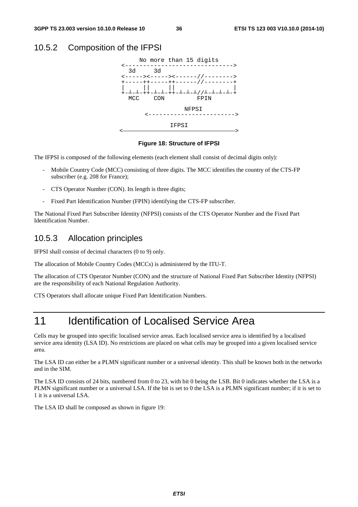### 10.5.2 Composition of the IFPSI



#### **Figure 18: Structure of IFPSI**

The IFPSI is composed of the following elements (each element shall consist of decimal digits only):

- Mobile Country Code (MCC) consisting of three digits. The MCC identifies the country of the CTS-FP subscriber (e.g. 208 for France);
- CTS Operator Number (CON). Its length is three digits;
- Fixed Part Identification Number (FPIN) identifying the CTS-FP subscriber.

The National Fixed Part Subscriber Identity (NFPSI) consists of the CTS Operator Number and the Fixed Part Identification Number.

### 10.5.3 Allocation principles

IFPSI shall consist of decimal characters (0 to 9) only.

The allocation of Mobile Country Codes (MCCs) is administered by the ITU-T.

The allocation of CTS Operator Number (CON) and the structure of National Fixed Part Subscriber Identity (NFPSI) are the responsibility of each National Regulation Authority.

CTS Operators shall allocate unique Fixed Part Identification Numbers.

# 11 Identification of Localised Service Area

Cells may be grouped into specific localised service areas. Each localised service area is identified by a localised service area identity (LSA ID). No restrictions are placed on what cells may be grouped into a given localised service area.

The LSA ID can either be a PLMN significant number or a universal identity. This shall be known both in the networks and in the SIM.

The LSA ID consists of 24 bits, numbered from 0 to 23, with bit 0 being the LSB. Bit 0 indicates whether the LSA is a PLMN significant number or a universal LSA. If the bit is set to 0 the LSA is a PLMN significant number; if it is set to 1 it is a universal LSA.

The LSA ID shall be composed as shown in figure 19: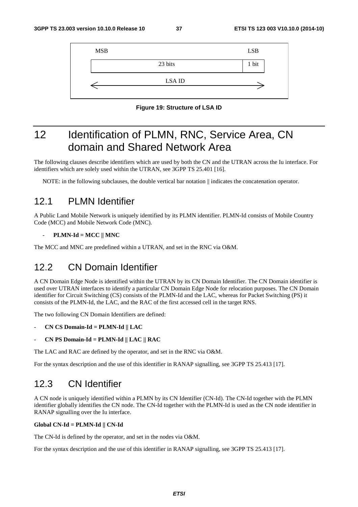

**Figure 19: Structure of LSA ID** 

# 12 Identification of PLMN, RNC, Service Area, CN domain and Shared Network Area

The following clauses describe identifiers which are used by both the CN and the UTRAN across the Iu interface. For identifiers which are solely used within the UTRAN, see 3GPP TS 25.401 [16].

NOTE: in the following subclauses, the double vertical bar notation  $\parallel$  indicates the concatenation operator.

## 12.1 PLMN Identifier

A Public Land Mobile Network is uniquely identified by its PLMN identifier. PLMN-Id consists of Mobile Country Code (MCC) and Mobile Network Code (MNC).

#### - **PLMN-Id = MCC || MNC**

The MCC and MNC are predefined within a UTRAN, and set in the RNC via O&M.

# 12.2 CN Domain Identifier

A CN Domain Edge Node is identified within the UTRAN by its CN Domain Identifier. The CN Domain identifier is used over UTRAN interfaces to identify a particular CN Domain Edge Node for relocation purposes. The CN Domain identifier for Circuit Switching (CS) consists of the PLMN-Id and the LAC, whereas for Packet Switching (PS) it consists of the PLMN-Id, the LAC, and the RAC of the first accessed cell in the target RNS.

The two following CN Domain Identifiers are defined:

- **CN CS Domain-Id = PLMN-Id || LAC**
- **CN PS Domain-Id = PLMN-Id || LAC || RAC**

The LAC and RAC are defined by the operator, and set in the RNC via O&M.

For the syntax description and the use of this identifier in RANAP signalling, see 3GPP TS 25.413 [17].

# 12.3 CN Identifier

A CN node is uniquely identified within a PLMN by its CN Identifier (CN-Id). The CN-Id together with the PLMN identifier globally identifies the CN node. The CN-Id together with the PLMN-Id is used as the CN node identifier in RANAP signalling over the Iu interface.

#### **Global CN-Id = PLMN-Id || CN-Id**

The CN-Id is defined by the operator, and set in the nodes via O&M.

For the syntax description and the use of this identifier in RANAP signalling, see 3GPP TS 25.413 [17].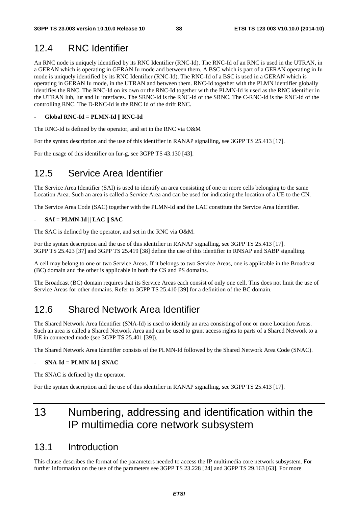# 12.4 RNC Identifier

An RNC node is uniquely identified by its RNC Identifier (RNC-Id). The RNC-Id of an RNC is used in the UTRAN, in a GERAN which is operating in GERAN Iu mode and between them. A BSC which is part of a GERAN operating in Iu mode is uniquely identified by its RNC Identifier (RNC-Id). The RNC-Id of a BSC is used in a GERAN which is operating in GERAN Iu mode, in the UTRAN and between them. RNC-Id together with the PLMN identifier globally identifies the RNC. The RNC-Id on its own or the RNC-Id together with the PLMN-Id is used as the RNC identifier in the UTRAN Iub, Iur and Iu interfaces. The SRNC-Id is the RNC-Id of the SRNC. The C-RNC-Id is the RNC-Id of the controlling RNC. The D-RNC-Id is the RNC Id of the drift RNC.

#### - **Global RNC-Id = PLMN-Id || RNC-Id**

The RNC-Id is defined by the operator, and set in the RNC via O&M

For the syntax description and the use of this identifier in RANAP signalling, see 3GPP TS 25.413 [17].

For the usage of this identifier on Iur-g, see 3GPP TS 43.130 [43].

# 12.5 Service Area Identifier

The Service Area Identifier (SAI) is used to identify an area consisting of one or more cells belonging to the same Location Area. Such an area is called a Service Area and can be used for indicating the location of a UE to the CN.

The Service Area Code (SAC) together with the PLMN-Id and the LAC constitute the Service Area Identifier.

#### - **SAI = PLMN-Id || LAC || SAC**

The SAC is defined by the operator, and set in the RNC via O&M.

For the syntax description and the use of this identifier in RANAP signalling, see 3GPP TS 25.413 [17]. 3GPP TS 25.423 [37] and 3GPP TS 25.419 [38] define the use of this identifier in RNSAP and SABP signalling.

A cell may belong to one or two Service Areas. If it belongs to two Service Areas, one is applicable in the Broadcast (BC) domain and the other is applicable in both the CS and PS domains.

The Broadcast (BC) domain requires that its Service Areas each consist of only one cell. This does not limit the use of Service Areas for other domains. Refer to 3GPP TS 25.410 [39] for a definition of the BC domain.

# 12.6 Shared Network Area Identifier

The Shared Network Area Identifier (SNA-Id) is used to identify an area consisting of one or more Location Areas. Such an area is called a Shared Network Area and can be used to grant access rights to parts of a Shared Network to a UE in connected mode (see 3GPP TS 25.401 [39]).

The Shared Network Area Identifier consists of the PLMN-Id followed by the Shared Network Area Code (SNAC).

#### - **SNA-Id = PLMN-Id || SNAC**

The SNAC is defined by the operator.

For the syntax description and the use of this identifier in RANAP signalling, see 3GPP TS 25.413 [17].

# 13 Numbering, addressing and identification within the IP multimedia core network subsystem

## 13.1 Introduction

This clause describes the format of the parameters needed to access the IP multimedia core network subsystem. For further information on the use of the parameters see 3GPP TS 23.228 [24] and 3GPP TS 29.163 [63]. For more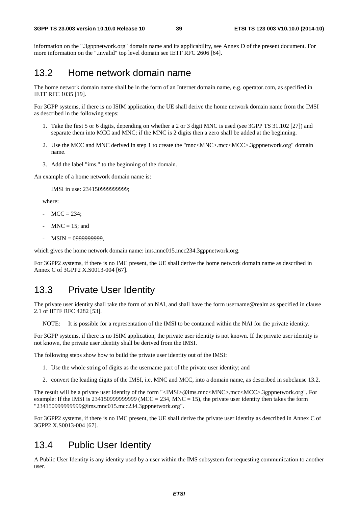information on the ".3gppnetwork.org" domain name and its applicability, see Annex D of the present document. For more information on the ".invalid" top level domain see IETF RFC 2606 [64].

# 13.2 Home network domain name

The home network domain name shall be in the form of an Internet domain name, e.g. operator.com, as specified in IETF RFC 1035 [19].

For 3GPP systems, if there is no ISIM application, the UE shall derive the home network domain name from the IMSI as described in the following steps:

- 1. Take the first 5 or 6 digits, depending on whether a 2 or 3 digit MNC is used (see 3GPP TS 31.102 [27]) and separate them into MCC and MNC; if the MNC is 2 digits then a zero shall be added at the beginning.
- 2. Use the MCC and MNC derived in step 1 to create the "mnc<MNC>.mcc<MCC>.3gppnetwork.org" domain name.
- 3. Add the label "ims." to the beginning of the domain.

An example of a home network domain name is:

IMSI in use: 234150999999999;

where:

- $MCC = 234$ ;
- $MNC = 15$ ; and
- MSIN = 0999999999,

which gives the home network domain name: ims.mnc015.mcc234.3gppnetwork.org.

For 3GPP2 systems, if there is no IMC present, the UE shall derive the home network domain name as described in Annex C of 3GPP2 X.S0013-004 [67].

## 13.3 Private User Identity

The private user identity shall take the form of an NAI, and shall have the form username@realm as specified in clause 2.1 of IETF RFC 4282 [53].

NOTE: It is possible for a representation of the IMSI to be contained within the NAI for the private identity.

For 3GPP systems, if there is no ISIM application, the private user identity is not known. If the private user identity is not known, the private user identity shall be derived from the IMSI.

The following steps show how to build the private user identity out of the IMSI:

- 1. Use the whole string of digits as the username part of the private user identity; and
- 2. convert the leading digits of the IMSI, i.e. MNC and MCC, into a domain name, as described in subclause 13.2.

The result will be a private user identity of the form "<IMSI>@ims.mnc<MNC>.mcc<MCC>.3gppnetwork.org". For example: If the IMSI is 2341509999999999 (MCC = 234, MNC = 15), the private user identity then takes the form "234150999999999@ims.mnc015.mcc234.3gppnetwork.org".

For 3GPP2 systems, if there is no IMC present, the UE shall derive the private user identity as described in Annex C of 3GPP2 X.S0013-004 [67].

## 13.4 Public User Identity

A Public User Identity is any identity used by a user within the IMS subsystem for requesting communication to another user.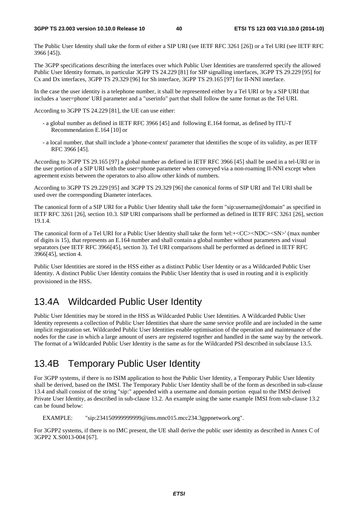The Public User Identity shall take the form of either a SIP URI (see IETF RFC 3261 [26]) or a Tel URI (see IETF RFC 3966 [45]).

The 3GPP specifications describing the interfaces over which Public User Identities are transferred specify the allowed Public User Identity formats, in particular 3GPP TS 24.229 [81] for SIP signalling interfaces, 3GPP TS 29.229 [95] for Cx and Dx interfaces, 3GPP TS 29.329 [96] for Sh interface, 3GPP TS 29.165 [97] for II-NNI interface.

In the case the user identity is a telephone number, it shall be represented either by a Tel URI or by a SIP URI that includes a 'user=phone' URI parameter and a "userinfo" part that shall follow the same format as the Tel URI.

According to 3GPP TS 24.229 [81], the UE can use either:

- a global number as defined in IETF RFC 3966 [45] and following E.164 format, as defined by ITU-T Recommendation E.164 [10] or
- a local number, that shall include a 'phone-context' parameter that identifies the scope of its validity, as per IETF RFC 3966 [45].

According to 3GPP TS 29.165 [97] a global number as defined in IETF RFC 3966 [45] shall be used in a tel-URI or in the user portion of a SIP URI with the user=phone parameter when conveyed via a non-roaming II-NNI except when agreement exists between the operators to also allow other kinds of numbers.

According to 3GPP TS 29.229 [95] and 3GPP TS 29.329 [96] the canonical forms of SIP URI and Tel URI shall be used over the corresponding Diameter interfaces.

The canonical form of a SIP URI for a Public User Identity shall take the form "sip:username@domain" as specified in IETF RFC 3261 [26], section 10.3. SIP URI comparisons shall be performed as defined in IETF RFC 3261 [26], section 19.1.4.

The canonical form of a Tel URI for a Public User Identity shall take the form 'tel:+<CC><NDC><SN>' (max number of digits is 15), that represents an E.164 number and shall contain a global number without parameters and visual separators (see IETF RFC 3966[45], section 3). Tel URI comparisons shall be performed as defined in IETF RFC 3966[45], section 4.

Public User Identities are stored in the HSS either as a distinct Public User Identity or as a Wildcarded Public User Identity. A distinct Public User Identity contains the Public User Identity that is used in routing and it is explicitly provisioned in the HSS.

# 13.4A Wildcarded Public User Identity

Public User Identities may be stored in the HSS as Wildcarded Public User Identities. A Wildcarded Public User Identity represents a collection of Public User Identities that share the same service profile and are included in the same implicit registration set. Wildcarded Public User Identities enable optimisation of the operation and maintenance of the nodes for the case in which a large amount of users are registered together and handled in the same way by the network. The format of a Wildcarded Public User Identity is the same as for the Wildcarded PSI described in subclause 13.5.

# 13.4B Temporary Public User Identity

For 3GPP systems, if there is no ISIM application to host the Public User Identity, a Temporary Public User Identity shall be derived, based on the IMSI. The Temporary Public User Identity shall be of the form as described in sub-clause 13.4 and shall consist of the string "sip:" appended with a username and domain portion equal to the IMSI derived Private User Identity, as described in sub-clause 13.2. An example using the same example IMSI from sub-clause 13.2 can be found below:

EXAMPLE: "sip:234150999999999@ims.mnc015.mcc234.3gppnetwork.org".

For 3GPP2 systems, if there is no IMC present, the UE shall derive the public user identity as described in Annex C of 3GPP2 X.S0013-004 [67].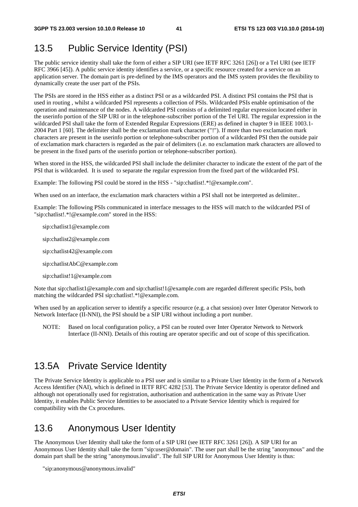# 13.5 Public Service Identity (PSI)

The public service identity shall take the form of either a SIP URI (see IETF RFC 3261 [26]) or a Tel URI (see IETF RFC 3966 [45]). A public service identity identifies a service, or a specific resource created for a service on an application server. The domain part is pre-defined by the IMS operators and the IMS system provides the flexibility to dynamically create the user part of the PSIs.

The PSIs are stored in the HSS either as a distinct PSI or as a wildcarded PSI. A distinct PSI contains the PSI that is used in routing , whilst a wildcarded PSI represents a collection of PSIs. Wildcarded PSIs enable optimisation of the operation and maintenance of the nodes. A wildcarded PSI consists of a delimited regular expression located either in the userinfo portion of the SIP URI or in the telephone-subscriber portion of the Tel URI. The regular expression in the wildcarded PSI shall take the form of Extended Regular Expressions (ERE) as defined in chapter 9 in IEEE 1003.1-2004 Part 1 [60]. The delimiter shall be the exclamation mark character ("!"). If more than two exclamation mark characters are present in the userinfo portion or telephone-subscriber portion of a wildcarded PSI then the outside pair of exclamation mark characters is regarded as the pair of delimiters (i.e. no exclamation mark characters are allowed to be present in the fixed parts of the userinfo portion or telephone-subscriber portion).

When stored in the HSS, the wildcarded PSI shall include the delimiter character to indicate the extent of the part of the PSI that is wildcarded. It is used to separate the regular expression from the fixed part of the wildcarded PSI.

Example: The following PSI could be stored in the HSS - "sip:chatlist!.\*!@example.com".

When used on an interface, the exclamation mark characters within a PSI shall not be interpreted as delimiter..

Example: The following PSIs communicated in interface messages to the HSS will match to the wildcarded PSI of "sip:chatlist!.\*!@example.com" stored in the HSS:

- sip:chatlist1@example.com
- sip:chatlist2@example.com
- sip:chatlist42@example.com
- sip:chatlistAbC@example.com
- sip:chatlist!1@example.com

Note that sip:chatlist1@example.com and sip:chatlist!1@example.com are regarded different specific PSIs, both matching the wildcarded PSI sip:chatlist!.\*!@example.com.

When used by an application server to identify a specific resource (e.g. a chat session) over Inter Operator Network to Network Interface (II-NNI), the PSI should be a SIP URI without including a port number.

NOTE: Based on local configuration policy, a PSI can be routed over Inter Operator Network to Network Interface (II-NNI). Details of this routing are operator specific and out of scope of this specification.

# 13.5A Private Service Identity

The Private Service Identity is applicable to a PSI user and is similar to a Private User Identity in the form of a Network Access Identifier (NAI), which is defined in IETF RFC 4282 [53]. The Private Service Identity is operator defined and although not operationally used for registration, authorisation and authentication in the same way as Private User Identity, it enables Public Service Identities to be associated to a Private Service Identity which is required for compatibility with the Cx procedures.

# 13.6 Anonymous User Identity

The Anonymous User Identity shall take the form of a SIP URI (see IETF RFC 3261 [26]). A SIP URI for an Anonymous User Identity shall take the form "sip:user@domain". The user part shall be the string "anonymous" and the domain part shall be the string "anonymous.invalid". The full SIP URI for Anonymous User Identity is thus:

<sup>&</sup>quot;sip:anonymous@anonymous.invalid"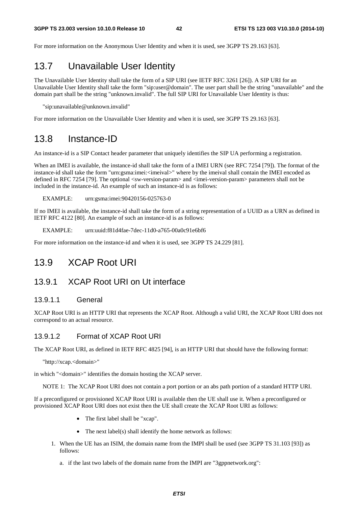For more information on the Anonymous User Identity and when it is used, see 3GPP TS 29.163 [63].

# 13.7 Unavailable User Identity

The Unavailable User Identity shall take the form of a SIP URI (see IETF RFC 3261 [26]). A SIP URI for an Unavailable User Identity shall take the form "sip:user@domain". The user part shall be the string "unavailable" and the domain part shall be the string "unknown.invalid". The full SIP URI for Unavailable User Identity is thus:

"sip:unavailable@unknown.invalid"

For more information on the Unavailable User Identity and when it is used, see 3GPP TS 29.163 [63].

## 13.8 Instance-ID

An instance-id is a SIP Contact header parameter that uniquely identifies the SIP UA performing a registration.

When an IMEI is available, the instance-id shall take the form of a IMEI URN (see RFC 7254 [79]). The format of the instance-id shall take the form "urn:gsma:imei:<imeival>" where by the imeival shall contain the IMEI encoded as defined in RFC 7254 [79]. The optional <sw-version-param> and <imei-version-param> parameters shall not be included in the instance-id. An example of such an instance-id is as follows:

EXAMPLE: urn:gsma:imei:90420156-025763-0

If no IMEI is available, the instance-id shall take the form of a string representation of a UUID as a URN as defined in IETF RFC 4122 [80]. An example of such an instance-id is as follows:

EXAMPLE: urn:uuid:f81d4fae-7dec-11d0-a765-00a0c91e6bf6

For more information on the instance-id and when it is used, see 3GPP TS 24.229 [81].

## 13.9 XCAP Root URI

#### 13.9.1 XCAP Root URI on Ut interface

#### 13.9.1.1 General

XCAP Root URI is an HTTP URI that represents the XCAP Root. Although a valid URI, the XCAP Root URI does not correspond to an actual resource.

#### 13.9.1.2 Format of XCAP Root URI

The XCAP Root URI, as defined in IETF RFC 4825 [94], is an HTTP URI that should have the following format:

"http://xcap.<domain>"

in which "<domain>" identifies the domain hosting the XCAP server.

NOTE 1: The XCAP Root URI does not contain a port portion or an abs path portion of a standard HTTP URI.

If a preconfigured or provisioned XCAP Root URI is available then the UE shall use it. When a preconfigured or provisioned XCAP Root URI does not exist then the UE shall create the XCAP Root URI as follows:

- The first label shall be "xcap".
- The next label(s) shall identify the home network as follows:
- 1. When the UE has an ISIM, the domain name from the IMPI shall be used (see 3GPP TS 31.103 [93]) as follows:
	- a. if the last two labels of the domain name from the IMPI are "3gppnetwork.org":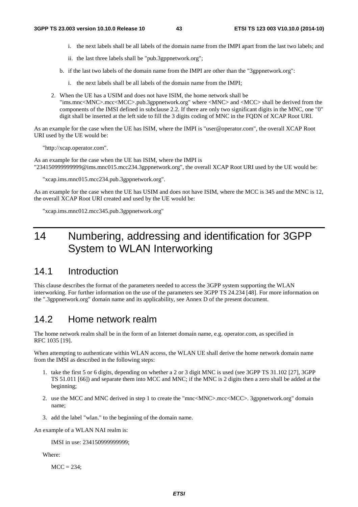- i. the next labels shall be all labels of the domain name from the IMPI apart from the last two labels; and
- ii. the last three labels shall be "pub.3gppnetwork.org";
- b. if the last two labels of the domain name from the IMPI are other than the "3gppnetwork.org":
	- i. the next labels shall be all labels of the domain name from the IMPI;
- 2. When the UE has a USIM and does not have ISIM, the home network shall be "ims.mnc<MNC>.mcc<MCC>.pub.3gppnetwork.org" where <MNC> and <MCC> shall be derived from the components of the IMSI defined in subclause 2.2. If there are only two significant digits in the MNC, one "0" digit shall be inserted at the left side to fill the 3 digits coding of MNC in the FQDN of XCAP Root URI.

As an example for the case when the UE has ISIM, where the IMPI is "user@operator.com", the overall XCAP Root URI used by the UE would be:

"http://xcap.operator.com".

As an example for the case when the UE has ISIM, where the IMPI is "234150999999999@ims.mnc015.mcc234.3gppnetwork.org", the overall XCAP Root URI used by the UE would be:

"xcap.ims.mnc015.mcc234.pub.3gppnetwork.org".

As an example for the case when the UE has USIM and does not have ISIM, where the MCC is 345 and the MNC is 12, the overall XCAP Root URI created and used by the UE would be:

"xcap.ims.mnc012.mcc345.pub.3gppnetwork.org"

# 14 Numbering, addressing and identification for 3GPP System to WLAN Interworking

## 14.1 Introduction

This clause describes the format of the parameters needed to access the 3GPP system supporting the WLAN interworking. For further information on the use of the parameters see 3GPP TS 24.234 [48]. For more information on the ".3gppnetwork.org" domain name and its applicability, see Annex D of the present document.

## 14.2 Home network realm

The home network realm shall be in the form of an Internet domain name, e.g. operator.com, as specified in RFC 1035 [19].

When attempting to authenticate within WLAN access, the WLAN UE shall derive the home network domain name from the IMSI as described in the following steps:

- 1. take the first 5 or 6 digits, depending on whether a 2 or 3 digit MNC is used (see 3GPP TS 31.102 [27], 3GPP TS 51.011 [66]) and separate them into MCC and MNC; if the MNC is 2 digits then a zero shall be added at the beginning;
- 2. use the MCC and MNC derived in step 1 to create the "mnc<MNC>.mcc<MCC>. 3gppnetwork.org" domain name;
- 3. add the label "wlan." to the beginning of the domain name.

An example of a WLAN NAI realm is:

IMSI in use: 234150999999999;

Where:

 $MCC = 234$ ;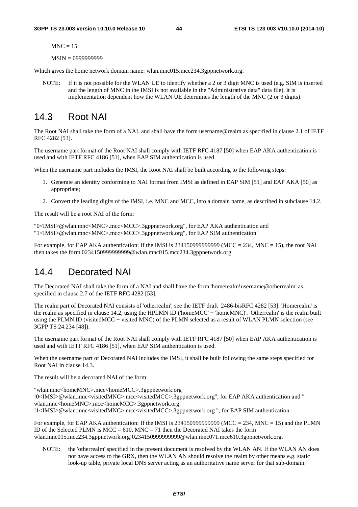$MNC = 15$ :

MSIN = 0999999999

Which gives the home network domain name: wlan.mnc015.mcc234.3gppnetwork.org.

NOTE: If it is not possible for the WLAN UE to identify whether a 2 or 3 digit MNC is used (e.g. SIM is inserted and the length of MNC in the IMSI is not available in the "Administrative data" data file), it is implementation dependent how the WLAN UE determines the length of the MNC (2 or 3 digits).

# 14.3 Root NAI

The Root NAI shall take the form of a NAI, and shall have the form username@realm as specified in clause 2.1 of IETF RFC 4282 [53].

The username part format of the Root NAI shall comply with IETF RFC 4187 [50] when EAP AKA authentication is used and with IETF RFC 4186 [51], when EAP SIM authentication is used.

When the username part includes the IMSI, the Root NAI shall be built according to the following steps:

- 1. Generate an identity conforming to NAI format from IMSI as defined in EAP SIM [51] and EAP AKA [50] as appropriate;
- 2. Convert the leading digits of the IMSI, i.e. MNC and MCC, into a domain name, as described in subclause 14.2.

The result will be a root NAI of the form:

"0<IMSI>@wlan.mnc<MNC>.mcc<MCC>.3gppnetwork.org", for EAP AKA authentication and "1<IMSI>@wlan.mnc<MNC>.mcc<MCC>.3gppnetwork.org", for EAP SIM authentication

For example, for EAP AKA authentication: If the IMSI is  $2341509999999999$  (MCC = 234, MNC = 15), the root NAI then takes the form 0234150999999999@wlan.mnc015.mcc234.3gppnetwork.org.

## 14.4 Decorated NAI

The Decorated NAI shall take the form of a NAI and shall have the form 'homerealm!username@otherrealm' as specified in clause 2.7 of the IETF RFC 4282 [53].

The realm part of Decorated NAI consists of 'otherrealm', see the IETF draft 2486-bisRFC 4282 [53]. 'Homerealm' is the realm as specified in clause 14.2, using the HPLMN ID ('homeMCC' + 'homeMNC)'. 'Otherrealm' is the realm built using the PLMN ID (visitedMCC + visited MNC) of the PLMN selected as a result of WLAN PLMN selection (see 3GPP TS 24.234 [48]).

The username part format of the Root NAI shall comply with IETF RFC 4187 [50] when EAP AKA authentication is used and with IETF RFC 4186 [51], when EAP SIM authentication is used.

When the username part of Decorated NAI includes the IMSI, it shall be built following the same steps specified for Root NAI in clause 14.3.

The result will be a decorated NAI of the form:

"wlan.mnc<homeMNC>.mcc<homeMCC>.3gppnetwork.org !0<IMSI>@wlan.mnc<visitedMNC>.mcc<visitedMCC>.3gppnetwork.org", for EAP AKA authentication and " wlan.mnc<homeMNC>.mcc<homeMCC>.3gppnetwork.org !1<IMSI>@wlan.mnc<visitedMNC>.mcc<visitedMCC>.3gppnetwork.org ", for EAP SIM authentication

For example, for EAP AKA authentication: If the IMSI is  $234150999999999999$  (MCC = 234, MNC = 15) and the PLMN ID of the Selected PLMN is  $MCC = 610$ ,  $MNC = 71$  then the Decorated NAI takes the form wlan.mnc015.mcc234.3gppnetwork.org!0234150999999999@wlan.mnc071.mcc610.3gppnetwork.org.

NOTE: the 'otherrealm' specified in the present document is resolved by the WLAN AN. If the WLAN AN does not have access to the GRX, then the WLAN AN should resolve the realm by other means e.g. static look-up table, private local DNS server acting as an authoritative name server for that sub-domain.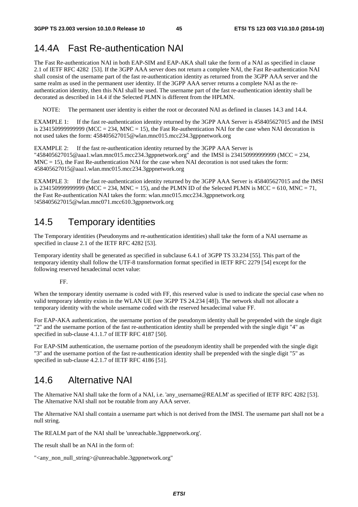# 14.4A Fast Re-authentication NAI

The Fast Re-authentication NAI in both EAP-SIM and EAP-AKA shall take the form of a NAI as specified in clause 2.1 of IETF RFC 4282 [53]. If the 3GPP AAA server does not return a complete NAI, the Fast Re-authentication NAI shall consist of the username part of the fast re-authentication identity as returned from the 3GPP AAA server and the same realm as used in the permanent user identity. If the 3GPP AAA server returns a complete NAI as the reauthentication identity, then this NAI shall be used. The username part of the fast re-authentication identity shall be decorated as described in 14.4 if the Selected PLMN is different from the HPLMN.

NOTE: The permanent user identity is either the root or decorated NAI as defined in clauses 14.3 and 14.4.

EXAMPLE 1: If the fast re-authentication identity returned by the 3GPP AAA Server is 458405627015 and the IMSI is 2341509999999999 (MCC = 234, MNC = 15), the Fast Re-authentication NAI for the case when NAI decoration is not used takes the form: 458405627015@wlan.mnc015.mcc234.3gppnetwork.org

EXAMPLE 2: If the fast re-authentication identity returned by the 3GPP AAA Server is "458405627015@aaa1.wlan.mnc015.mcc234.3gppnetwork.org" and the IMSI is 234150999999999 (MCC = 234,  $MNC = 15$ ), the Fast Re-authentication NAI for the case when NAI decoration is not used takes the form: 458405627015@aaa1.wlan.mnc015.mcc234.3gppnetwork.org

EXAMPLE 3: If the fast re-authentication identity returned by the 3GPP AAA Server is 458405627015 and the IMSI is 2341509999999999999 (MCC = 234, MNC = 15), and the PLMN ID of the Selected PLMN is MCC = 610, MNC = 71, the Fast Re-authentication NAI takes the form: wlan.mnc015.mcc234.3gppnetwork.org !458405627015@wlan.mnc071.mcc610.3gppnetwork.org

# 14.5 Temporary identities

The Temporary identities (Pseudonyms and re-authentication identities) shall take the form of a NAI username as specified in clause 2.1 of the IETF RFC 4282 [53].

Temporary identity shall be generated as specified in subclause 6.4.1 of 3GPP TS 33.234 [55]. This part of the temporary identity shall follow the UTF-8 transformation format specified in IETF RFC 2279 [54] except for the following reserved hexadecimal octet value:

FF.

When the temporary identity username is coded with FF, this reserved value is used to indicate the special case when no valid temporary identity exists in the WLAN UE (see 3GPP TS 24.234 [48]). The network shall not allocate a temporary identity with the whole username coded with the reserved hexadecimal value FF.

For EAP-AKA authentication, the username portion of the pseudonym identity shall be prepended with the single digit "2" and the username portion of the fast re-authentication identity shall be prepended with the single digit "4" as specified in sub-clause 4.1.1.7 of IETF RFC 4187 [50].

For EAP-SIM authentication, the username portion of the pseudonym identity shall be prepended with the single digit "3" and the username portion of the fast re-authentication identity shall be prepended with the single digit "5" as specified in sub-clause 4.2.1.7 of IETF RFC 4186 [51].

# 14.6 Alternative NAI

The Alternative NAI shall take the form of a NAI, i.e. 'any\_username@REALM' as specified of IETF RFC 4282 [53]. The Alternative NAI shall not be routable from any AAA server.

The Alternative NAI shall contain a username part which is not derived from the IMSI. The username part shall not be a null string.

The REALM part of the NAI shall be 'unreachable.3gppnetwork.org'.

The result shall be an NAI in the form of:

```
"<any_non_null_string>@unreachable.3gppnetwork.org"
```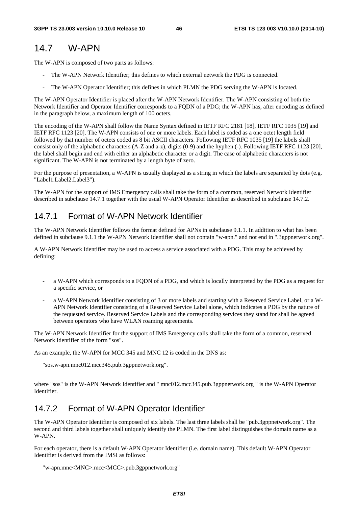# 14.7 W-APN

The W-APN is composed of two parts as follows:

- The W-APN Network Identifier; this defines to which external network the PDG is connected.
- The W-APN Operator Identifier; this defines in which PLMN the PDG serving the W-APN is located.

The W-APN Operator Identifier is placed after the W-APN Network Identifier. The W-APN consisting of both the Network Identifier and Operator Identifier corresponds to a FQDN of a PDG; the W-APN has, after encoding as defined in the paragraph below, a maximum length of 100 octets.

The encoding of the W-APN shall follow the Name Syntax defined in IETF RFC 2181 [18], IETF RFC 1035 [19] and IETF RFC 1123 [20]. The W-APN consists of one or more labels. Each label is coded as a one octet length field followed by that number of octets coded as 8 bit ASCII characters. Following IETF RFC 1035 [19] the labels shall consist only of the alphabetic characters (A-Z and a-z), digits (0-9) and the hyphen (-). Following IETF RFC 1123 [20], the label shall begin and end with either an alphabetic character or a digit. The case of alphabetic characters is not significant. The W-APN is not terminated by a length byte of zero.

For the purpose of presentation, a W-APN is usually displayed as a string in which the labels are separated by dots (e.g. "Label1.Label2.Label3").

The W-APN for the support of IMS Emergency calls shall take the form of a common, reserved Network Identifier described in subclause 14.7.1 together with the usual W-APN Operator Identifier as described in subclause 14.7.2.

# 14.7.1 Format of W-APN Network Identifier

The W-APN Network Identifier follows the format defined for APNs in subclause 9.1.1. In addition to what has been defined in subclause 9.1.1 the W-APN Network Identifier shall not contain "w-apn." and not end in ".3gppnetwork.org".

A W-APN Network Identifier may be used to access a service associated with a PDG. This may be achieved by defining:

- a W-APN which corresponds to a FQDN of a PDG, and which is locally interpreted by the PDG as a request for a specific service, or
- a W-APN Network Identifier consisting of 3 or more labels and starting with a Reserved Service Label, or a W-APN Network Identifier consisting of a Reserved Service Label alone, which indicates a PDG by the nature of the requested service. Reserved Service Labels and the corresponding services they stand for shall be agreed between operators who have WLAN roaming agreements.

The W-APN Network Identifier for the support of IMS Emergency calls shall take the form of a common, reserved Network Identifier of the form "sos".

As an example, the W-APN for MCC 345 and MNC 12 is coded in the DNS as:

"sos.w-apn.mnc012.mcc345.pub.3gppnetwork.org".

where "sos" is the W-APN Network Identifier and " mnc012.mcc345.pub.3gppnetwork.org " is the W-APN Operator Identifier.

# 14.7.2 Format of W-APN Operator Identifier

The W-APN Operator Identifier is composed of six labels. The last three labels shall be "pub.3gppnetwork.org". The second and third labels together shall uniquely identify the PLMN. The first label distinguishes the domain name as a W-APN.

For each operator, there is a default W-APN Operator Identifier (i.e. domain name). This default W-APN Operator Identifier is derived from the IMSI as follows:

```
"w-apn.mnc<MNC>.mcc<MCC>.pub.3gppnetwork.org"
```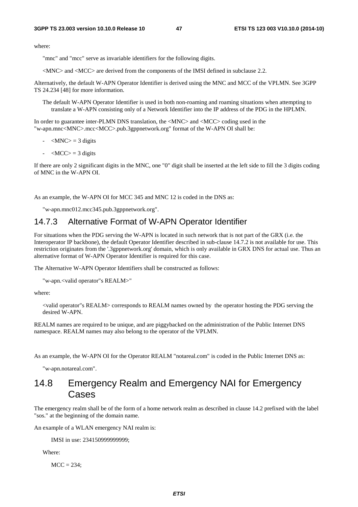where:

"mnc" and "mcc" serve as invariable identifiers for the following digits.

<MNC> and <MCC> are derived from the components of the IMSI defined in subclause 2.2.

Alternatively, the default W-APN Operator Identifier is derived using the MNC and MCC of the VPLMN. See 3GPP TS 24.234 [48] for more information.

The default W-APN Operator Identifier is used in both non-roaming and roaming situations when attempting to translate a W-APN consisting only of a Network Identifier into the IP address of the PDG in the HPLMN.

In order to guarantee inter-PLMN DNS translation, the <MNC> and <MCC> coding used in the "w-apn.mnc<MNC>.mcc<MCC>.pub.3gppnetwork.org" format of the W-APN OI shall be:

- $-MNC$  = 3 digits
- $-MCC$  = 3 digits

If there are only 2 significant digits in the MNC, one "0" digit shall be inserted at the left side to fill the 3 digits coding of MNC in the W-APN OI.

As an example, the W-APN OI for MCC 345 and MNC 12 is coded in the DNS as:

"w-apn.mnc012.mcc345.pub.3gppnetwork.org".

### 14.7.3 Alternative Format of W-APN Operator Identifier

For situations when the PDG serving the W-APN is located in such network that is not part of the GRX (i.e. the Interoperator IP backbone), the default Operator Identifier described in sub-clause 14.7.2 is not available for use. This restriction originates from the '.3gppnetwork.org' domain, which is only available in GRX DNS for actual use. Thus an alternative format of W-APN Operator Identifier is required for this case.

The Alternative W-APN Operator Identifiers shall be constructed as follows:

```
"w-apn.<valid operator"s REALM>"
```
where:

<valid operator"s REALM> corresponds to REALM names owned by the operator hosting the PDG serving the desired W-APN.

REALM names are required to be unique, and are piggybacked on the administration of the Public Internet DNS namespace. REALM names may also belong to the operator of the VPLMN.

As an example, the W-APN OI for the Operator REALM "notareal.com" is coded in the Public Internet DNS as:

"w-apn.notareal.com".

## 14.8 Emergency Realm and Emergency NAI for Emergency Cases

The emergency realm shall be of the form of a home network realm as described in clause 14.2 prefixed with the label "sos." at the beginning of the domain name.

An example of a WLAN emergency NAI realm is:

IMSI in use: 234150999999999;

Where:

 $MCC = 234$ ;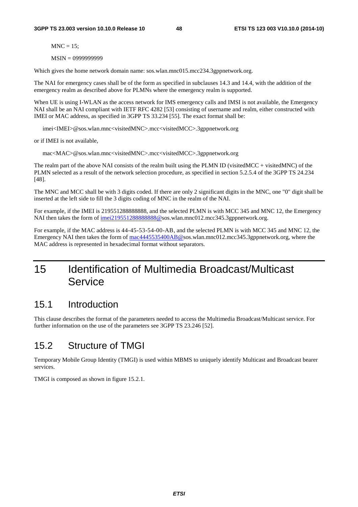$MNC = 15$ :

MSIN = 0999999999

Which gives the home network domain name: sos.wlan.mnc015.mcc234.3gppnetwork.org.

The NAI for emergency cases shall be of the form as specified in subclauses 14.3 and 14.4, with the addition of the emergency realm as described above for PLMNs where the emergency realm is supported.

When UE is using I-WLAN as the access network for IMS emergency calls and IMSI is not available, the Emergency NAI shall be an NAI compliant with IETF RFC 4282 [53] consisting of username and realm, either constructed with IMEI or MAC address, as specified in 3GPP TS 33.234 [55]. The exact format shall be:

imei<IMEI>@sos.wlan.mnc<visitedMNC>.mcc<visitedMCC>.3gppnetwork.org

or if IMEI is not available,

mac<MAC>@sos.wlan.mnc<visitedMNC>.mcc<visitedMCC>.3gppnetwork.org

The realm part of the above NAI consists of the realm built using the PLMN ID (visited MCC + visited MNC) of the PLMN selected as a result of the network selection procedure, as specified in section 5.2.5.4 of the 3GPP TS 24.234 [48].

The MNC and MCC shall be with 3 digits coded. If there are only 2 significant digits in the MNC, one "0" digit shall be inserted at the left side to fill the 3 digits coding of MNC in the realm of the NAI.

For example, if the IMEI is 219551288888888, and the selected PLMN is with MCC 345 and MNC 12, the Emergency NAI then takes the form of imei2195512888888888@sos.wlan.mnc012.mcc345.3gppnetwork.org.

For example, if the MAC address is 44-45-53-54-00-AB, and the selected PLMN is with MCC 345 and MNC 12, the Emergency NAI then takes the form of [mac4445535400AB@s](mailto:mac4445535400AB@sos.invalid)os.wlan.mnc012.mcc345.3gppnetwork.org, where the MAC address is represented in hexadecimal format without separators.

# 15 Identification of Multimedia Broadcast/Multicast **Service**

## 15.1 Introduction

This clause describes the format of the parameters needed to access the Multimedia Broadcast/Multicast service. For further information on the use of the parameters see 3GPP TS 23.246 [52].

# 15.2 Structure of TMGI

Temporary Mobile Group Identity (TMGI) is used within MBMS to uniquely identify Multicast and Broadcast bearer services.

TMGI is composed as shown in figure 15.2.1.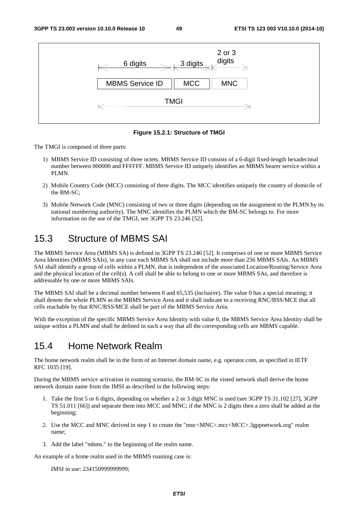

**Figure 15.2.1: Structure of TMGI** 

The TMGI is composed of three parts:

- 1) MBMS Service ID consisting of three octets. MBMS Service ID consists of a 6-digit fixed-length hexadecimal number between 000000 and FFFFFF. MBMS Service ID uniquely identifies an MBMS bearer service within a PLMN.
- 2) Mobile Country Code (MCC) consisting of three digits. The MCC identifies uniquely the country of domicile of the BM-SC;
- 3) Mobile Network Code (MNC) consisting of two or three digits (depending on the assignment to the PLMN by its national numbering authority). The MNC identifies the PLMN which the BM-SC belongs to. For more information on the use of the TMGI, see 3GPP TS 23.246 [52].

# 15.3 Structure of MBMS SAI

The MBMS Service Area (MBMS SA) is defined in 3GPP TS 23.246 [52]. It comprises of one or more MBMS Service Area Identities (MBMS SAIs), in any case each MBMS SA shall not include more than 256 MBMS SAIs. An MBMS SAI shall identify a group of cells within a PLMN, that is independent of the associated Location/Routing/Service Area and the physical location of the cell(s). A cell shall be able to belong to one or more MBMS SAs, and therefore is addressable by one or more MBMS SAIs.

The MBMS SAI shall be a decimal number between 0 and 65,535 (inclusive). The value 0 has a special meaning; it shall denote the whole PLMN as the MBMS Service Area and it shall indicate to a receiving RNC/BSS/MCE that all cells reachable by that RNC/BSS/MCE shall be part of the MBMS Service Area.

With the exception of the specific MBMS Service Area Identity with value 0, the MBMS Service Area Identity shall be unique within a PLMN and shall be defined in such a way that all the corresponding cells are MBMS capable.

# 15.4 Home Network Realm

The home network realm shall be in the form of an Internet domain name, e.g. operator.com, as specified in IETF RFC 1035 [19].

During the MBMS service activation in roaming scenario, the BM-SC in the visted network shall derive the home network domain name from the IMSI as described in the following steps:

- 1. Take the first 5 or 6 digits, depending on whether a 2 or 3 digit MNC is used (see 3GPP TS 31.102 [27], 3GPP TS 51.011 [66]) and separate them into MCC and MNC; if the MNC is 2 digits then a zero shall be added at the beginning;
- 2. Use the MCC and MNC derived in step 1 to create the "mnc<MNC>.mcc<MCC>.3gppnetwork.org" realm name;
- 3. Add the label "mbms." to the beginning of the realm name.

An example of a home realm used in the MBMS roaming case is:

IMSI in use: 234150999999999;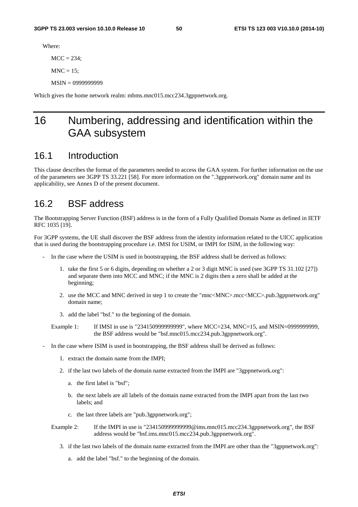Where:

 $MCC = 234$ ;

 $MNC = 15$ :

MSIN = 0999999999

Which gives the home network realm: mbms.mnc015.mcc234.3gppnetwork.org.

# 16 Numbering, addressing and identification within the GAA subsystem

## 16.1 Introduction

This clause describes the format of the parameters needed to access the GAA system. For further information on the use of the parameters see 3GPP TS 33.221 [58]. For more information on the ".3gppnetwork.org" domain name and its applicability, see Annex D of the present document.

## 16.2 BSF address

The Bootstrapping Server Function (BSF) address is in the form of a Fully Qualified Domain Name as defined in IETF RFC 1035 [19].

For 3GPP systems, the UE shall discover the BSF address from the identity information related to the UICC application that is used during the bootstrapping procedure i.e. IMSI for USIM, or IMPI for ISIM, in the following way:

- In the case where the USIM is used in bootstrapping, the BSF address shall be derived as follows:
	- 1. take the first 5 or 6 digits, depending on whether a 2 or 3 digit MNC is used (see 3GPP TS 31.102 [27]) and separate them into MCC and MNC; if the MNC is 2 digits then a zero shall be added at the beginning;
	- 2. use the MCC and MNC derived in step 1 to create the "mnc<MNC>.mcc<MCC>.pub.3gppnetwork.org" domain name;
	- 3. add the label "bsf." to the beginning of the domain.

Example 1: If IMSI in use is "234150999999999", where MCC=234, MNC=15, and MSIN=0999999999, the BSF address would be "bsf.mnc015.mcc234.pub.3gppnetwork.org".

- In the case where ISIM is used in bootstrapping, the BSF address shall be derived as follows:
	- 1. extract the domain name from the IMPI;
	- 2. if the last two labels of the domain name extracted from the IMPI are "3gppnetwork.org":
		- a. the first label is "bsf";
		- b. the next labels are all labels of the domain name extracted from the IMPI apart from the last two labels; and
		- c. the last three labels are "pub.3gppnetwork.org";

Example 2: If the IMPI in use is "2341509999999999@ims.mnc015.mcc234.3gppnetwork.org", the BSF address would be "bsf.ims.mnc015.mcc234.pub.3gppnetwork.org".

- 3. if the last two labels of the domain name extracted from the IMPI are other than the "3gppnetwork.org":
	- a. add the label "bsf." to the beginning of the domain.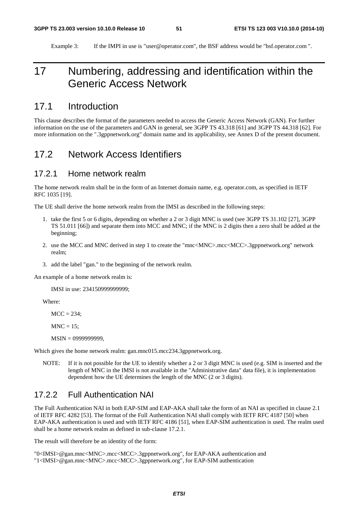Example 3: If the IMPI in use is "user@operator.com", the BSF address would be "bsf.operator.com ".

# 17 Numbering, addressing and identification within the Generic Access Network

## 17.1 Introduction

This clause describes the format of the parameters needed to access the Generic Access Network (GAN). For further information on the use of the parameters and GAN in general, see 3GPP TS 43.318 [61] and 3GPP TS 44.318 [62]. For more information on the ".3gppnetwork.org" domain name and its applicability, see Annex D of the present document.

## 17.2 Network Access Identifiers

#### 17.2.1 Home network realm

The home network realm shall be in the form of an Internet domain name, e.g. operator.com, as specified in IETF RFC 1035 [19].

The UE shall derive the home network realm from the IMSI as described in the following steps:

- 1. take the first 5 or 6 digits, depending on whether a 2 or 3 digit MNC is used (see 3GPP TS 31.102 [27], 3GPP TS 51.011 [66]) and separate them into MCC and MNC; if the MNC is 2 digits then a zero shall be added at the beginning;
- 2. use the MCC and MNC derived in step 1 to create the "mnc<MNC>.mcc<MCC>.3gppnetwork.org" network realm;
- 3. add the label "gan." to the beginning of the network realm.

An example of a home network realm is:

IMSI in use: 234150999999999;

Where:

 $MCC = 234$ :

 $MNC = 15$ ;

MSIN = 0999999999,

Which gives the home network realm: gan.mnc015.mcc234.3gppnetwork.org.

NOTE: If it is not possible for the UE to identify whether a 2 or 3 digit MNC is used (e.g. SIM is inserted and the length of MNC in the IMSI is not available in the "Administrative data" data file), it is implementation dependent how the UE determines the length of the MNC (2 or 3 digits).

### 17.2.2 Full Authentication NAI

The Full Authentication NAI in both EAP-SIM and EAP-AKA shall take the form of an NAI as specified in clause 2.1 of IETF RFC 4282 [53]. The format of the Full Authentication NAI shall comply with IETF RFC 4187 [50] when EAP-AKA authentication is used and with IETF RFC 4186 [51], when EAP-SIM authentication is used. The realm used shall be a home network realm as defined in sub-clause 17.2.1.

The result will therefore be an identity of the form:

"0<IMSI>@gan.mnc<MNC>.mcc<MCC>.3gppnetwork.org", for EAP-AKA authentication and "1<IMSI>@gan.mnc<MNC>.mcc<MCC>.3gppnetwork.org", for EAP-SIM authentication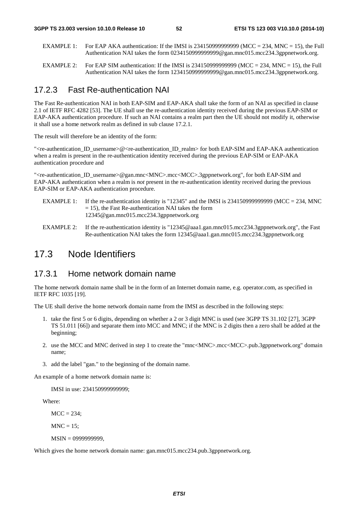- EXAMPLE 1: For EAP AKA authentication: If the IMSI is 2341509999999999 (MCC = 234, MNC = 15), the Full Authentication NAI takes the form 0234150999999999@gan.mnc015.mcc234.3gppnetwork.org.
- EXAMPLE 2: For EAP SIM authentication: If the IMSI is  $2341509999999999$  (MCC = 234, MNC = 15), the Full Authentication NAI takes the form 1234150999999999@gan.mnc015.mcc234.3gppnetwork.org.

#### 17.2.3 Fast Re-authentication NAI

The Fast Re-authentication NAI in both EAP-SIM and EAP-AKA shall take the form of an NAI as specified in clause 2.1 of IETF RFC 4282 [53]. The UE shall use the re-authentication identity received during the previous EAP-SIM or EAP-AKA authentication procedure. If such an NAI contains a realm part then the UE should not modify it, otherwise it shall use a home network realm as defined in sub clause 17.2.1.

The result will therefore be an identity of the form:

"<re-authentication ID\_username>@<re-authentication ID\_realm> for both EAP-SIM and EAP-AKA authentication when a realm is present in the re-authentication identity received during the previous EAP-SIM or EAP-AKA authentication procedure and

"<re-authentication\_ID\_username>@gan.mnc<MNC>.mcc<MCC>.3gppnetwork.org", for both EAP-SIM and EAP-AKA authentication when a realm is *not* present in the re-authentication identity received during the previous EAP-SIM or EAP-AKA authentication procedure.

- EXAMPLE 1: If the re-authentication identity is "12345" and the IMSI is 2341509999999999 (MCC = 234, MNC  $= 15$ ), the Fast Re-authentication NAI takes the form 12345@gan.mnc015.mcc234.3gppnetwork.org
- EXAMPLE 2: If the re-authentication identity is "12345@aaa1.gan.mnc015.mcc234.3gppnetwork.org", the Fast Re-authentication NAI takes the form 12345@aaa1.gan.mnc015.mcc234.3gppnetwork.org

## 17.3 Node Identifiers

#### 17.3.1 Home network domain name

The home network domain name shall be in the form of an Internet domain name, e.g. operator.com, as specified in IETF RFC 1035 [19].

The UE shall derive the home network domain name from the IMSI as described in the following steps:

- 1. take the first 5 or 6 digits, depending on whether a 2 or 3 digit MNC is used (see 3GPP TS 31.102 [27], 3GPP TS 51.011 [66]) and separate them into MCC and MNC; if the MNC is 2 digits then a zero shall be added at the beginning;
- 2. use the MCC and MNC derived in step 1 to create the "mnc<MNC>.mcc<MCC>.pub.3gppnetwork.org" domain name;
- 3. add the label "gan." to the beginning of the domain name.

An example of a home network domain name is:

IMSI in use: 234150999999999;

Where:

 $MCC = 234$ :

 $MNC = 15$ :

MSIN = 0999999999,

Which gives the home network domain name: gan.mnc015.mcc234.pub.3gppnetwork.org.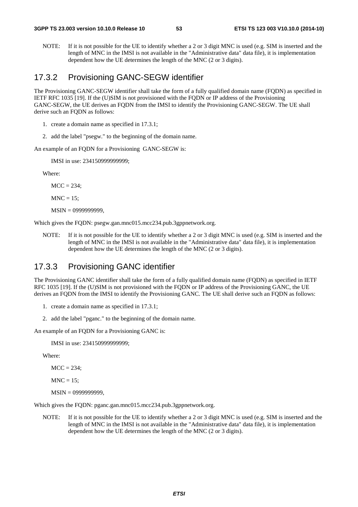NOTE: If it is not possible for the UE to identify whether a 2 or 3 digit MNC is used (e.g. SIM is inserted and the length of MNC in the IMSI is not available in the "Administrative data" data file), it is implementation dependent how the UE determines the length of the MNC (2 or 3 digits).

#### 17.3.2 Provisioning GANC-SEGW identifier

The Provisioning GANC-SEGW identifier shall take the form of a fully qualified domain name (FQDN) as specified in IETF RFC 1035 [19]. If the (U)SIM is not provisioned with the FQDN or IP address of the Provisioning GANC-SEGW, the UE derives an FQDN from the IMSI to identify the Provisioning GANC-SEGW. The UE shall derive such an FQDN as follows:

- 1. create a domain name as specified in 17.3.1;
- 2. add the label "psegw." to the beginning of the domain name.

An example of an FQDN for a Provisioning GANC-SEGW is:

IMSI in use: 234150999999999;

Where:

 $MCC = 234$ ;

 $MNC = 15$ :

MSIN = 0999999999,

Which gives the FODN: psegw.gan.mnc015.mcc234.pub.3gppnetwork.org.

NOTE: If it is not possible for the UE to identify whether a 2 or 3 digit MNC is used (e.g. SIM is inserted and the length of MNC in the IMSI is not available in the "Administrative data" data file), it is implementation dependent how the UE determines the length of the MNC (2 or 3 digits).

#### 17.3.3 Provisioning GANC identifier

The Provisioning GANC identifier shall take the form of a fully qualified domain name (FQDN) as specified in IETF RFC 1035 [19]. If the (U)SIM is not provisioned with the FQDN or IP address of the Provisioning GANC, the UE derives an FQDN from the IMSI to identify the Provisioning GANC. The UE shall derive such an FQDN as follows:

- 1. create a domain name as specified in 17.3.1;
- 2. add the label "pganc." to the beginning of the domain name.

An example of an FQDN for a Provisioning GANC is:

IMSI in use: 234150999999999;

Where:

 $MCC = 234$ :

 $MNC = 15$ ;

MSIN = 0999999999,

Which gives the FQDN: pganc.gan.mnc015.mcc234.pub.3gppnetwork.org.

NOTE: If it is not possible for the UE to identify whether a 2 or 3 digit MNC is used (e.g. SIM is inserted and the length of MNC in the IMSI is not available in the "Administrative data" data file), it is implementation dependent how the UE determines the length of the MNC (2 or 3 digits).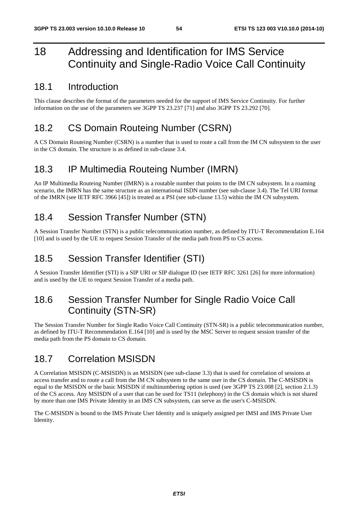# 18 Addressing and Identification for IMS Service Continuity and Single-Radio Voice Call Continuity

## 18.1 Introduction

This clause describes the format of the parameters needed for the support of IMS Service Continuity. For further information on the use of the parameters see 3GPP TS 23.237 [71] and also 3GPP TS 23.292 [70].

# 18.2 CS Domain Routeing Number (CSRN)

A CS Domain Routeing Number (CSRN) is a number that is used to route a call from the IM CN subsystem to the user in the CS domain. The structure is as defined in sub-clause 3.4.

# 18.3 IP Multimedia Routeing Number (IMRN)

An IP Multimedia Routeing Number (IMRN) is a routable number that points to the IM CN subsystem. In a roaming scenario, the IMRN has the same structure as an international ISDN number (see sub-clause 3.4). The Tel URI format of the IMRN (see IETF RFC 3966 [45]) is treated as a PSI (see sub-clause 13.5) within the IM CN subsystem.

# 18.4 Session Transfer Number (STN)

A Session Transfer Number (STN) is a public telecommunication number, as defined by ITU-T Recommendation E.164 [10] and is used by the UE to request Session Transfer of the media path from PS to CS access.

# 18.5 Session Transfer Identifier (STI)

A Session Transfer Identifier (STI) is a SIP URI or SIP dialogue ID (see IETF RFC 3261 [26] for more information) and is used by the UE to request Session Transfer of a media path.

# 18.6 Session Transfer Number for Single Radio Voice Call Continuity (STN-SR)

The Session Transfer Number for Single Radio Voice Call Continuity (STN-SR) is a public telecommunication number, as defined by ITU-T Recommendation E.164 [10] and is used by the MSC Server to request session transfer of the media path from the PS domain to CS domain.

# 18.7 Correlation MSISDN

A Correlation MSISDN (C-MSISDN) is an MSISDN (see sub-clause 3.3) that is used for correlation of sessions at access transfer and to route a call from the IM CN subsystem to the same user in the CS domain. The C-MSISDN is equal to the MSISDN or the basic MSISDN if multinumbering option is used (see 3GPP TS 23.008 [2], section 2.1.3) of the CS access. Any MSISDN of a user that can be used for TS11 (telephony) in the CS domain which is not shared by more than one IMS Private Identity in an IMS CN subsystem, can serve as the user's C-MSISDN.

The C-MSISDN is bound to the IMS Private User Identity and is uniquely assigned per IMSI and IMS Private User Identity.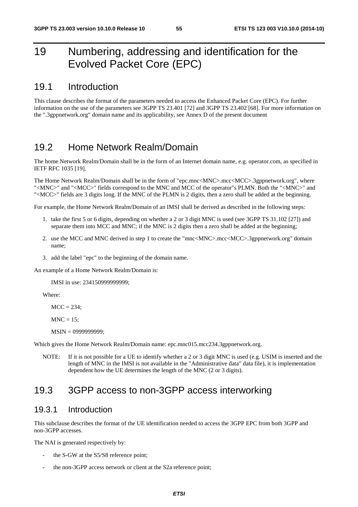# 19 Numbering, addressing and identification for the Evolved Packet Core (EPC)

### 19.1 Introduction

This clause describes the format of the parameters needed to access the Enhanced Packet Core (EPC). For further information on the use of the parameters see 3GPP TS 23.401 [72] and 3GPP TS 23.402 [68]. For more information on the ".3gppnetwork.org" domain name and its applicability, see Annex D of the present document

## 19.2 Home Network Realm/Domain

The home Network Realm/Domain shall be in the form of an Internet domain name, e.g. operator.com, as specified in IETF RFC 1035 [19].

The Home Network Realm/Domain shall be in the form of "epc.mnc<MNC>.mcc<MCC>.3gppnetwork.org", where "<MNC>" and "<MCC>" fields correspond to the MNC and MCC of the operator"s PLMN. Both the "<MNC>" and "<MCC>" fields are 3 digits long. If the MNC of the PLMN is 2 digits, then a zero shall be added at the beginning.

For example, the Home Network Realm/Domain of an IMSI shall be derived as described in the following steps:

- 1. take the first 5 or 6 digits, depending on whether a 2 or 3 digit MNC is used (see 3GPP TS 31.102 [27]) and separate them into MCC and MNC; if the MNC is 2 digits then a zero shall be added at the beginning;
- 2. use the MCC and MNC derived in step 1 to create the "mnc<MNC>.mcc<MCC>.3gppnetwork.org" domain name;
- 3. add the label "epc" to the beginning of the domain name.

An example of a Home Network Realm/Domain is:

IMSI in use: 234150999999999;

Where:

 $MCC = 234$ :

 $MNC = 15$ ;

MSIN = 0999999999;

Which gives the Home Network Realm/Domain name: epc.mnc015.mcc234.3gppnetwork.org.

NOTE: If it is not possible for a UE to identify whether a 2 or 3 digit MNC is used (e.g. USIM is inserted and the length of MNC in the IMSI is not available in the "Administrative data" data file), it is implementation dependent how the UE determines the length of the MNC (2 or 3 digits).

## 19.3 3GPP access to non-3GPP access interworking

#### 19.3.1 Introduction

This subclause describes the format of the UE identification needed to access the 3GPP EPC from both 3GPP and non-3GPP accesses.

The NAI is generated respectively by:

- the S-GW at the S5/S8 reference point;
- the non-3GPP access network or client at the S2a reference point;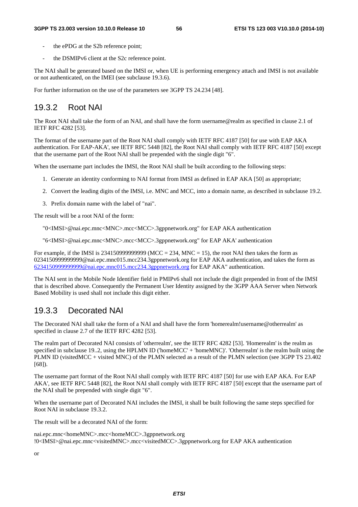- the ePDG at the S2b reference point:
- the DSMIPv6 client at the S2c reference point.

The NAI shall be generated based on the IMSI or, when UE is performing emergency attach and IMSI is not available or not authenticated, on the IMEI (see subclause 19.3.6).

For further information on the use of the parameters see 3GPP TS 24.234 [48].

### 19.3.2 Root NAI

The Root NAI shall take the form of an NAI, and shall have the form username@realm as specified in clause 2.1 of IETF RFC 4282 [53].

The format of the username part of the Root NAI shall comply with IETF RFC 4187 [50] for use with EAP AKA authentication. For EAP-AKA', see IETF RFC 5448 [82], the Root NAI shall comply with IETF RFC 4187 [50] except that the username part of the Root NAI shall be prepended with the single digit "6".

When the username part includes the IMSI, the Root NAI shall be built according to the following steps:

- 1. Generate an identity conforming to NAI format from IMSI as defined in EAP AKA [50] as appropriate;
- 2. Convert the leading digits of the IMSI, i.e. MNC and MCC, into a domain name, as described in subclause 19.2.
- 3. Prefix domain name with the label of "nai".

The result will be a root NAI of the form:

"0<IMSI>@nai.epc.mnc<MNC>.mcc<MCC>.3gppnetwork.org" for EAP AKA authentication

"6<IMSI>@nai.epc.mnc<MNC>.mcc<MCC>.3gppnetwork.org" for EAP AKA' authentication

For example, if the IMSI is  $2341509999999999$  (MCC = 234, MNC = 15), the root NAI then takes the form as 0234150999999999@nai.epc.mnc015.mcc234.3gppnetwork.org for EAP AKA authentication, and takes the form as [6234150999999999@nai.epc.mnc015.mcc234.3gppnetwork.org](mailto:0234150999999999@epc.mnc015.mcc234.3gppnetwork.org) for EAP AKA" authentication.

The NAI sent in the Mobile Node Identifier field in PMIPv6 shall not include the digit prepended in front of the IMSI that is described above. Consequently the Permanent User Identity assigned by the 3GPP AAA Server when Network Based Mobility is used shall not include this digit either.

### 19.3.3 Decorated NAI

The Decorated NAI shall take the form of a NAI and shall have the form 'homerealm!username@otherrealm' as specified in clause 2.7 of the IETF RFC 4282 [53].

The realm part of Decorated NAI consists of 'otherrealm', see the IETF RFC 4282 [53]. 'Homerealm' is the realm as specified in subclause 19..2, using the HPLMN ID ('homeMCC' + 'homeMNC)'. 'Otherrealm' is the realm built using the PLMN ID (visitedMCC + visited MNC) of the PLMN selected as a result of the PLMN selection (see 3GPP TS 23.402 [68]).

The username part format of the Root NAI shall comply with IETF RFC 4187 [50] for use with EAP AKA. For EAP AKA', see IETF RFC 5448 [82], the Root NAI shall comply with IETF RFC 4187 [50] except that the username part of the NAI shall be prepended with single digit "6".

When the username part of Decorated NAI includes the IMSI, it shall be built following the same steps specified for Root NAI in subclause 19.3.2.

The result will be a decorated NAI of the form:

nai.epc.mnc<homeMNC>.mcc<homeMCC>.3gppnetwork.org !0<IMSI>@nai.epc.mnc<visitedMNC>.mcc<visitedMCC>.3gppnetwork.org for EAP AKA authentication

or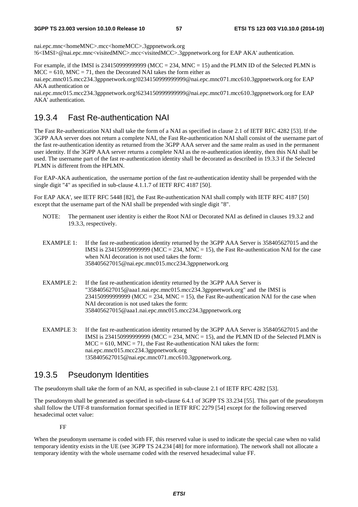nai.epc.mnc<homeMNC>.mcc<homeMCC>.3gppnetwork.org !6<IMSI>@nai.epc.mnc<visitedMNC>.mcc<visitedMCC>.3gppnetwork.org for EAP AKA' authentication.

For example, if the IMSI is  $2341509999999999$  (MCC = 234, MNC = 15) and the PLMN ID of the Selected PLMN is  $MCC = 610$ ,  $MNC = 71$ , then the Decorated NAI takes the form either as

nai.epc.mnc015.mcc234.3gppnetwork.org!0234150999999999@nai.epc.mnc071.mcc610.3gppnetwork.org for EAP AKA authentication or

nai.epc.mnc015.mcc234.3gppnetwork.org!6234150999999999@nai.epc.mnc071.mcc610.3gppnetwork.org for EAP AKA' authentication.

### 19.3.4 Fast Re-authentication NAI

The Fast Re-authentication NAI shall take the form of a NAI as specified in clause 2.1 of IETF RFC 4282 [53]. If the 3GPP AAA server does not return a complete NAI, the Fast Re-authentication NAI shall consist of the username part of the fast re-authentication identity as returned from the 3GPP AAA server and the same realm as used in the permanent user identity. If the 3GPP AAA server returns a complete NAI as the re-authentication identity, then this NAI shall be used. The username part of the fast re-authentication identity shall be decorated as described in 19.3.3 if the Selected PLMN is different from the HPLMN.

For EAP-AKA authentication, the username portion of the fast re-authentication identity shall be prepended with the single digit "4" as specified in sub-clause 4.1.1.7 of IETF RFC 4187 [50].

For EAP AKA', see IETF RFC 5448 [82], the Fast Re-authentication NAI shall comply with IETF RFC 4187 [50] except that the username part of the NAI shall be prepended with single digit "8".

- NOTE: The permanent user identity is either the Root NAI or Decorated NAI as defined in clauses 19.3.2 and 19.3.3, respectively.
- EXAMPLE 1: If the fast re-authentication identity returned by the 3GPP AAA Server is 358405627015 and the IMSI is 23415099999999999 (MCC = 234, MNC = 15), the Fast Re-authentication NAI for the case when NAI decoration is not used takes the form: 358405627015@nai.epc.mnc015.mcc234.3gppnetwork.org
- EXAMPLE 2: If the fast re-authentication identity returned by the 3GPP AAA Server is "358405627015@aaa1.nai.epc.mnc015.mcc234.3gppnetwork.org" and the IMSI is  $234150999999999$  (MCC = 234, MNC = 15), the Fast Re-authentication NAI for the case when NAI decoration is not used takes the form: 358405627015@aaa1.nai.epc.mnc015.mcc234.3gppnetwork.org
- EXAMPLE 3: If the fast re-authentication identity returned by the 3GPP AAA Server is 358405627015 and the IMSI is 23415099999999999 (MCC = 234, MNC = 15), and the PLMN ID of the Selected PLMN is  $MCC = 610$ ,  $MNC = 71$ , the Fast Re-authentication NAI takes the form: nai.epc.mnc015.mcc234.3gppnetwork.org !358405627015@nai.epc.mnc071.mcc610.3gppnetwork.org.

### 19.3.5 Pseudonym Identities

The pseudonym shall take the form of an NAI, as specified in sub-clause 2.1 of IETF RFC 4282 [53].

The pseudonym shall be generated as specified in sub-clause 6.4.1 of 3GPP TS 33.234 [55]. This part of the pseudonym shall follow the UTF-8 transformation format specified in IETF RFC 2279 [54] except for the following reserved hexadecimal octet value:

#### FF

When the pseudonym username is coded with FF, this reserved value is used to indicate the special case when no valid temporary identity exists in the UE (see 3GPP TS 24.234 [48] for more information). The network shall not allocate a temporary identity with the whole username coded with the reserved hexadecimal value FF.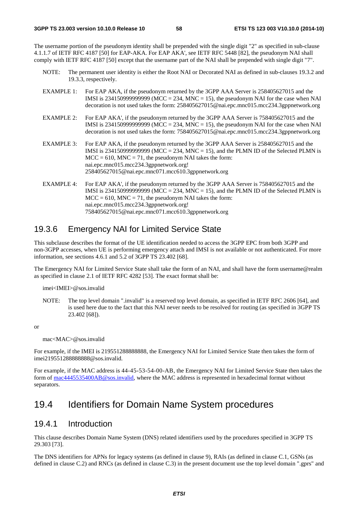The username portion of the pseudonym identity shall be prepended with the single digit "2" as specified in sub-clause 4.1.1.7 of IETF RFC 4187 [50] for EAP-AKA. For EAP AKA', see IETF RFC 5448 [82], the pseudonym NAI shall comply with IETF RFC 4187 [50] except that the username part of the NAI shall be prepended with single digit "7".

- NOTE: The permanent user identity is either the Root NAI or Decorated NAI as defined in sub-clauses 19.3.2 and 19.3.3, respectively.
- EXAMPLE 1: For EAP AKA, if the pseudonym returned by the 3GPP AAA Server is 258405627015 and the IMSI is 234150999999999 (MCC = 234, MNC = 15), the pseudonym NAI for the case when NAI decoration is not used takes the form: 258405627015@nai.epc.mnc015.mcc234.3gppnetwork.org
- EXAMPLE 2: For EAP AKA', if the pseudonym returned by the 3GPP AAA Server is 758405627015 and the IMSI is 234150999999999 (MCC = 234, MNC = 15), the pseudonym NAI for the case when NAI decoration is not used takes the form: 758405627015@nai.epc.mnc015.mcc234.3gppnetwork.org
- EXAMPLE 3: For EAP AKA, if the pseudonym returned by the 3GPP AAA Server is 258405627015 and the IMSI is 23415099999999999 (MCC = 234, MNC = 15), and the PLMN ID of the Selected PLMN is  $MCC = 610$ ,  $MNC = 71$ , the pseudonym NAI takes the form: nai.epc.mnc015.mcc234.3gppnetwork.org! 258405627015@nai.epc.mnc071.mcc610.3gppnetwork.org
- EXAMPLE 4: For EAP AKA', if the pseudonym returned by the 3GPP AAA Server is 758405627015 and the IMSI is 234150999999999 ( $MCC = 234$ ,  $MNC = 15$ ), and the PLMN ID of the Selected PLMN is  $MCC = 610$ ,  $MNC = 71$ , the pseudonym NAI takes the form: nai.epc.mnc015.mcc234.3gppnetwork.org! 758405627015@nai.epc.mnc071.mcc610.3gppnetwork.org

## 19.3.6 Emergency NAI for Limited Service State

This subclause describes the format of the UE identification needed to access the 3GPP EPC from both 3GPP and non-3GPP accesses, when UE is performing emergency attach and IMSI is not available or not authenticated. For more information, see sections 4.6.1 and 5.2 of 3GPP TS 23.402 [68].

The Emergency NAI for Limited Service State shall take the form of an NAI, and shall have the form username@realm as specified in clause 2.1 of IETF RFC 4282 [53]. The exact format shall be:

imei<IMEI>@sos.invalid

NOTE: The top level domain ".invalid" is a reserved top level domain, as specified in IETF RFC 2606 [64], and is used here due to the fact that this NAI never needs to be resolved for routing (as specified in 3GPP TS 23.402 [68]).

or

mac<MAC>@sos.invalid

For example, if the IMEI is 219551288888888, the Emergency NAI for Limited Service State then takes the form of imei219551288888888@sos.invalid.

For example, if the MAC address is 44-45-53-54-00-AB, the Emergency NAI for Limited Service State then takes the form of [mac4445535400AB@sos.invalid,](mailto:mac4445535400AB@sos.invalid) where the MAC address is represented in hexadecimal format without separators.

# 19.4 Identifiers for Domain Name System procedures

### 19.4.1 Introduction

This clause describes Domain Name System (DNS) related identifiers used by the procedures specified in 3GPP TS 29.303 [73].

The DNS identifiers for APNs for legacy systems (as defined in clause 9), RAIs (as defined in clause C.1, GSNs (as defined in clause C.2) and RNCs (as defined in clause C.3) in the present document use the top level domain ".gprs" and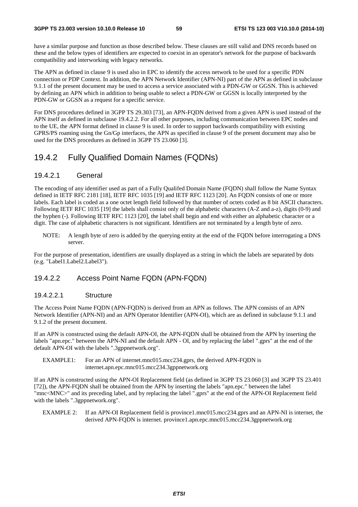have a similar purpose and function as those described below. These clauses are still valid and DNS records based on these and the below types of identifiers are expected to coexist in an operator's network for the purpose of backwards compatibility and interworking with legacy networks.

The APN as defined in clause 9 is used also in EPC to identify the access network to be used for a specific PDN connection or PDP Context. In addition, the APN Network Identifier (APN-NI) part of the APN as defined in subclause 9.1.1 of the present document may be used to access a service associated with a PDN-GW or GGSN. This is achieved by defining an APN which in addition to being usable to select a PDN-GW or GGSN is locally interpreted by the PDN-GW or GGSN as a request for a specific service.

For DNS procedures defined in 3GPP TS 29.303 [73], an APN-FQDN derived from a given APN is used instead of the APN itself as defined in subclause 19.4.2.2. For all other purposes, including communication between EPC nodes and to the UE, the APN format defined in clause 9 is used. In order to support backwards compatibility with existing GPRS/PS roaming using the Gn/Gp interfaces, the APN as specified in clause 9 of the present document may also be used for the DNS procedures as defined in 3GPP TS 23.060 [3].

### 19.4.2 Fully Qualified Domain Names (FQDNs)

#### 19.4.2.1 General

The encoding of any identifier used as part of a Fully Qualifed Domain Name (FQDN) shall follow the Name Syntax defined in IETF RFC 2181 [18], IETF RFC 1035 [19] and IETF RFC 1123 [20]. An FQDN consists of one or more labels. Each label is coded as a one octet length field followed by that number of octets coded as 8 bit ASCII characters. Following IETF RFC 1035 [19] the labels shall consist only of the alphabetic characters (A-Z and a-z), digits (0-9) and the hyphen (-). Following IETF RFC 1123 [20], the label shall begin and end with either an alphabetic character or a digit. The case of alphabetic characters is not significant. Identifiers are not terminated by a length byte of zero.

NOTE: A length byte of zero is added by the querying entity at the end of the FQDN before interrogating a DNS server.

For the purpose of presentation, identifiers are usually displayed as a string in which the labels are separated by dots (e.g. "Label1.Label2.Label3").

#### 19.4.2.2 Access Point Name FQDN (APN-FQDN)

#### 19.4.2.2.1 Structure

The Access Point Name FQDN (APN-FQDN) is derived from an APN as follows. The APN consists of an APN Network Identifier (APN-NI) and an APN Operator Identifier (APN-OI), which are as defined in subclause 9.1.1 and 9.1.2 of the present document.

If an APN is constructed using the default APN-OI, the APN-FQDN shall be obtained from the APN by inserting the labels "apn.epc." between the APN-NI and the default APN - OI, and by replacing the label ".gprs" at the end of the default APN-OI with the labels ".3gppnetwork.org".

EXAMPLE1: For an APN of internet.mnc015.mcc234.gprs, the derived APN-FQDN is internet.apn.epc.mnc015.mcc234.3gppnetwork.org

If an APN is constructed using the APN-OI Replacement field (as defined in 3GPP TS 23.060 [3] and 3GPP TS 23.401 [72]), the APN-FQDN shall be obtained from the APN by inserting the labels "apn.epc." between the label "mnc<MNC>" and its preceding label, and by replacing the label ".gprs" at the end of the APN-OI Replacement field with the labels ".3gppnetwork.org".

EXAMPLE 2: If an APN-OI Replacement field is province1.mnc015.mcc234.gprs and an APN-NI is internet, the derived APN-FQDN is internet. province1.apn.epc.mnc015.mcc234.3gppnetwork.org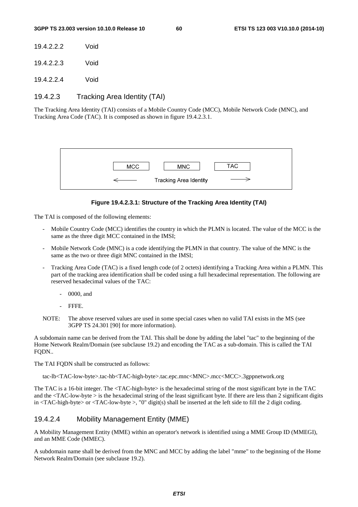- 19.4.2.2.2 Void
- 19.4.2.2.3 Void

19.4.2.2.4 Void

#### 19.4.2.3 Tracking Area Identity (TAI)

The Tracking Area Identity (TAI) consists of a Mobile Country Code (MCC), Mobile Network Code (MNC), and Tracking Area Code (TAC). It is composed as shown in figure 19.4.2.3.1.



#### **Figure 19.4.2.3.1: Structure of the Tracking Area Identity (TAI)**

The TAI is composed of the following elements:

- Mobile Country Code (MCC) identifies the country in which the PLMN is located. The value of the MCC is the same as the three digit MCC contained in the IMSI;
- Mobile Network Code (MNC) is a code identifying the PLMN in that country. The value of the MNC is the same as the two or three digit MNC contained in the IMSI;
- Tracking Area Code (TAC) is a fixed length code (of 2 octets) identifying a Tracking Area within a PLMN. This part of the tracking area identification shall be coded using a full hexadecimal representation. The following are reserved hexadecimal values of the TAC:
	- 0000, and
	- FFFF.
- NOTE: The above reserved values are used in some special cases when no valid TAI exists in the MS (see 3GPP TS 24.301 [90] for more information).

A subdomain name can be derived from the TAI. This shall be done by adding the label "tac" to the beginning of the Home Network Realm/Domain (see subclause 19.2) and encoding the TAC as a sub-domain. This is called the TAI FQDN..

The TAI FQDN shall be constructed as follows:

tac-lb<TAC-low-byte>.tac-hb<TAC-high-byte>.tac.epc.mnc<MNC>.mcc<MCC>.3gppnetwork.org

The TAC is a 16-bit integer. The <TAC-high-byte> is the hexadecimal string of the most significant byte in the TAC and the  $\langle$ TAC-low-byte  $>$  is the hexadecimal string of the least significant byte. If there are less than 2 significant digits in  $\langle TAC\text{-high-byte}\rangle$  or  $\langle TAC\text{-low-byte}\rangle$ , "0" digit(s) shall be inserted at the left side to fill the 2 digit coding.

#### 19.4.2.4 Mobility Management Entity (MME)

A Mobility Management Entity (MME) within an operator's network is identified using a MME Group ID (MMEGI), and an MME Code (MMEC).

A subdomain name shall be derived from the MNC and MCC by adding the label "mme" to the beginning of the Home Network Realm/Domain (see subclause 19.2).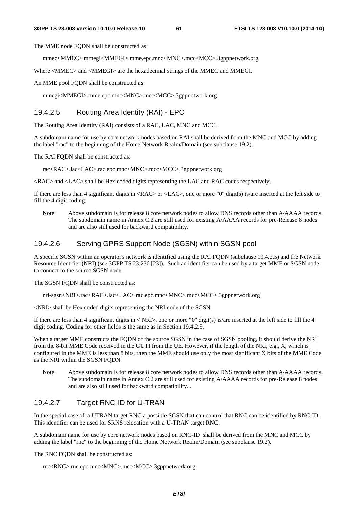The MME node FODN shall be constructed as:

mmec<MMEC>.mmegi<MMEGI>.mme.epc.mnc<MNC>.mcc<MCC>.3gppnetwork.org

Where  $\langle$ MMEC> and  $\langle$ MMEGI> are the hexadecimal strings of the MMEC and MMEGI.

An MME pool FQDN shall be constructed as:

mmegi<MMEGI>.mme.epc.mnc<MNC>.mcc<MCC>.3gppnetwork.org

#### 19.4.2.5 Routing Area Identity (RAI) - EPC

The Routing Area Identity (RAI) consists of a RAC, LAC, MNC and MCC.

A subdomain name for use by core network nodes based on RAI shall be derived from the MNC and MCC by adding the label "rac" to the beginning of the Home Network Realm/Domain (see subclause 19.2).

The RAI FQDN shall be constructed as:

rac<RAC>.lac<LAC>.rac.epc.mnc<MNC>.mcc<MCC>.3gppnetwork.org

<RAC> and <LAC> shall be Hex coded digits representing the LAC and RAC codes respectively.

If there are less than 4 significant digits in <RAC> or <LAC>, one or more "0" digit(s) is/are inserted at the left side to fill the 4 digit coding.

Note: Above subdomain is for release 8 core network nodes to allow DNS records other than A/AAAA records. The subdomain name in Annex C.2 are still used for existing A/AAAA records for pre-Release 8 nodes and are also still used for backward compatibility.

#### 19.4.2.6 Serving GPRS Support Node (SGSN) within SGSN pool

A specific SGSN within an operator's network is identified using the RAI FQDN (subclause 19.4.2.5) and the Network Resource Identifier (NRI) (see 3GPP TS 23.236 [23]). Such an identifier can be used by a target MME or SGSN node to connect to the source SGSN node.

The SGSN FODN shall be constructed as:

nri-sgsn<NRI>.rac<RAC>.lac<LAC>.rac.epc.mnc<MNC>.mcc<MCC>.3gppnetwork.org

<NRI> shall be Hex coded digits representing the NRI code of the SGSN.

If there are less than 4 significant digits in  $\langle NRI \rangle$ , one or more "0" digit(s) is/are inserted at the left side to fill the 4 digit coding. Coding for other fields is the same as in Section 19.4.2.5.

When a target MME constructs the FQDN of the source SGSN in the case of SGSN pooling, it should derive the NRI from the 8-bit MME Code received in the GUTI from the UE. However, if the length of the NRI, e.g., X, which is configured in the MME is less than 8 bits, then the MME should use only the most significant X bits of the MME Code as the NRI within the SGSN FODN.

Note: Above subdomain is for release 8 core network nodes to allow DNS records other than A/AAAA records. The subdomain name in Annex C.2 are still used for existing A/AAAA records for pre-Release 8 nodes and are also still used for backward compatibility. .

#### 19.4.2.7 Target RNC-ID for U-TRAN

In the special case of a UTRAN target RNC a possible SGSN that can control that RNC can be identified by RNC-ID. This identifier can be used for SRNS relocation with a U-TRAN target RNC.

A subdomain name for use by core network nodes based on RNC-ID shall be derived from the MNC and MCC by adding the label "rnc" to the beginning of the Home Network Realm/Domain (see subclause 19.2).

The RNC FQDN shall be constructed as:

rnc<RNC>.rnc.epc.mnc<MNC>.mcc<MCC>.3gppnetwork.org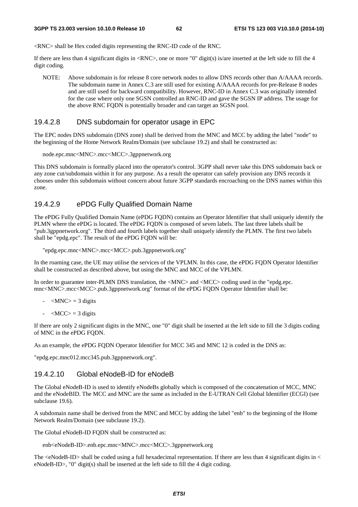<RNC> shall be Hex coded digits representing the RNC-ID code of the RNC.

If there are less than 4 significant digits in  $\langle RNC \rangle$ , one or more "0" digit(s) is/are inserted at the left side to fill the 4 digit coding.

NOTE: Above subdomain is for release 8 core network nodes to allow DNS records other than A/AAAA records. The subdomain name in Annex C.3 are still used for existing A/AAAA records for pre-Release 8 nodes and are still used for backward compatibility. However, RNC-ID in Annex C.3 was originally intended for the case where only one SGSN controlled an RNC-ID and gave the SGSN IP address. The usage for the above RNC FQDN is potentially broader and can target an SGSN pool.

#### 19.4.2.8 DNS subdomain for operator usage in EPC

The EPC nodes DNS subdomain (DNS zone) shall be derived from the MNC and MCC by adding the label "node" to the beginning of the Home Network Realm/Domain (see subclause 19.2) and shall be constructed as:

```
node.epc.mnc<MNC>.mcc<MCC>.3gppnetwork.org
```
This DNS subdomain is formally placed into the operator's control. 3GPP shall never take this DNS subdomain back or any zone cut/subdomain within it for any purpose. As a result the operator can safely provision any DNS records it chooses under this subdomain without concern about future 3GPP standards encroaching on the DNS names within this zone.

#### 19.4.2.9 ePDG Fully Qualified Domain Name

The ePDG Fully Qualified Domain Name (ePDG FQDN) contains an Operator Identifier that shall uniquely identify the PLMN where the ePDG is located. The ePDG FQDN is composed of seven labels. The last three labels shall be "pub.3gppnetwork.org". The third and fourth labels together shall uniquely identify the PLMN. The first two labels shall be "epdg.epc". The result of the ePDG FQDN will be:

```
"epdg.epc.mnc<MNC>.mcc<MCC>.pub.3gppnetwork.org"
```
In the roaming case, the UE may utilise the services of the VPLMN. In this case, the ePDG FQDN Operator Identifier shall be constructed as described above, but using the MNC and MCC of the VPLMN.

In order to guarantee inter-PLMN DNS translation, the <MNC> and <MCC> coding used in the "epdg.epc. mnc<MNC>.mcc<MCC>.pub.3gppnetwork.org" format of the ePDG FQDN Operator Identifier shall be:

- $-MNC$  = 3 digits
- $-MCC$  = 3 digits

If there are only 2 significant digits in the MNC, one "0" digit shall be inserted at the left side to fill the 3 digits coding of MNC in the ePDG FQDN.

As an example, the ePDG FQDN Operator Identifier for MCC 345 and MNC 12 is coded in the DNS as:

"epdg.epc.mnc012.mcc345.pub.3gppnetwork.org".

#### 19.4.2.10 Global eNodeB-ID for eNodeB

The Global eNodeB-ID is used to identify eNodeBs globally which is composed of the concatenation of MCC, MNC and the eNodeBID. The MCC and MNC are the same as included in the E-UTRAN Cell Global Identifier (ECGI) (see subclause 19.6).

A subdomain name shall be derived from the MNC and MCC by adding the label "enb" to the beginning of the Home Network Realm/Domain (see subclause 19.2).

The Global eNodeB-ID FQDN shall be constructed as:

```
enb<eNodeB-ID>.enb.epc.mnc<MNC>.mcc<MCC>.3gppnetwork.org
```
The  $\leq$ NodeB-ID $>$ shall be coded using a full hexadecimal representation. If there are less than 4 significant digits in  $\leq$ eNodeB-ID>, "0" digit(s) shall be inserted at the left side to fill the 4 digit coding.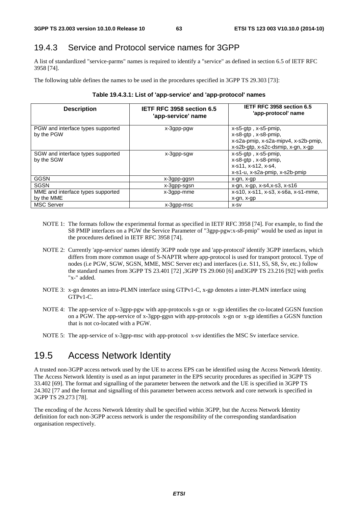### 19.4.3 Service and Protocol service names for 3GPP

A list of standardized "service-parms" names is required to identify a "service" as defined in section 6.5 of IETF RFC 3958 [74].

The following table defines the names to be used in the procedures specified in 3GPP TS 29.303 [73]:

|  | Table 19.4.3.1: List of 'app-service' and 'app-protocol' names |  |
|--|----------------------------------------------------------------|--|
|  |                                                                |  |

| <b>Description</b>                              | IETF RFC 3958 section 6.5<br>'app-service' name | IETF RFC 3958 section 6.5<br>'app-protocol' name                                                                                 |
|-------------------------------------------------|-------------------------------------------------|----------------------------------------------------------------------------------------------------------------------------------|
| PGW and interface types supported<br>by the PGW | x-3gpp-pgw                                      | $x$ -s5-gtp, $x$ -s5-pmip,<br>x-s8-gtp, x-s8-pmip,<br>x-s2a-pmip, x-s2a-mipv4, x-s2b-pmip,<br>x-s2b-gtp, x-s2c-dsmip, x-gn, x-gp |
| SGW and interface types supported<br>by the SGW | x-3gpp-sgw                                      | $x$ -s5-gtp, $x$ -s5-pmip,<br>$x$ -s $8$ -gtp, $x$ -s $8$ -pmip,<br>x-s11, x-s12, x-s4,<br>x-s1-u, x-s2a-pmip, x-s2b-pmip        |
| GGSN                                            | x-3gpp-ggsn                                     | x-gn, x-gp                                                                                                                       |
| <b>SGSN</b>                                     | x-3gpp-sgsn                                     | $x$ -gn, $x$ -gp, $x$ -s4, $x$ -s3, $x$ -s16                                                                                     |
| MME and interface types supported<br>by the MME | x-3gpp-mme                                      | x-s10, x-s11, x-s3, x-s6a, x-s1-mme,<br>x-gn, x-gp                                                                               |
| <b>MSC Server</b>                               | x-3gpp-msc                                      | X-SV                                                                                                                             |

- NOTE 1: The formats follow the experimental format as specified in IETF RFC 3958 [74]. For example, to find the S8 PMIP interfaces on a PGW the Service Parameter of "3gpp-pgw:x-s8-pmip" would be used as input in the procedures defined in IETF RFC 3958 [74].
- NOTE 2: Currently 'app-service' names identify 3GPP node type and 'app-protocol' identify 3GPP interfaces, which differs from more common usage of S-NAPTR where app-protocol is used for transport protocol. Type of nodes (i.e PGW, SGW, SGSN, MME, MSC Server etc) and interfaces (i.e. S11, S5, S8, Sv, etc.) follow the standard names from 3GPP TS 23.401 [72] ,3GPP TS 29.060 [6] and3GPP TS 23.216 [92] with prefix "x-" added.
- NOTE 3: x-gn denotes an intra-PLMN interface using GTPv1-C, x-gp denotes a inter-PLMN interface using GTPv1-C.
- NOTE 4: The app-service of x-3gpp-pgw with app-protocols x-gn or x-gp identifies the co-located GGSN function on a PGW. The app-service of x-3gpp-ggsn with app-protocols x-gn or x-gp identifies a GGSN function that is not co-located with a PGW.
- NOTE 5: The app-service of x-3gpp-msc with app-protocol x-sv identifies the MSC Sv interface service.

# 19.5 Access Network Identity

A trusted non-3GPP access network used by the UE to access EPS can be identified using the Access Network Identity. The Access Network Identity is used as an input parameter in the EPS security procedures as specified in 3GPP TS 33.402 [69]. The format and signalling of the parameter between the network and the UE is specified in 3GPP TS 24.302 [77 and the format and signalling of this parameter between access network and core network is specified in 3GPP TS 29.273 [78].

The encoding of the Access Network Identity shall be specified within 3GPP, but the Access Network Identity definition for each non-3GPP access network is under the responsibility of the corresponding standardisation organisation respectively.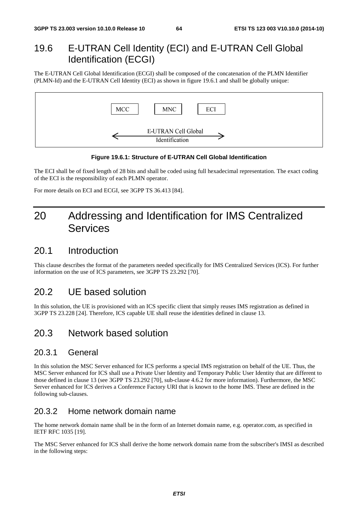# 19.6 E-UTRAN Cell Identity (ECI) and E-UTRAN Cell Global Identification (ECGI)

The E-UTRAN Cell Global Identification (ECGI) shall be composed of the concatenation of the PLMN Identifier (PLMN-Id) and the E-UTRAN Cell Identity (ECI) as shown in figure 19.6.1 and shall be globally unique:



#### **Figure 19.6.1: Structure of E-UTRAN Cell Global Identification**

The ECI shall be of fixed length of 28 bits and shall be coded using full hexadecimal representation. The exact coding of the ECI is the responsibility of each PLMN operator.

For more details on ECI and ECGI, see 3GPP TS 36.413 [84].

# 20 Addressing and Identification for IMS Centralized **Services**

# 20.1 Introduction

This clause describes the format of the parameters needed specifically for IMS Centralized Services (ICS). For further information on the use of ICS parameters, see 3GPP TS 23.292 [70].

# 20.2 UE based solution

In this solution, the UE is provisioned with an ICS specific client that simply reuses IMS registration as defined in 3GPP TS 23.228 [24]. Therefore, ICS capable UE shall reuse the identities defined in clause 13.

# 20.3 Network based solution

#### 20.3.1 General

In this solution the MSC Server enhanced for ICS performs a special IMS registration on behalf of the UE. Thus, the MSC Server enhanced for ICS shall use a Private User Identity and Temporary Public User Identity that are different to those defined in clause 13 (see 3GPP TS 23.292 [70], sub-clause 4.6.2 for more information). Furthermore, the MSC Server enhanced for ICS derives a Conference Factory URI that is known to the home IMS. These are defined in the following sub-clauses.

### 20.3.2 Home network domain name

The home network domain name shall be in the form of an Internet domain name, e.g. operator.com, as specified in IETF RFC 1035 [19].

The MSC Server enhanced for ICS shall derive the home network domain name from the subscriber's IMSI as described in the following steps: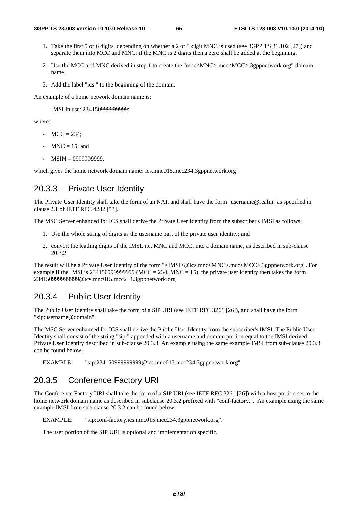- 1. Take the first 5 or 6 digits, depending on whether a 2 or 3 digit MNC is used (see 3GPP TS 31.102 [27]) and separate them into MCC and MNC; if the MNC is 2 digits then a zero shall be added at the beginning.
- 2. Use the MCC and MNC derived in step 1 to create the "mnc<MNC>.mcc<MCC>.3gppnetwork.org" domain name.
- 3. Add the label "ics." to the beginning of the domain.

An example of a home network domain name is:

IMSI in use: 234150999999999;

where:

- $MCC = 234$ :
- $MNC = 15$ ; and
- MSIN = 0999999999,

which gives the home network domain name: ics.mnc015.mcc234.3gppnetwork.org

#### 20.3.3 Private User Identity

The Private User Identity shall take the form of an NAI, and shall have the form "username@realm" as specified in clause 2.1 of IETF RFC 4282 [53].

The MSC Server enhanced for ICS shall derive the Private User Identity from the subscriber's IMSI as follows:

- 1. Use the whole string of digits as the username part of the private user identity; and
- 2. convert the leading digits of the IMSI, i.e. MNC and MCC, into a domain name, as described in sub-clause 20.3.2.

The result will be a Private User Identity of the form "<IMSI>@ics.mnc<MNC>.mcc<MCC>.3gppnetwork.org". For example if the IMSI is 2341509999999999 (MCC = 234, MNC = 15), the private user identity then takes the form 234150999999999@ics.mnc015.mcc234.3gppnetwork.org

#### 20.3.4 Public User Identity

The Public User Identity shall take the form of a SIP URI (see IETF RFC 3261 [26]), and shall have the form "sip:username@domain".

The MSC Server enhanced for ICS shall derive the Public User Identity from the subscriber's IMSI. The Public User Identity shall consist of the string "sip:" appended with a username and domain portion equal to the IMSI derived Private User Identity described in sub-clause 20.3.3. An example using the same example IMSI from sub-clause 20.3.3 can be found below:

EXAMPLE: "sip:234150999999999@ics.mnc015.mcc234.3gppnetwork.org".

## 20.3.5 Conference Factory URI

The Conference Factory URI shall take the form of a SIP URI (see IETF RFC 3261 [26]) with a host portion set to the home network domain name as described in subclause 20.3.2 prefixed with "conf-factory.". An example using the same example IMSI from sub-clause 20.3.2 can be found below:

EXAMPLE: "sip:conf-factory.ics.mnc015.mcc234.3gppnetwork.org".

The user portion of the SIP URI is optional and implementation specific.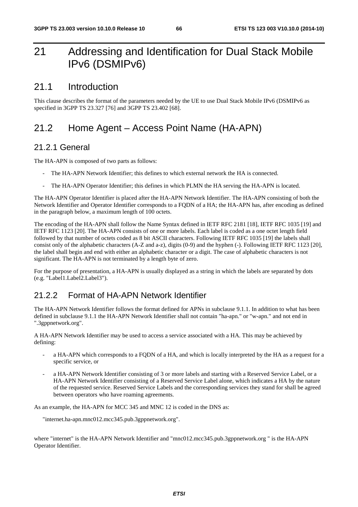# 21 Addressing and Identification for Dual Stack Mobile IPv6 (DSMIPv6)

### 21.1 Introduction

This clause describes the format of the parameters needed by the UE to use Dual Stack Mobile IPv6 (DSMIPv6 as specified in 3GPP TS 23.327 [76] and 3GPP TS 23.402 [68].

# 21.2 Home Agent – Access Point Name (HA-APN)

#### 21.2.1 General

The HA-APN is composed of two parts as follows:

- The HA-APN Network Identifier; this defines to which external network the HA is connected.
- The HA-APN Operator Identifier; this defines in which PLMN the HA serving the HA-APN is located.

The HA-APN Operator Identifier is placed after the HA-APN Network Identifier. The HA-APN consisting of both the Network Identifier and Operator Identifier corresponds to a FQDN of a HA; the HA-APN has, after encoding as defined in the paragraph below, a maximum length of 100 octets.

The encoding of the HA-APN shall follow the Name Syntax defined in IETF RFC 2181 [18], IETF RFC 1035 [19] and IETF RFC 1123 [20]. The HA-APN consists of one or more labels. Each label is coded as a one octet length field followed by that number of octets coded as 8 bit ASCII characters. Following IETF RFC 1035 [19] the labels shall consist only of the alphabetic characters (A-Z and a-z), digits (0-9) and the hyphen (-). Following IETF RFC 1123 [20], the label shall begin and end with either an alphabetic character or a digit. The case of alphabetic characters is not significant. The HA-APN is not terminated by a length byte of zero.

For the purpose of presentation, a HA-APN is usually displayed as a string in which the labels are separated by dots (e.g. "Label1.Label2.Label3").

## 21.2.2 Format of HA-APN Network Identifier

The HA-APN Network Identifier follows the format defined for APNs in subclause 9.1.1. In addition to what has been defined in subclause 9.1.1 the HA-APN Network Identifier shall not contain "ha-apn." or "w-apn." and not end in ".3gppnetwork.org".

A HA-APN Network Identifier may be used to access a service associated with a HA. This may be achieved by defining:

- a HA-APN which corresponds to a FODN of a HA, and which is locally interpreted by the HA as a request for a specific service, or
- a HA-APN Network Identifier consisting of 3 or more labels and starting with a Reserved Service Label, or a HA-APN Network Identifier consisting of a Reserved Service Label alone, which indicates a HA by the nature of the requested service. Reserved Service Labels and the corresponding services they stand for shall be agreed between operators who have roaming agreements.

As an example, the HA-APN for MCC 345 and MNC 12 is coded in the DNS as:

"internet.ha-apn.mnc012.mcc345.pub.3gppnetwork.org".

where "internet" is the HA-APN Network Identifier and "mnc012.mcc345.pub.3gppnetwork.org " is the HA-APN Operator Identifier.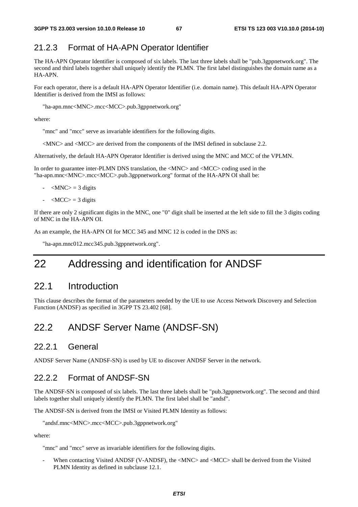## 21.2.3 Format of HA-APN Operator Identifier

The HA-APN Operator Identifier is composed of six labels. The last three labels shall be "pub.3gppnetwork.org". The second and third labels together shall uniquely identify the PLMN. The first label distinguishes the domain name as a HA-APN.

For each operator, there is a default HA-APN Operator Identifier (i.e. domain name). This default HA-APN Operator Identifier is derived from the IMSI as follows:

"ha-apn.mnc<MNC>.mcc<MCC>.pub.3gppnetwork.org"

where:

"mnc" and "mcc" serve as invariable identifiers for the following digits.

<MNC> and <MCC> are derived from the components of the IMSI defined in subclause 2.2.

Alternatively, the default HA-APN Operator Identifier is derived using the MNC and MCC of the VPLMN.

In order to guarantee inter-PLMN DNS translation, the <MNC> and <MCC> coding used in the "ha-apn.mnc<MNC>.mcc<MCC>.pub.3gppnetwork.org" format of the HA-APN OI shall be:

- $|MNC\rangle = 3$  digits
- $-MCC$  = 3 digits

If there are only 2 significant digits in the MNC, one "0" digit shall be inserted at the left side to fill the 3 digits coding of MNC in the HA-APN OI.

As an example, the HA-APN OI for MCC 345 and MNC 12 is coded in the DNS as:

"ha-apn.mnc012.mcc345.pub.3gppnetwork.org".

# 22 Addressing and identification for ANDSF

### 22.1 Introduction

This clause describes the format of the parameters needed by the UE to use Access Network Discovery and Selection Function (ANDSF) as specified in 3GPP TS 23.402 [68].

## 22.2 ANDSF Server Name (ANDSF-SN)

#### 22.2.1 General

ANDSF Server Name (ANDSF-SN) is used by UE to discover ANDSF Server in the network.

#### 22.2.2 Format of ANDSF-SN

The ANDSF-SN is composed of six labels. The last three labels shall be "pub.3gppnetwork.org". The second and third labels together shall uniquely identify the PLMN. The first label shall be "andsf".

The ANDSF-SN is derived from the IMSI or Visited PLMN Identity as follows:

```
"andsf.mnc<MNC>.mcc<MCC>.pub.3gppnetwork.org"
```
where:

"mnc" and "mcc" serve as invariable identifiers for the following digits.

When contacting Visited ANDSF (V-ANDSF), the <MNC> and <MCC> shall be derived from the Visited PLMN Identity as defined in subclause 12.1.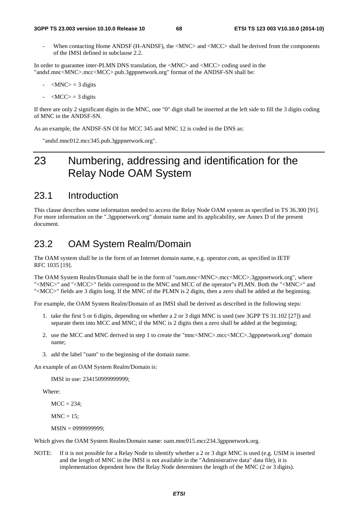When contacting Home ANDSF (H-ANDSF), the <MNC> and <MCC> shall be derived from the components of the IMSI defined in subclause 2.2.

In order to guarantee inter-PLMN DNS translation, the <MNC> and <MCC> coding used in the "andsf.mnc<MNC>.mcc<MCC>.pub.3gppnetwork.org" format of the ANDSF-SN shall be:

- $-MNC$  = 3 digits
- $\langle \text{MCC} \rangle = 3$  digits

If there are only 2 significant digits in the MNC, one "0" digit shall be inserted at the left side to fill the 3 digits coding of MNC in the ANDSF-SN.

As an example, the ANDSF-SN OI for MCC 345 and MNC 12 is coded in the DNS as:

"andsf.mnc012.mcc345.pub.3gppnetwork.org".

# 23 Numbering, addressing and identification for the Relay Node OAM System

## 23.1 Introduction

This clause describes some information needed to access the Relay Node OAM system as specified in TS 36.300 [91]. For more information on the ".3gppnetwork.org" domain name and its applicability, see Annex D of the present document.

## 23.2 OAM System Realm/Domain

The OAM system shall be in the form of an Internet domain name, e.g. operator.com, as specified in IETF RFC 1035 [19].

The OAM System Realm/Domain shall be in the form of "oam.mnc<MNC>.mcc<MCC>.3gppnetwork.org", where "<MNC>" and "<MCC>" fields correspond to the MNC and MCC of the operator"s PLMN. Both the "<MNC>" and "<MCC>" fields are 3 digits long. If the MNC of the PLMN is 2 digits, then a zero shall be added at the beginning.

For example, the OAM System Realm/Domain of an IMSI shall be derived as described in the following steps:

- 1. take the first 5 or 6 digits, depending on whether a 2 or 3 digit MNC is used (see 3GPP TS 31.102 [27]) and separate them into MCC and MNC; if the MNC is 2 digits then a zero shall be added at the beginning;
- 2. use the MCC and MNC derived in step 1 to create the "mnc<MNC>.mcc<MCC>.3gppnetwork.org" domain name;
- 3. add the label "oam" to the beginning of the domain name.

An example of an OAM System Realm/Domain is:

IMSI in use: 234150999999999;

Where:

 $MCC = 234$ ;

 $MNC = 15$ :

MSIN = 0999999999;

Which gives the OAM System Realm/Domain name: oam.mnc015.mcc234.3gppnetwork.org.

NOTE: If it is not possible for a Relay Node to identify whether a 2 or 3 digit MNC is used (e.g. USIM is inserted and the length of MNC in the IMSI is not available in the "Administrative data" data file), it is implementation dependent how the Relay Node determines the length of the MNC (2 or 3 digits).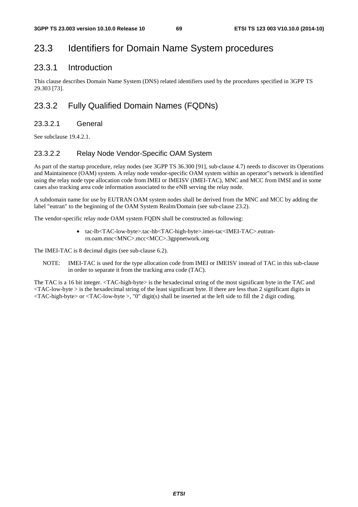# 23.3 Identifiers for Domain Name System procedures

### 23.3.1 Introduction

This clause describes Domain Name System (DNS) related identifiers used by the procedures specified in 3GPP TS 29.303 [73].

## 23.3.2 Fully Qualified Domain Names (FQDNs)

#### 23.3.2.1 General

See subclause 19.4.2.1.

#### 23.3.2.2 Relay Node Vendor-Specific OAM System

As part of the startup procedure, relay nodes (see 3GPP TS 36.300 [91], sub-clause 4.7) needs to discover its Operations and Maintainence (OAM) system. A relay node vendor-specific OAM system within an operator"s network is identified using the relay node type allocation code from IMEI or IMEISV (IMEI-TAC), MNC and MCC from IMSI and in some cases also tracking area code information associated to the eNB serving the relay node.

A subdomain name for use by EUTRAN OAM system nodes shall be derived from the MNC and MCC by adding the label "eutran" to the beginning of the OAM System Realm/Domain (see sub-clause 23.2).

The vendor-specific relay node OAM system FQDN shall be constructed as following:

• tac-lb<TAC-low-byte>.tac-hb<TAC-high-byte>.imei-tac<IMEI-TAC>.eutranrn.oam.mnc<MNC>.mcc<MCC>.3gppnetwork.org

The IMEI-TAC is 8 decimal digits (see sub-clause 6.2).

NOTE: IMEI-TAC is used for the type allocation code from IMEI or IMEISV instead of TAC in this sub-clause in order to separate it from the tracking area code (TAC).

The TAC is a 16 bit integer. <TAC-high-byte> is the hexadecimal string of the most significant byte in the TAC and <TAC-low-byte > is the hexadecimal string of the least significant byte. If there are less than 2 significant digits in <TAC-high-byte> or <TAC-low-byte >, "0" digit(s) shall be inserted at the left side to fill the 2 digit coding.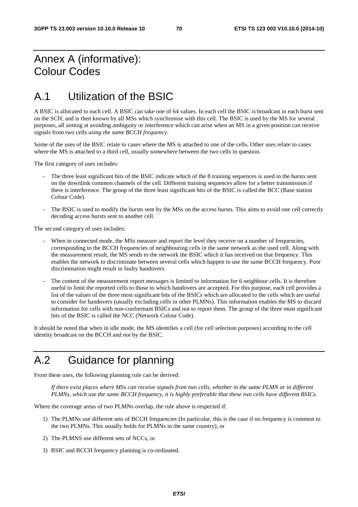# Annex A (informative): Colour Codes

# A.1 Utilization of the BSIC

A BSIC is allocated to each cell. A BSIC can take one of 64 values. In each cell the BSIC is broadcast in each burst sent on the SCH, and is then known by all MSs which synchronise with this cell. The BSIC is used by the MS for several purposes, all aiming at avoiding ambiguity or interference which can arise when an MS in a given position can receive signals from two cells *using the same BCCH frequency*.

Some of the uses of the BSIC relate to cases where the MS is attached to one of the cells. Other uses relate to cases where the MS is attached to a third cell, usually somewhere between the two cells in question.

The first category of uses includes:

- The three least significant bits of the BSIC indicate which of the 8 training sequences is used in the bursts sent on the downlink common channels of the cell. Different training sequences allow for a better transmission if there is interference. The group of the three least significant bits of the BSIC is called the BCC (Base station Colour Code).
- The BSIC is used to modify the bursts sent by the MSs on the access bursts. This aims to avoid one cell correctly decoding access bursts sent to another cell.

The second category of uses includes:

- When in connected mode, the MSs measure and report the level they receive on a number of frequencies, corresponding to the BCCH frequencies of neighbouring cells in the same network as the used cell. Along with the measurement result, the MS sends to the network the BSIC which it has received on that frequency. This enables the network to discriminate between several cells which happen to use the same BCCH frequency. Poor discrimination might result in faulty handovers.
- The content of the measurement report messages is limited to information for 6 neighbour cells. It is therefore useful to limit the reported cells to those to which handovers are accepted. For this purpose, each cell provides a list of the values of the three most significant bits of the BSICs which are allocated to the cells which are useful to consider for handovers (usually excluding cells in other PLMNs). This information enables the MS to discard information for cells with non-conformant BSICs and not to report them. The group of the three most significant bits of the BSIC is called the NCC (Network Colour Code).

It should be noted that when in idle mode, the MS identifies a cell (for cell selection purposes) according to the cell identity broadcast on the BCCH and *not* by the BSIC.

# A.2 Guidance for planning

From these uses, the following planning rule can be derived:

 *If there exist places where MSs can receive signals from two cells, whether in the same PLMN or in different PLMNs, which use the same BCCH frequency, it is highly preferable that these two cells have different BSICs.* 

Where the coverage areas of two PLMNs overlap, the rule above is respected if:

- 1) The PLMNs use different sets of BCCH frequencies (In particular, this is the case if no frequency is common to the two PLMNs. This usually holds for PLMNs in the same country), or
- 2) The PLMNS use different sets of NCCs, or
- 3) BSIC and BCCH frequency planning is co-ordinated.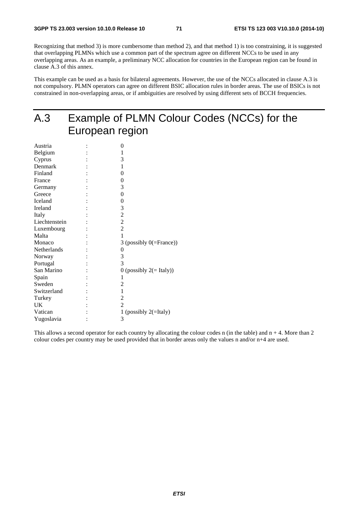Recognizing that method 3) is more cumbersome than method 2), and that method 1) is too constraining, it is suggested that overlapping PLMNs which use a common part of the spectrum agree on different NCCs to be used in any overlapping areas. As an example, a preliminary NCC allocation for countries in the European region can be found in clause A.3 of this annex.

This example can be used as a basis for bilateral agreements. However, the use of the NCCs allocated in clause A.3 is not compulsory. PLMN operators can agree on different BSIC allocation rules in border areas. The use of BSICs is not constrained in non-overlapping areas, or if ambiguities are resolved by using different sets of BCCH frequencies.

# A.3 Example of PLMN Colour Codes (NCCs) for the European region

| 0                           |
|-----------------------------|
| 1                           |
| 3                           |
| 1                           |
| $\theta$                    |
| 0                           |
| 3                           |
| $\overline{0}$              |
| 0                           |
| 3                           |
| $\overline{c}$              |
| $\overline{c}$              |
| $\overline{2}$              |
| 1                           |
| 3 (possibly $0$ (=France))  |
| 0                           |
| 3                           |
| 3                           |
| 0 (possibly $2 (= Italy)$ ) |
| 1                           |
| 2                           |
| 1                           |
| $\overline{c}$              |
| $\overline{2}$              |
| 1 (possibly $2($ =Italy)    |
| 3                           |
|                             |

This allows a second operator for each country by allocating the colour codes n (in the table) and  $n + 4$ . More than 2 colour codes per country may be used provided that in border areas only the values n and/or n+4 are used.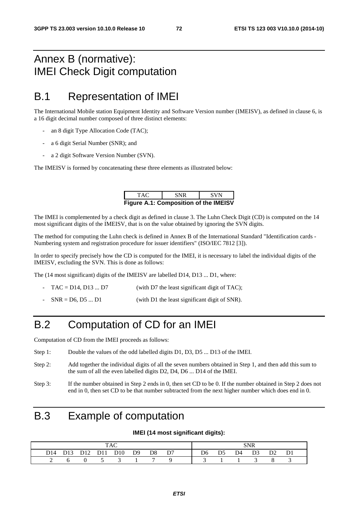### Annex B (normative): IMEI Check Digit computation

#### B.1 Representation of IMEI

The International Mobile station Equipment Identity and Software Version number (IMEISV), as defined in clause 6, is a 16 digit decimal number composed of three distinct elements:

- an 8 digit Type Allocation Code (TAC);
- a 6 digit Serial Number (SNR); and
- a 2 digit Software Version Number (SVN).

The IMEISV is formed by concatenating these three elements as illustrated below:

| TAC.                                         | <b>SNR</b> | <b>SVN</b> |  |  |  |  |  |  |  |
|----------------------------------------------|------------|------------|--|--|--|--|--|--|--|
| <b>Figure A.1: Composition of the IMEISV</b> |            |            |  |  |  |  |  |  |  |

The IMEI is complemented by a check digit as defined in clause 3. The Luhn Check Digit (CD) is computed on the 14 most significant digits of the IMEISV, that is on the value obtained by ignoring the SVN digits.

The method for computing the Luhn check is defined in Annex B of the International Standard "Identification cards - Numbering system and registration procedure for issuer identifiers" (ISO/IEC 7812 [3]).

In order to specify precisely how the CD is computed for the IMEI, it is necessary to label the individual digits of the IMEISV, excluding the SVN. This is done as follows:

The (14 most significant) digits of the IMEISV are labelled D14, D13 ... D1, where:

- $TAC = D14$ ,  $D13$  ...  $D7$  (with D7 the least significant digit of TAC);
- $SNR = D6, D5 ... D1$  (with D1 the least significant digit of SNR).

#### B.2 Computation of CD for an IMEI

Computation of CD from the IMEI proceeds as follows:

- Step 1: Double the values of the odd labelled digits D1, D3, D5 ... D13 of the IMEI.
- Step 2: Add together the individual digits of all the seven numbers obtained in Step 1, and then add this sum to the sum of all the even labelled digits D2, D4, D6 ... D14 of the IMEI.
- Step 3: If the number obtained in Step 2 ends in 0, then set CD to be 0. If the number obtained in Step 2 does not end in 0, then set CD to be that number subtracted from the next higher number which does end in 0.

#### B.3 Example of computation

#### **IMEI (14 most significant digits):**

|  |  |  |  |                              |  |  |  |  | SNR |  |                                                                                           |  |
|--|--|--|--|------------------------------|--|--|--|--|-----|--|-------------------------------------------------------------------------------------------|--|
|  |  |  |  | D14 D13 D12 D11 D10 D9 D8 D7 |  |  |  |  |     |  | D <sub>6</sub> D <sub>5</sub> D <sub>4</sub> D <sub>3</sub> D <sub>2</sub> D <sub>1</sub> |  |
|  |  |  |  | 0 5 3 1 7 9                  |  |  |  |  |     |  |                                                                                           |  |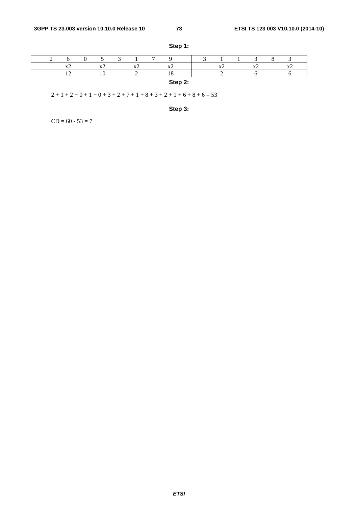|  |          |                           |                                          | $\overline{ }$ |                            | ∽ |  |                            |                |  |
|--|----------|---------------------------|------------------------------------------|----------------|----------------------------|---|--|----------------------------|----------------|--|
|  | $\Delta$ | $\mathbf{r}$<br>$\Lambda$ | $\mathbf{v}'$<br>$\overline{\mathbf{A}}$ |                | <b>TP</b><br>$\rightarrow$ |   |  | <b>Tr</b><br>$\rightarrow$ | $\overline{1}$ |  |
|  |          | 10                        |                                          |                | $\epsilon$<br>10           |   |  |                            |                |  |
|  |          |                           |                                          |                | Step 2:                    |   |  |                            |                |  |

**Step 1:** 

 $2 + 1 + 2 + 0 + 1 + 0 + 3 + 2 + 7 + 1 + 8 + 3 + 2 + 1 + 6 + 8 + 6 = 53$ 

**Step 3:** 

 $CD = 60 - 53 = 7$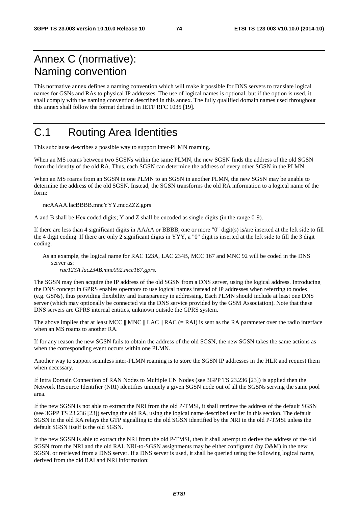## Annex C (normative): Naming convention

This normative annex defines a naming convention which will make it possible for DNS servers to translate logical names for GSNs and RAs to physical IP addresses. The use of logical names is optional, but if the option is used, it shall comply with the naming convention described in this annex. The fully qualified domain names used throughout this annex shall follow the format defined in IETF RFC 1035 [19].

# C.1 Routing Area Identities

This subclause describes a possible way to support inter-PLMN roaming.

When an MS roams between two SGSNs within the same PLMN, the new SGSN finds the address of the old SGSN from the identity of the old RA. Thus, each SGSN can determine the address of every other SGSN in the PLMN.

When an MS roams from an SGSN in one PLMN to an SGSN in another PLMN, the new SGSN may be unable to determine the address of the old SGSN. Instead, the SGSN transforms the old RA information to a logical name of the form:

racAAAA.lacBBBB.mncYYY.mccZZZ.gprs

A and B shall be Hex coded digits; Y and Z shall be encoded as single digits (in the range 0-9).

If there are less than 4 significant digits in AAAA or BBBB, one or more "0" digit(s) is/are inserted at the left side to fill the 4 digit coding. If there are only 2 significant digits in YYY, a "0" digit is inserted at the left side to fill the 3 digit coding.

As an example, the logical name for RAC 123A, LAC 234B, MCC 167 and MNC 92 will be coded in the DNS server as:

*rac123A.lac234B.mnc092.mcc167.gprs*.

The SGSN may then acquire the IP address of the old SGSN from a DNS server, using the logical address. Introducing the DNS concept in GPRS enables operators to use logical names instead of IP addresses when referring to nodes (e.g. GSNs), thus providing flexibility and transparency in addressing. Each PLMN should include at least one DNS server (which may optionally be connected via the DNS service provided by the GSM Association). Note that these DNS servers are GPRS internal entities, unknown outside the GPRS system.

The above implies that at least MCC  $\parallel$  MNC  $\parallel$  LAC  $\parallel$  RAC (= RAI) is sent as the RA parameter over the radio interface when an MS roams to another RA.

If for any reason the new SGSN fails to obtain the address of the old SGSN, the new SGSN takes the same actions as when the corresponding event occurs within one PLMN.

Another way to support seamless inter-PLMN roaming is to store the SGSN IP addresses in the HLR and request them when necessary.

If Intra Domain Connection of RAN Nodes to Multiple CN Nodes (see 3GPP TS 23.236 [23]) is applied then the Network Resource Identifier (NRI) identifies uniquely a given SGSN node out of all the SGSNs serving the same pool area.

If the new SGSN is not able to extract the NRI from the old P-TMSI, it shall retrieve the address of the default SGSN (see 3GPP TS 23.236 [23]) serving the old RA, using the logical name described earlier in this section. The default SGSN in the old RA relays the GTP signalling to the old SGSN identified by the NRI in the old P-TMSI unless the default SGSN itself is the old SGSN.

If the new SGSN is able to extract the NRI from the old P-TMSI, then it shall attempt to derive the address of the old SGSN from the NRI and the old RAI. NRI-to-SGSN assignments may be either configured (by O&M) in the new SGSN, or retrieved from a DNS server. If a DNS server is used, it shall be queried using the following logical name, derived from the old RAI and NRI information: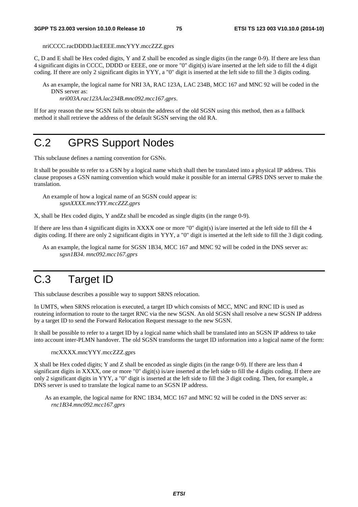nriCCCC.racDDDD.lacEEEE.mncYYY.mccZZZ.gprs

C, D and E shall be Hex coded digits, Y and Z shall be encoded as single digits (in the range 0-9). If there are less than 4 significant digits in CCCC, DDDD or EEEE, one or more "0" digit(s) is/are inserted at the left side to fill the 4 digit coding. If there are only 2 significant digits in YYY, a "0" digit is inserted at the left side to fill the 3 digits coding.

As an example, the logical name for NRI 3A, RAC 123A, LAC 234B, MCC 167 and MNC 92 will be coded in the DNS server as:

*nri003A.rac123A.lac234B.mnc092.mcc167.gprs*.

If for any reason the new SGSN fails to obtain the address of the old SGSN using this method, then as a fallback method it shall retrieve the address of the default SGSN serving the old RA.

### C.2 GPRS Support Nodes

This subclause defines a naming convention for GSNs.

It shall be possible to refer to a GSN by a logical name which shall then be translated into a physical IP address. This clause proposes a GSN naming convention which would make it possible for an internal GPRS DNS server to make the translation.

An example of how a logical name of an SGSN could appear is: *sgsnXXXX.mncYYY.mccZZZ.gprs* 

X, shall be Hex coded digits, Y andZz shall be encoded as single digits (in the range 0-9)*.* 

If there are less than 4 significant digits in XXXX one or more "0" digit(s) is/are inserted at the left side to fill the 4 digits coding. If there are only 2 significant digits in YYY, a "0" digit is inserted at the left side to fill the 3 digit coding.

As an example, the logical name for SGSN 1B34, MCC 167 and MNC 92 will be coded in the DNS server as: *sgsn1B34. mnc092.mcc167.gprs*

# C.3 Target ID

This subclause describes a possible way to support SRNS relocation.

In UMTS, when SRNS relocation is executed, a target ID which consists of MCC, MNC and RNC ID is used as routeing information to route to the target RNC via the new SGSN. An old SGSN shall resolve a new SGSN IP address by a target ID to send the Forward Relocation Request message to the new SGSN.

It shall be possible to refer to a target ID by a logical name which shall be translated into an SGSN IP address to take into account inter-PLMN handover. The old SGSN transforms the target ID information into a logical name of the form:

rncXXXX.mncYYY.mccZZZ.gprs

X shall be Hex coded digits; Y and Z shall be encoded as single digits (in the range 0-9). If there are less than 4 significant digits in XXXX, one or more "0" digit(s) is/are inserted at the left side to fill the 4 digits coding. If there are only 2 significant digits in YYY, a "0" digit is inserted at the left side to fill the 3 digit coding. Then, for example, a DNS server is used to translate the logical name to an SGSN IP address.

As an example, the logical name for RNC 1B34, MCC 167 and MNC 92 will be coded in the DNS server as: *rnc1B34.mnc092.mcc167.gprs*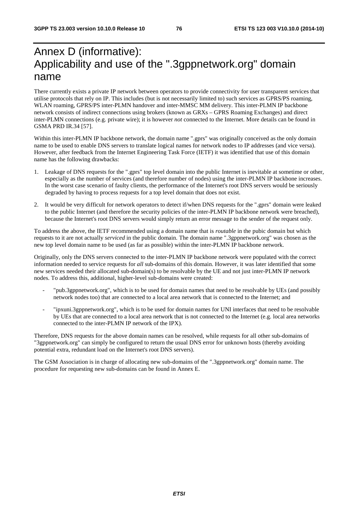## Annex D (informative): Applicability and use of the ".3gppnetwork.org" domain name

There currently exists a private IP network between operators to provide connectivity for user transparent services that utilise protocols that rely on IP. This includes (but is not necessarily limited to) such services as GPRS/PS roaming, WLAN roaming, GPRS/PS inter-PLMN handover and inter-MMSC MM delivery. This inter-PLMN IP backbone network consists of indirect connections using brokers (known as GRXs – GPRS Roaming Exchanges) and direct inter-PLMN connections (e.g. private wire); it is however *not* connected to the Internet. More details can be found in GSMA PRD IR.34 [57].

Within this inter-PLMN IP backbone network, the domain name ".gprs" was originally conceived as the only domain name to be used to enable DNS servers to translate logical names for network nodes to IP addresses (and vice versa). However, after feedback from the Internet Engineering Task Force (IETF) it was identified that use of this domain name has the following drawbacks:

- 1. Leakage of DNS requests for the ".gprs" top level domain into the public Internet is inevitable at sometime or other, especially as the number of services (and therefore number of nodes) using the inter-PLMN IP backbone increases. In the worst case scenario of faulty clients, the performance of the Internet's root DNS servers would be seriously degraded by having to process requests for a top level domain that does not exist.
- 2. It would be very difficult for network operators to detect if/when DNS requests for the ".gprs" domain were leaked to the public Internet (and therefore the security policies of the inter-PLMN IP backbone network were breached), because the Internet's root DNS servers would simply return an error message to the sender of the request only.

To address the above, the IETF recommended using a domain name that is *routable* in the pubic domain but which requests to it are not actually *serviced* in the public domain. The domain name ".3gppnetwork.org" was chosen as the new top level domain name to be used (as far as possible) within the inter-PLMN IP backbone network.

Originally, only the DNS servers connected to the inter-PLMN IP backbone network were populated with the correct information needed to service requests for *all* sub-domains of this domain. However, it was later identified that some new services needed their allocated sub-domain(s) to be resolvable by the UE and not just inter-PLMN IP network nodes. To address this, additional, higher-level sub-domains were created:

- "pub.3gppnetwork.org", which is to be used for domain names that need to be resolvable by UEs (and possibly network nodes too) that are connected to a local area network that is connected to the Internet; and
- "ipxuni.3gppnetwork.org", which is to be used for domain names for UNI interfaces that need to be resolvable by UEs that are connected to a local area network that is not connected to the Internet (e.g. local area networks connected to the inter-PLMN IP network of the IPX).

Therefore, DNS requests for the above domain names can be resolved, while requests for all other sub-domains of "3gppnetwork.org" can simply be configured to return the usual DNS error for unknown hosts (thereby avoiding potential extra, redundant load on the Internet's root DNS servers).

The GSM Association is in charge of allocating new sub-domains of the ".3gppnetwork.org" domain name. The procedure for requesting new sub-domains can be found in Annex E.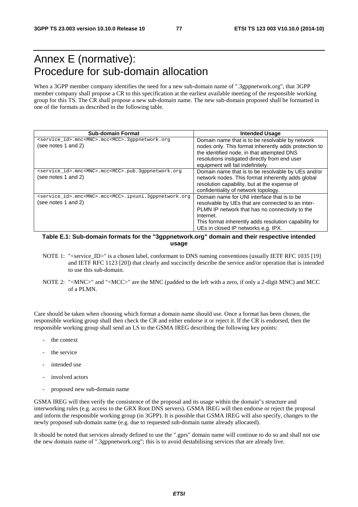### Annex E (normative): Procedure for sub-domain allocation

When a 3GPP member company identifies the need for a new sub-domain name of ".3gppnetwork.org", that 3GPP member company shall propose a CR to this specification at the earliest available meeting of the responsible working group for this TS. The CR shall propose a new sub-domain name. The new sub-domain proposed shall be formatted in one of the formats as described in the following table.

| <b>Sub-domain Format</b>                                                                               | <b>Intended Usage</b>                                                                                                                                                                                                                                            |
|--------------------------------------------------------------------------------------------------------|------------------------------------------------------------------------------------------------------------------------------------------------------------------------------------------------------------------------------------------------------------------|
| <service_id>.mnc<mnc>.mcc<mcc>.3gppnetwork.org<br/>(see notes 1 and 2)</mcc></mnc></service_id>        | Domain name that is to be resolvable by network<br>nodes only. This format inherently adds protection to<br>the identified node, in that attempted DNS<br>resolutions instigated directly from end user<br>equipment will fail indefinitely.                     |
| <service id="">.mnc<mnc>.mcc<mcc>.pub.3qppnetwork.org<br/>(see notes 1 and 2)</mcc></mnc></service>    | Domain name that is to be resolvable by UEs and/or<br>network nodes. This format inherently adds global<br>resolution capability, but at the expense of<br>confidentiality of network topology.                                                                  |
| <service_id>.mnc<mnc>.mcc<mcc>.ipxuni.3qppnetwork.org<br/>(see notes 1 and 2)</mcc></mnc></service_id> | Domain name for UNI interface that is to be<br>resolvable by UEs that are connected to an inter-<br>PLMN IP network that has no connectivity to the<br>Internet.<br>This format inherently adds resolution capability for<br>UEs in closed IP networks e.g. IPX. |

#### **Table E.1: Sub-domain formats for the "3gppnetwork.org" domain and their respective intended usage**

- NOTE 1: "<service ID>" is a chosen label, conformant to DNS naming conventions (usually IETF RFC 1035 [19] and IETF RFC 1123 [20]) that clearly and succinctly describe the service and/or operation that is intended to use this sub-domain.
- NOTE 2: "<MNC>" and "<MCC>" are the MNC (padded to the left with a zero, if only a 2-digit MNC) and MCC of a PLMN.

Care should be taken when choosing which format a domain name should use. Once a format has been chosen, the responsible working group shall then check the CR and either endorse it or reject it. If the CR is endorsed, then the responsible working group shall send an LS to the GSMA IREG describing the following key points:

- the context
- the service
- intended use
- involved actors
- proposed new sub-domain name

GSMA IREG will then verify the consistence of the proposal and its usage within the domain"s structure and interworking rules (e.g. access to the GRX Root DNS servers). GSMA IREG will then endorse or reject the proposal and inform the responsible working group (in 3GPP). It is possible that GSMA IREG will also specify, changes to the newly proposed sub-domain name (e.g. due to requested sub-domain name already allocated).

It should be noted that services already defined to use the ".gprs" domain name will continue to do so and shall not use the new domain name of ".3gppnetwork.org"; this is to avoid destabilising services that are already live.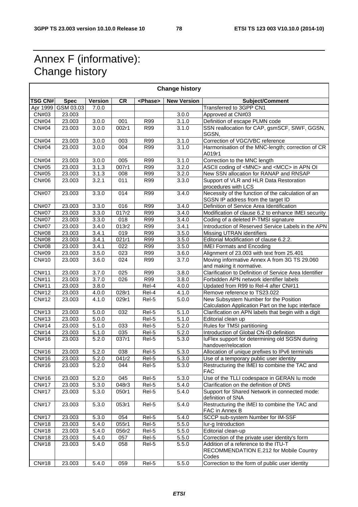٦

### Annex F (informative): Change history

| <b>Change history</b> |                    |                |                  |                     |                    |                                                                                          |  |  |  |
|-----------------------|--------------------|----------------|------------------|---------------------|--------------------|------------------------------------------------------------------------------------------|--|--|--|
| <b>TSG CN#</b>        | <b>Spec</b>        | <b>Version</b> | <b>CR</b>        | <phase></phase>     | <b>New Version</b> | Subject/Comment                                                                          |  |  |  |
|                       | Apr 1999 GSM 03.03 | 7.0.0          |                  |                     |                    | Transferred to 3GPP CN1                                                                  |  |  |  |
| CN#03                 | 23.003             |                |                  |                     | 3.0.0              | Approved at CN#03                                                                        |  |  |  |
| <b>CN#04</b>          | 23.003             | 3.0.0          | 001              | <b>R99</b>          | 3.1.0              | Definition of escape PLMN code                                                           |  |  |  |
| CN#04                 | 23.003             | 3.0.0          | 002r1            | R99                 | 3.1.0              | SSN reallocation for CAP, gsmSCF, SIWF, GGSN,<br>SGSN,                                   |  |  |  |
| <b>CN#04</b>          | 23.003             | 3.0.0          | 003              | R99                 | 3.1.0              | Correction of VGC/VBC reference                                                          |  |  |  |
| <b>CN#04</b>          | 23.003             | 3.0.0          | 004              | R99                 | 3.1.0              | Harmonisation of the MNC-length; correction of CR<br>A019r1                              |  |  |  |
| CN#04                 | 23.003             | 3.0.0          | 005              | R99                 | 3.1.0              | Correction to the MNC length                                                             |  |  |  |
| CN#05                 | 23.003             | 3.1.3          | 007r1            | R99                 | 3.2.0              | ASCII coding of <mnc> and <mcc> in APN OI</mcc></mnc>                                    |  |  |  |
| CN#05                 | 23.003             | 3.1.3          | 008              | R99                 | 3.2.0              | New SSN allocation for RANAP and RNSAP                                                   |  |  |  |
| CN#06                 | 23.003             | 3.2.1          | 011              | <b>R99</b>          | 3.3.0              | Support of VLR and HLR Data Restoration<br>procedures with LCS                           |  |  |  |
| <b>CN#07</b>          | 23.003             | 3.3.0          | 014              | R99                 | 3.4.0              | Necessity of the function of the calculation of an<br>SGSN IP address from the target ID |  |  |  |
| <b>CN#07</b>          | 23.003             | 3.3.0          | 016              | <b>R99</b>          | 3.4.0              | Definition of Service Area Identification                                                |  |  |  |
| <b>CN#07</b>          | 23.003             | 3.3.0          | 017r2            | R99                 | 3.4.0              | Modification of clause 6.2 to enhance IMEI security                                      |  |  |  |
| <b>CN#07</b>          | 23.003             | 3.3.0          | 018              | R99                 | 3.4.0              | Coding of a deleted P-TMSI signature                                                     |  |  |  |
| <b>CN#07</b>          | 23.003             | 3.4.0          | 013r2            | R99                 | 3.4.1              | Introduction of Reserved Service Labels in the APN                                       |  |  |  |
| <b>CN#08</b>          | 23.003             | 3.4.1          | 019              | <b>R99</b>          | 3.5.0              | Missing UTRAN identifiers                                                                |  |  |  |
| <b>CN#08</b>          | 23.003             | 3.4.1          | 021r1            | <b>R99</b>          | 3.5.0              | Editorial Modification of clause 6.2.2.                                                  |  |  |  |
| <b>CN#08</b>          | 23.003             | 3.4.1          | 022              | $\overline{R99}$    | 3.5.0              | <b>IMEI Formats and Encoding</b>                                                         |  |  |  |
| CN#09                 | 23.003             | 3.5.0          | 023              | <b>R99</b>          | 3.6.0              | Alignment of 23.003 with text from 25.401                                                |  |  |  |
| CN#10                 | 23.003             | 3.6.0          | 024              | <b>R99</b>          | 3.7.0              | Moving informative Annex A from 3G TS 29.060<br>and making it normative.                 |  |  |  |
| CN#11                 | 23.003             | 3.7.0          | 025              | <b>R99</b>          | 3.8.0              | Clarification to Definition of Service Area Identifier                                   |  |  |  |
| <b>CN#11</b>          | 23.003             | 3.7.0          | $\overline{026}$ | R99                 | 3.8.0              | Forbidden APN network identifier labels                                                  |  |  |  |
| CN#11                 | 23.003             | 3.8.0          |                  | Rel-4               | 4.0.0              | Updated from R99 to Rel-4 after CN#11                                                    |  |  |  |
| CN#12                 | 23.003             | 4.0.0          | 028r1            | Rel-4               | 4.1.0              | Remove reference to TS23.022                                                             |  |  |  |
| CN#12                 | 23.003             | 4.1.0          | 029r1            | Rel-5               | 5.0.0              | New Subsystem Number for the Position                                                    |  |  |  |
|                       |                    |                |                  |                     |                    | Calculation Application Part on the lupc interface                                       |  |  |  |
| CN#13                 | 23.003             | 5.0.0          | 032              | Rel-5               | 5.1.0              | Clarification on APN labels that begin with a digit                                      |  |  |  |
| CN#13                 | 23.003             | 5.0.0          |                  | Rel-5               | 5.1.0              | Editorial clean up                                                                       |  |  |  |
| CN#14                 | 23.003             | 5.1.0          | 033              | $\overline{R}$ el-5 | 5.2.0              | Rules for TMSI partitioning<br>Introduction of Global CN-ID definition                   |  |  |  |
| CN#14                 | 23.003             | 5.1.0          | 035              | Rel-5               | 5.2.0              |                                                                                          |  |  |  |
| CN#16                 | 23.003             | 5.2.0          | 037r1            | Rel-5               | 5.3.0              | luFlex support for determining old SGSN during                                           |  |  |  |
|                       |                    |                |                  |                     |                    | handover/relocation                                                                      |  |  |  |
| CN#16                 | 23.003             | 5.2.0          | 038              | Rel-5               | 5.3.0              | Allocation of unique prefixes to IPv6 terminals                                          |  |  |  |
| CN#16                 | 23.003             | 5.2.0          | 041r2            | Rel-5               | 5.3.0              | Use of a temporary public user identity                                                  |  |  |  |
| CN#16                 | 23.003             | 5.2.0          | 044              | Rel-5               | 5.3.0              | Restructuring the IMEI to combine the TAC and<br><b>FAC</b>                              |  |  |  |
| CN#16                 | 23.003             | 5.2.0          | 045              | Rel-5               | 5.3.0              | Use of the TLLI codespace in GERAN Iu mode                                               |  |  |  |
| <b>CN#17</b>          | 23.003             | 5.3.0          | 048r3            | Rel-5               | 5.4.0              | Clarification on the definition of DNS                                                   |  |  |  |
| <b>CN#17</b>          | 23.003             | 5.3.0          | 050r1            | Rel-5               | 5.4.0              | Support for Shared Network in connected mode:<br>definition of SNA                       |  |  |  |
| <b>CN#17</b>          | 23.003             | 5.3.0          | 053r1            | Rel-5               | 5.4.0              | Restructuring the IMEI to combine the TAC and<br>FAC in Annex B                          |  |  |  |
| <b>CN#17</b>          | 23.003             | 5.3.0          | 054              | Rel-5               | 5.4.0              | SCCP sub-system Number for IM-SSF                                                        |  |  |  |
| CN#18                 | 23.003             | 5.4.0          | 055r1            | Rel-5               | 5.5.0              | lur-g Introduction                                                                       |  |  |  |
| CN#18                 | 23.003             | 5.4.0          | 056r2            | Rel-5               | 5.5.0              | Editorial clean-up                                                                       |  |  |  |
| CN#18                 | 23.003             | 5.4.0          | 057              | Rel-5               | 5.5.0              | Correction of the private user identity's form                                           |  |  |  |
| CN#18                 | 23.003             | 5.4.0          | 058              | Rel-5               | 5.5.0              | Addition of a reference to the ITU-T<br>RECOMMENDATION E.212 for Mobile Country<br>Codes |  |  |  |
| CN#18                 | 23.003             | 5.4.0          | 059              | Rel-5               | 5.5.0              | Correction to the form of public user identity                                           |  |  |  |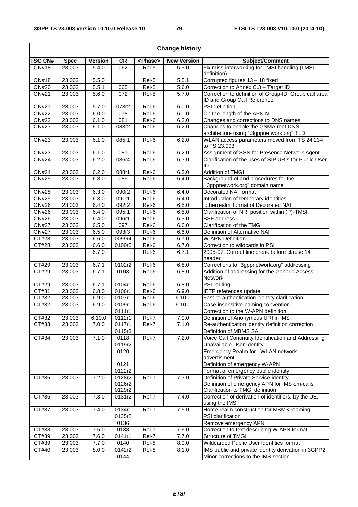|                    | <b>Change history</b> |                |                  |                    |                    |                                                                                      |  |  |  |  |
|--------------------|-----------------------|----------------|------------------|--------------------|--------------------|--------------------------------------------------------------------------------------|--|--|--|--|
| <b>TSG CN#</b>     | <b>Spec</b>           | <b>Version</b> | <b>CR</b>        | <phase></phase>    | <b>New Version</b> | Subject/Comment                                                                      |  |  |  |  |
| <b>CN#18</b>       | 23.003                | 5.4.0          | 062              | Rel-5              | 5.5.0              | Fix miss-interworking for LMSI handling (LMSI<br>definition)                         |  |  |  |  |
| CN#18              | 23.003                | 5.5.0          |                  | Rel-5              | 5.5.1              | Corrupted figures 13 - 18 fixed                                                      |  |  |  |  |
| <b>CN#20</b>       | 23.003                | 5.5.1          | 065              | Rel-5              | 5.6.0              | Correction to Annex C.3 - Target ID                                                  |  |  |  |  |
| CN#21              | 23.003                | 5.6.0          | 072              | Rel-5              | 5.7.0              | Correction to definition of Group-ID, Group call area<br>ID and Group Call Reference |  |  |  |  |
| $\overline{CN#21}$ | 23.003                | 5.7.0          | 073r2            | Rel-6              | 6.0.0              | PSI definition                                                                       |  |  |  |  |
| <b>CN#22</b>       | 23.003                | 6.0.0          | 078              | Rel-6              | 6.1.0              | On the length of the APN NI                                                          |  |  |  |  |
| CN#23              | 23.003                | 6.1.0          | 081              | Rel-6              | 6.2.0              | Changes and corrections to DNS names                                                 |  |  |  |  |
| <b>CN#23</b>       | 23.003                | 6.1.0          | 083r2            | Rel-6              | 6.2.0              | Changes to enable the GSMA root DNS<br>architecture using ".3gppnetwork.org" TLD     |  |  |  |  |
| CN#23              | 23.003                | 6.1.0          | 085r1            | Rel-6              | 6.2.0              | WLAN access parameters moved from TS 24.234<br>to TS 23.003                          |  |  |  |  |
| CN#23              | 23.003                | 6.1.0          | 087              | Rel-6              | 6.2.0              | Assignment of SSN for Presence Network Agent                                         |  |  |  |  |
| CN#24              | 23.003                | 6.2.0          | 086r4            | Rel-6              | 6.3.0              | Clarification of the uses of SIP URIs for Public User<br>ID                          |  |  |  |  |
| <b>CN#24</b>       | 23.003                | 6.2.0          | 088r1            | Rel-6              | 6.3.0              | <b>Addition of TMGI</b>                                                              |  |  |  |  |
| <b>CN#25</b>       | 23.003                | 6.3.0          | 089              | Rel-6              | 6.4.0              | Background of and procedures for the<br>".3gppnetwork.org" domain name               |  |  |  |  |
| <b>CN#25</b>       | 23.003                | 6.3.0          | 090r2            | Rel-6              | 6.4.0              | Decorated NAI format                                                                 |  |  |  |  |
| <b>CN#25</b>       | 23.003                | 6.3.0          | 091r1            | Rel-6              | 6.4.0              | Introduction of temporary identities                                                 |  |  |  |  |
| <b>CN#26</b>       | 23.003                | 6.4.0          | 092r2            | Rel-6              | 6.5.0              | 'otherrealm' format of Decorated NAI                                                 |  |  |  |  |
| <b>CN#26</b>       | 23.003                | 6.4.0          | 095r1            | Rel-6              | 6.5.0              | Clarification of NRI position within (P)-TMSI                                        |  |  |  |  |
| <b>CN#26</b>       | 23.003                | 6.4.0          | 096r1            | $\overline{Rel-6}$ | 6.5.0              | <b>BSF</b> address                                                                   |  |  |  |  |
| <b>CN#27</b>       | 23.003                | 6.5.0          | 097              | Rel-6              | 6.6.0              | <b>Clarification of the TMGI</b>                                                     |  |  |  |  |
| <b>CN#27</b>       | 23.003                | 6.5.0          | 093r3            | Rel-6              | 6.6.0              | Definition of Alternative NAI                                                        |  |  |  |  |
| CT#28              | 23.003                | 6.6.0          | 0099r4           | Rel-6              | 6.7.0              | <b>W-APN Definition</b>                                                              |  |  |  |  |
| CT#28              | 23.003                | 6.6.0          | 0100r5           | Rel-6              | 6.7.0              | Correction to wildcards in PSI                                                       |  |  |  |  |
|                    |                       | 6.7.0          |                  | Rel-6              | 6.7.1              | 2005-07: Correct line break before clause 14<br>header                               |  |  |  |  |
| CT#29              | 23.003                | 6.7.1          | 0102r2           | Rel-6              | 6.8.0              | Corrections to "3gppnetwork.org" addressing                                          |  |  |  |  |
| CT#29              | 23.003                | 6.7.1          | 0103             | Rel-6              | 6.8.0              | Addition of addressing for the Generic Access<br>Network                             |  |  |  |  |
| CT#29              | 23.003                | 6.7.1          | 0104r1           | Rel-6              | 6.8.0              | <b>PSI</b> routing                                                                   |  |  |  |  |
| CT#31              | 23.003                | 6.8.0          | 0106r1           | Rel-6              | 6.9.0              | IETF references update                                                               |  |  |  |  |
| CT#32              | 23.003                | 6.9.0          | 0107r1           | Rel-6              | 6.10.0             | Fast re-authentication identity clarification                                        |  |  |  |  |
| CT#32              | 23.003                | 6.9.0          | 0109r1           | Rel-6              | 6.10.0             | Case insensitive naming convention                                                   |  |  |  |  |
|                    |                       |                | 0111r1           |                    |                    | Correction to the W-APN definition                                                   |  |  |  |  |
| CT#32              | 23.003                | 6.10.0         | 0112r1           | Rel-7              | 7.0.0              | Definition of Anonymous URI in IMS                                                   |  |  |  |  |
| CT#33              | 23.003                | 7.0.0          | 0117r1           | Rel-7              | 7.1.0              | Re-authentication identity definition correction                                     |  |  |  |  |
|                    |                       |                | 0115r3           |                    |                    | Definition of MBMS SAI                                                               |  |  |  |  |
| CT#34              | 23.003                | 7.1.0          | 0118<br>0119r2   | Rel-7              | 7.2.0              | Voice Call Continuity Identification and Addressing<br>Unavailable User Identity     |  |  |  |  |
|                    |                       |                | 0120             |                    |                    | Emergency Realm for I-WLAN network<br>advertisment                                   |  |  |  |  |
|                    |                       |                | 0121             |                    |                    | Definition of emergency W-APN                                                        |  |  |  |  |
|                    |                       |                | 0122r2           |                    |                    | Format of emergency public identity                                                  |  |  |  |  |
| CT#35              | 23.003                | 7.2.0          | 0128r2           | Rel-7              | 7.3.0              | Definition of Private Service identity                                               |  |  |  |  |
|                    |                       |                | 0126r2<br>0129r2 |                    |                    | Definition of emergency APN for IMS em-calls<br>Clarification to TMGI definition     |  |  |  |  |
| CT#36              | 23.003                | 7.3.0          | 0131r2           | Rel-7              | 7.4.0              | Correction of derivation of identifiers, by the UE,<br>using the IMSI                |  |  |  |  |
| CT#37              | 23.003                | 7.4.0          | 0134r1<br>0135r2 | Rel-7              | 7.5.0              | Home realm construction for MBMS roaming<br>PSI clarification                        |  |  |  |  |
|                    |                       |                | 0136             |                    |                    | Remove emergency APN                                                                 |  |  |  |  |
| CT#38              | 23.003                | 7.5.0          | 0138             | Rel-7              | 7.6.0              | Correction to text describing W-APN format                                           |  |  |  |  |
| CT#39              | 23.003                | 7.6.0          | 0141r1           | Rel-7              | 7.7.0              | Structure of TMGI                                                                    |  |  |  |  |
| CT#39              | 23.003                | 7.7.0          | 0140             | Rel-8              | 8.0.0              | Wildcarded Public User Identities format                                             |  |  |  |  |
| CT#40              | 23.003                | 8.0.0          | 0142r2           | Rel-8              | 8.1.0              | IMS public and private identity derivation in 3GPP2                                  |  |  |  |  |
|                    |                       |                | 0144             |                    |                    | Minor corrections to the IMS section                                                 |  |  |  |  |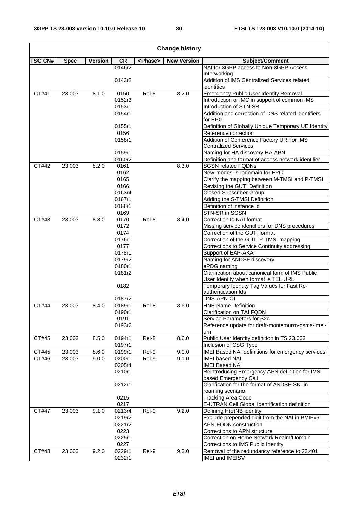4

| <b>Change history</b> |                  |                |                  |                 |                    |                                                                                          |  |  |  |  |
|-----------------------|------------------|----------------|------------------|-----------------|--------------------|------------------------------------------------------------------------------------------|--|--|--|--|
| <b>TSG CN#</b>        | <b>Spec</b>      | <b>Version</b> | <b>CR</b>        | <phase></phase> | <b>New Version</b> | Subject/Comment                                                                          |  |  |  |  |
|                       |                  |                | 0146r2           |                 |                    | NAI for 3GPP access to Non-3GPP Access                                                   |  |  |  |  |
|                       |                  |                |                  |                 |                    | Interworking<br>Addition of IMS Centralized Services related                             |  |  |  |  |
|                       |                  |                | 0143r2           |                 |                    | identities                                                                               |  |  |  |  |
| CT#41                 | 23.003           | 8.1.0          | 0150             | Rel-8           | 8.2.0              | <b>Emergency Public User Identity Removal</b>                                            |  |  |  |  |
|                       |                  |                | 0152r3           |                 |                    | Introduction of IMC in support of common IMS                                             |  |  |  |  |
|                       |                  |                | 0153r1           |                 |                    | Introduction of STN-SR                                                                   |  |  |  |  |
|                       |                  |                | 0154r1           |                 |                    | Addition and correction of DNS related identifiers                                       |  |  |  |  |
|                       |                  |                |                  |                 |                    | for EPC                                                                                  |  |  |  |  |
|                       |                  |                | 0155r1           |                 |                    | Definition of Globally Unique Temporary UE Identity                                      |  |  |  |  |
|                       |                  |                | 0156             |                 |                    | Reference correction                                                                     |  |  |  |  |
|                       |                  |                | 0158r1           |                 |                    | Addition of Conference Factory URI for IMS                                               |  |  |  |  |
|                       |                  |                |                  |                 |                    | <b>Centralized Services</b>                                                              |  |  |  |  |
|                       |                  |                | 0159r1<br>0160r2 |                 |                    | Naming for HA discovery HA-APN<br>Definition and format of access network identifier     |  |  |  |  |
| CT#42                 | 23.003           | 8.2.0          | 0161             |                 | 8.3.0              | <b>SGSN related FQDNs</b>                                                                |  |  |  |  |
|                       |                  |                | 0162             |                 |                    | New "nodes" subdomain for EPC                                                            |  |  |  |  |
|                       |                  |                | 0165             |                 |                    | Clarify the mapping between M-TMSI and P-TMSI                                            |  |  |  |  |
|                       |                  |                | 0166             |                 |                    | Revising the GUTI Definition                                                             |  |  |  |  |
|                       |                  |                | 0163r4           |                 |                    | Closed Subscriber Group                                                                  |  |  |  |  |
|                       |                  |                | 0167r1           |                 |                    | Adding the S-TMSI Definition                                                             |  |  |  |  |
|                       |                  |                | 0168r1           |                 |                    | Definition of instance Id                                                                |  |  |  |  |
|                       |                  |                | 0169             |                 |                    | STN-SR in SGSN                                                                           |  |  |  |  |
| CT#43                 | 23.003           | 8.3.0          | 0170             | Rel-8           | 8.4.0              | Correction to NAI format                                                                 |  |  |  |  |
|                       |                  |                | 0172             |                 |                    | Missing service identifiers for DNS procedures                                           |  |  |  |  |
|                       |                  |                | 0174             |                 |                    | Correction of the GUTI format                                                            |  |  |  |  |
|                       |                  |                | 0176r1           |                 |                    | Correction of the GUTI P-TMSI mapping                                                    |  |  |  |  |
|                       |                  |                | 0177             |                 |                    | Corrections to Service Continuity addressing                                             |  |  |  |  |
|                       |                  |                | 0178r1           |                 |                    | Support of EAP-AKA"                                                                      |  |  |  |  |
|                       |                  |                | 0179r2           |                 |                    | Naming for ANDSF discovery                                                               |  |  |  |  |
|                       |                  |                | 0180r1           |                 |                    | ePDG naming                                                                              |  |  |  |  |
|                       |                  |                | 0181r2           |                 |                    | Clarification about canonical form of IMS Public<br>User Identity when format is TEL URL |  |  |  |  |
|                       |                  |                | 0182             |                 |                    | Temporary Identity Tag Values for Fast Re-                                               |  |  |  |  |
|                       |                  |                |                  |                 |                    | authentication Ids                                                                       |  |  |  |  |
|                       |                  |                | 0187r2           |                 |                    | DNS-APN-OI                                                                               |  |  |  |  |
| CT#44                 | 23.003           | 8.4.0          | 0189r1           | Rel-8           | 8.5.0              | <b>HNB Name Definition</b>                                                               |  |  |  |  |
|                       |                  |                | 0190r1           |                 |                    | Clarification on TAI FQDN                                                                |  |  |  |  |
|                       |                  |                | 0191             |                 |                    | Service Parameters for S2c                                                               |  |  |  |  |
|                       |                  |                | 0193r2           |                 |                    | Reference update for draft-montemurro-gsma-imei-                                         |  |  |  |  |
|                       |                  |                |                  |                 |                    | urn                                                                                      |  |  |  |  |
| CT#45                 | 23.003           | 8.5.0          | 0194r1           | Rel-8           | 8.6.0              | Public User Identity definition in TS 23.003                                             |  |  |  |  |
|                       |                  |                | 0197r1           |                 |                    | Inclusion of CSG Type                                                                    |  |  |  |  |
| CT#45<br>CT#46        | 23.003<br>23.003 | 8.6.0<br>9.0.0 | 0199r1<br>0200r1 | Rel-9<br>Rel-9  | 9.0.0<br>9.1.0     | IMEI Based NAI definitions for emergency services                                        |  |  |  |  |
|                       |                  |                | 0205r4           |                 |                    | <b>IMEI based NAI</b><br><b>IMEI Based NAI</b>                                           |  |  |  |  |
|                       |                  |                | 0210r1           |                 |                    | Reintroducing Emergency APN definition for IMS                                           |  |  |  |  |
|                       |                  |                |                  |                 |                    | based Emergency Call                                                                     |  |  |  |  |
|                       |                  |                | 0212r1           |                 |                    | Clarification for the format of ANDSF-SN in                                              |  |  |  |  |
|                       |                  |                |                  |                 |                    | roaming scenario                                                                         |  |  |  |  |
|                       |                  |                | 0215             |                 |                    | <b>Tracking Area Code</b>                                                                |  |  |  |  |
|                       |                  |                | 0217             |                 |                    | E-UTRAN Cell Global Identification definition                                            |  |  |  |  |
| CT#47                 | 23.003           | 9.1.0          | 0213r4           | Rel-9           | 9.2.0              | Defining H(e)NB identity                                                                 |  |  |  |  |
|                       |                  |                | 0219r2           |                 |                    | Exclude prepended digit from the NAI in PMIPv6                                           |  |  |  |  |
|                       |                  |                | 0221r2           |                 |                    | <b>APN-FQDN</b> construction                                                             |  |  |  |  |
|                       |                  |                | 0223             |                 |                    | Corrections to APN structure                                                             |  |  |  |  |
|                       |                  |                | 0225r1           |                 |                    | Correction on Home Network Realm/Domain                                                  |  |  |  |  |
|                       |                  |                | 0227             |                 |                    | Corrections to IMS Public Identity                                                       |  |  |  |  |
| CT#48                 | 23.003           | 9.2.0          | 0229r1           | Rel-9           | 9.3.0              | Removal of the redundancy reference to 23.401                                            |  |  |  |  |
|                       |                  |                | 0232r1           |                 |                    | IMEI and IMEISV                                                                          |  |  |  |  |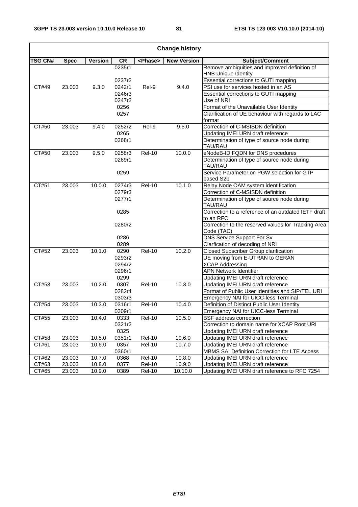| <b>Change history</b> |             |                |        |                 |                     |                                                                             |  |  |  |
|-----------------------|-------------|----------------|--------|-----------------|---------------------|-----------------------------------------------------------------------------|--|--|--|
| <b>TSG CN#</b>        | <b>Spec</b> | <b>Version</b> | CR     | <phase></phase> | <b>New Version</b>  | Subject/Comment                                                             |  |  |  |
|                       |             |                | 0235r1 |                 |                     | Remove ambiguities and improved definition of<br><b>HNB Unique Identity</b> |  |  |  |
|                       |             |                | 0237r2 |                 |                     | Essential corrections to GUTI mapping                                       |  |  |  |
| CT#49                 | 23.003      | 9.3.0          | 0242r1 | Rel-9           | 9.4.0               | PSI use for services hosted in an AS                                        |  |  |  |
|                       |             |                | 0246r3 |                 |                     | Essential corrections to GUTI mapping                                       |  |  |  |
|                       |             |                | 0247r2 |                 |                     | Use of NRI                                                                  |  |  |  |
|                       |             |                | 0256   |                 |                     | Format of the Unavailable User Identity                                     |  |  |  |
|                       |             |                | 0257   |                 |                     | Clarification of UE behaviour with regards to LAC                           |  |  |  |
|                       |             |                |        |                 |                     | format                                                                      |  |  |  |
| CT#50                 | 23.003      | 9.4.0          | 0252r2 | Rel-9           | 9.5.0               | Correction of C-MSISDN definition                                           |  |  |  |
|                       |             |                | 0265   |                 |                     | Updating IMEI URN draft reference                                           |  |  |  |
|                       |             |                | 0268r1 |                 |                     | Determination of type of source node during<br>TAU/RAU                      |  |  |  |
| CT#50                 | 23.003      | 9.5.0          | 0258r3 | <b>Rel-10</b>   | 10.0.0              | eNodeB-ID FQDN for DNS procedures                                           |  |  |  |
|                       |             |                | 0269r1 |                 |                     | Determination of type of source node during<br>TAU/RAU                      |  |  |  |
|                       |             |                | 0259   |                 |                     | Service Parameter on PGW selection for GTP<br>based S2b                     |  |  |  |
| CT#51                 | 23.003      | 10.0.0         | 0274r3 | <b>Rel-10</b>   | 10.1.0              | Relay Node OAM system identification                                        |  |  |  |
|                       |             |                | 0279r3 |                 |                     | Correction of C-MSISDN definition                                           |  |  |  |
|                       |             |                | 0277r1 |                 |                     | Determination of type of source node during<br>TAU/RAU                      |  |  |  |
|                       |             |                | 0285   |                 |                     | Correction to a reference of an outdated IETF draft<br>to an RFC            |  |  |  |
|                       |             |                | 0280r2 |                 |                     | Correction to the reserved values for Tracking Area<br>Code (TAC)           |  |  |  |
|                       |             |                | 0286   |                 |                     | DNS Service Support For Sv                                                  |  |  |  |
|                       |             |                | 0289   |                 |                     | Clarfication of decoding of NRI                                             |  |  |  |
| CT#52                 | 23.003      | 10.1.0         | 0290   | <b>Rel-10</b>   | 10.2.0              | Closed Subscriber Group clarification                                       |  |  |  |
|                       |             |                | 0293r2 |                 |                     | UE moving from E-UTRAN to GERAN                                             |  |  |  |
|                       |             |                | 0294r2 |                 |                     | <b>XCAP Addressing</b>                                                      |  |  |  |
|                       |             |                | 0296r1 |                 |                     | <b>APN Network Identifier</b>                                               |  |  |  |
|                       |             |                | 0299   |                 |                     | Updating IMEI URN draft reference                                           |  |  |  |
| CT#53                 | 23.003      | 10.2.0         | 0307   | <b>Rel-10</b>   | 10.3.0              | Updating IMEI URN draft reference                                           |  |  |  |
|                       |             |                | 0282r4 |                 |                     | Format of Public User Identities and SIP/TEL URI                            |  |  |  |
|                       |             |                | 0303r3 |                 |                     | Emergency NAI for UICC-less Terminal                                        |  |  |  |
| CT#54                 | 23.003      | 10.3.0         | 0316r1 | <b>Rel-10</b>   | 10.4.0              | Definition of Distinct Public User Identity                                 |  |  |  |
|                       |             |                | 0309r1 |                 |                     | <b>Emergency NAI for UICC-less Terminal</b>                                 |  |  |  |
| CT#55                 | 23.003      | 10.4.0         | 0333   | <b>Rel-10</b>   | $10.5.\overline{0}$ | <b>BSF</b> address correction                                               |  |  |  |
|                       |             |                | 0321r2 |                 |                     | Correction to domain name for XCAP Root URI                                 |  |  |  |
|                       |             |                | 0325   |                 |                     | Updating IMEI URN draft reference                                           |  |  |  |
| CT#58                 | 23.003      | 10.5.0         | 0351r1 | <b>Rel-10</b>   | 10.6.0              | Updating IMEI URN draft reference                                           |  |  |  |
| CT#61                 | 23.003      | 10.6.0         | 0357   | <b>Rel-10</b>   | 10.7.0              | Updating IMEI URN draft reference                                           |  |  |  |
|                       |             |                | 0360r1 |                 |                     | MBMS SAI Definition Correction for LTE Access                               |  |  |  |
| CT#62                 | 23.003      | 10.7.0         | 0368   | <b>Rel-10</b>   | 10.8.0              | Updating IMEI URN draft reference                                           |  |  |  |
| CT#63                 | 23.003      | 10.8.0         | 0377   | <b>Rel-10</b>   | 10.9.0              | Updating IMEI URN draft reference                                           |  |  |  |
| CT#65                 | 23.003      | 10.9.0         | 0389   | <b>Rel-10</b>   | 10.10.0             | Updating IMEI URN draft reference to RFC 7254                               |  |  |  |